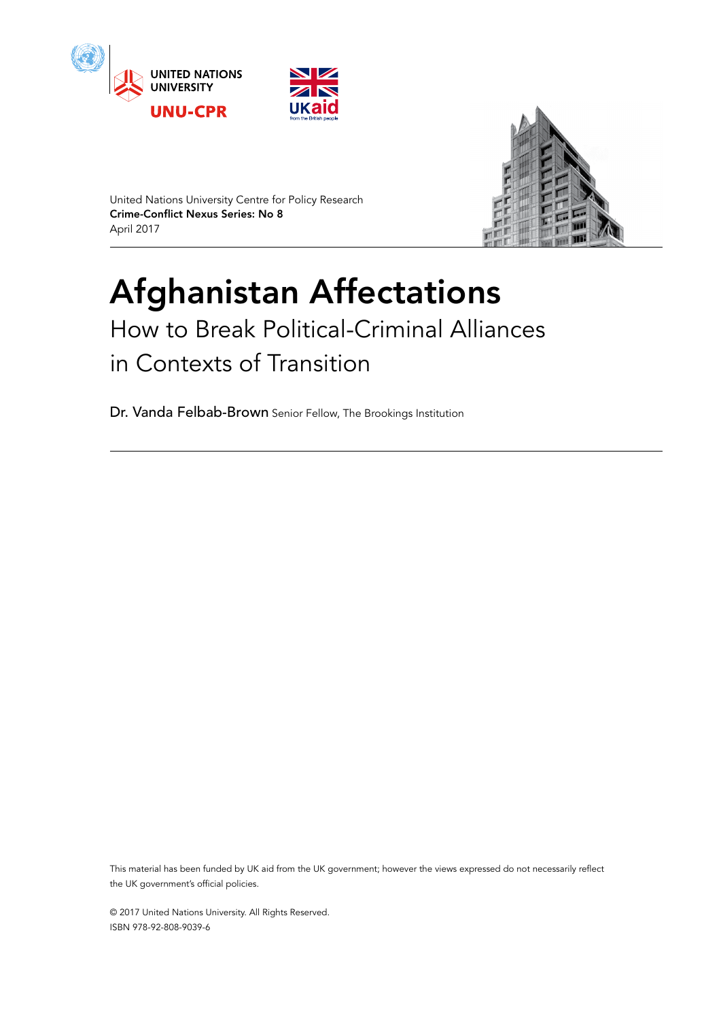





United Nations University Centre for Policy Research Crime-Conflict Nexus Series: No 8 April 2017

# Afghanistan Affectations How to Break Political-Criminal Alliances in Contexts of Transition

Dr. Vanda Felbab-Brown Senior Fellow, The Brookings Institution

This material has been funded by UK aid from the UK government; however the views expressed do not necessarily reflect the UK government's official policies.

© 2017 United Nations University. All Rights Reserved. ISBN 978-92-808-9039-6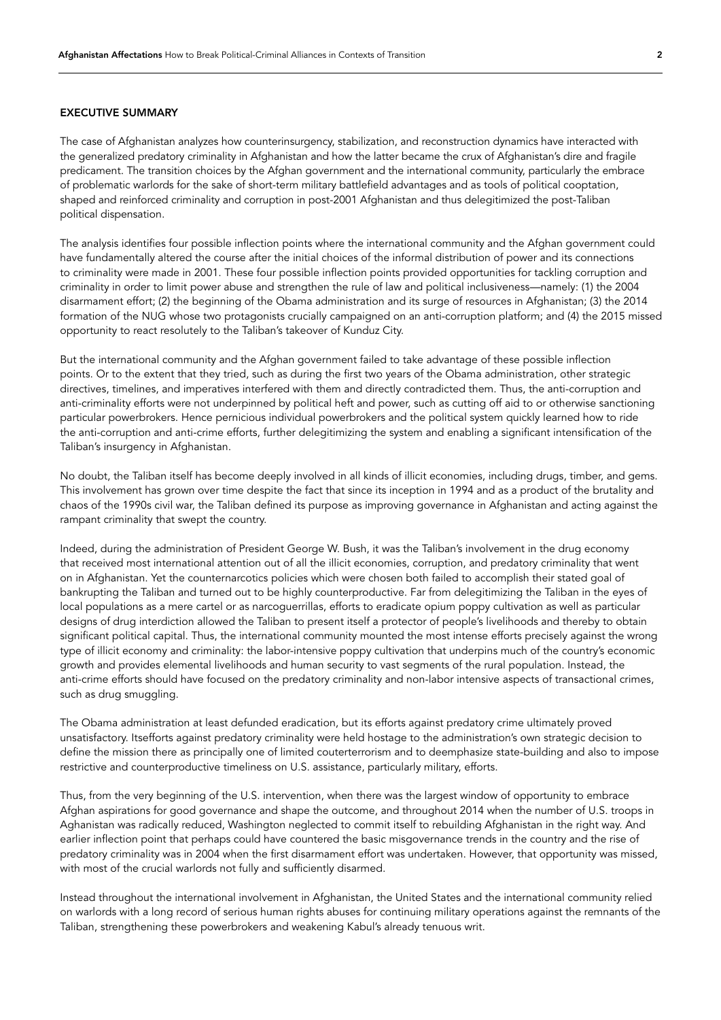## EXECUTIVE SUMMARY

The case of Afghanistan analyzes how counterinsurgency, stabilization, and reconstruction dynamics have interacted with the generalized predatory criminality in Afghanistan and how the latter became the crux of Afghanistan's dire and fragile predicament. The transition choices by the Afghan government and the international community, particularly the embrace of problematic warlords for the sake of short-term military battlefield advantages and as tools of political cooptation, shaped and reinforced criminality and corruption in post-2001 Afghanistan and thus delegitimized the post-Taliban political dispensation.

The analysis identifies four possible inflection points where the international community and the Afghan government could have fundamentally altered the course after the initial choices of the informal distribution of power and its connections to criminality were made in 2001. These four possible inflection points provided opportunities for tackling corruption and criminality in order to limit power abuse and strengthen the rule of law and political inclusiveness—namely: (1) the 2004 disarmament effort; (2) the beginning of the Obama administration and its surge of resources in Afghanistan; (3) the 2014 formation of the NUG whose two protagonists crucially campaigned on an anti-corruption platform; and (4) the 2015 missed opportunity to react resolutely to the Taliban's takeover of Kunduz City.

But the international community and the Afghan government failed to take advantage of these possible inflection points. Or to the extent that they tried, such as during the first two years of the Obama administration, other strategic directives, timelines, and imperatives interfered with them and directly contradicted them. Thus, the anti-corruption and anti-criminality efforts were not underpinned by political heft and power, such as cutting off aid to or otherwise sanctioning particular powerbrokers. Hence pernicious individual powerbrokers and the political system quickly learned how to ride the anti-corruption and anti-crime efforts, further delegitimizing the system and enabling a significant intensification of the Taliban's insurgency in Afghanistan.

No doubt, the Taliban itself has become deeply involved in all kinds of illicit economies, including drugs, timber, and gems. This involvement has grown over time despite the fact that since its inception in 1994 and as a product of the brutality and chaos of the 1990s civil war, the Taliban defined its purpose as improving governance in Afghanistan and acting against the rampant criminality that swept the country.

Indeed, during the administration of President George W. Bush, it was the Taliban's involvement in the drug economy that received most international attention out of all the illicit economies, corruption, and predatory criminality that went on in Afghanistan. Yet the counternarcotics policies which were chosen both failed to accomplish their stated goal of bankrupting the Taliban and turned out to be highly counterproductive. Far from delegitimizing the Taliban in the eyes of local populations as a mere cartel or as narcoguerrillas, efforts to eradicate opium poppy cultivation as well as particular designs of drug interdiction allowed the Taliban to present itself a protector of people's livelihoods and thereby to obtain significant political capital. Thus, the international community mounted the most intense efforts precisely against the wrong type of illicit economy and criminality: the labor-intensive poppy cultivation that underpins much of the country's economic growth and provides elemental livelihoods and human security to vast segments of the rural population. Instead, the anti-crime efforts should have focused on the predatory criminality and non-labor intensive aspects of transactional crimes, such as drug smuggling.

The Obama administration at least defunded eradication, but its efforts against predatory crime ultimately proved unsatisfactory. Itsefforts against predatory criminality were held hostage to the administration's own strategic decision to define the mission there as principally one of limited couterterrorism and to deemphasize state-building and also to impose restrictive and counterproductive timeliness on U.S. assistance, particularly military, efforts.

Thus, from the very beginning of the U.S. intervention, when there was the largest window of opportunity to embrace Afghan aspirations for good governance and shape the outcome, and throughout 2014 when the number of U.S. troops in Aghanistan was radically reduced, Washington neglected to commit itself to rebuilding Afghanistan in the right way. And earlier inflection point that perhaps could have countered the basic misgovernance trends in the country and the rise of predatory criminality was in 2004 when the first disarmament effort was undertaken. However, that opportunity was missed, with most of the crucial warlords not fully and sufficiently disarmed.

Instead throughout the international involvement in Afghanistan, the United States and the international community relied on warlords with a long record of serious human rights abuses for continuing military operations against the remnants of the Taliban, strengthening these powerbrokers and weakening Kabul's already tenuous writ.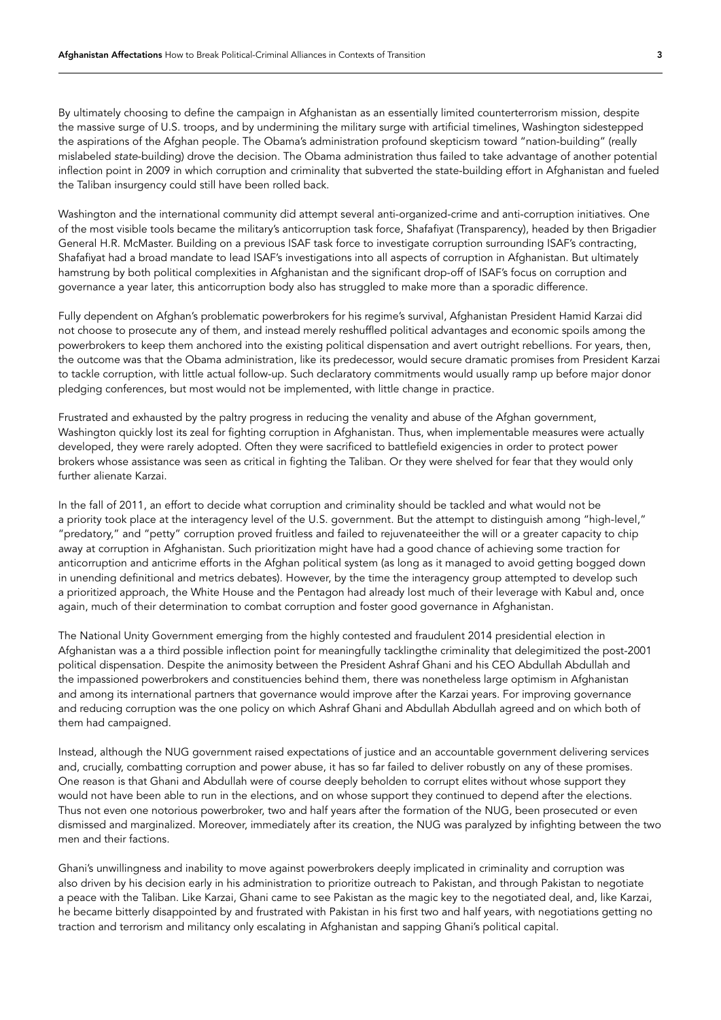By ultimately choosing to define the campaign in Afghanistan as an essentially limited counterterrorism mission, despite the massive surge of U.S. troops, and by undermining the military surge with artificial timelines, Washington sidestepped the aspirations of the Afghan people. The Obama's administration profound skepticism toward "nation-building" (really mislabeled *state*-building) drove the decision. The Obama administration thus failed to take advantage of another potential inflection point in 2009 in which corruption and criminality that subverted the state-building effort in Afghanistan and fueled the Taliban insurgency could still have been rolled back.

Washington and the international community did attempt several anti-organized-crime and anti-corruption initiatives. One of the most visible tools became the military's anticorruption task force, Shafafiyat (Transparency), headed by then Brigadier General H.R. McMaster. Building on a previous ISAF task force to investigate corruption surrounding ISAF's contracting, Shafafiyat had a broad mandate to lead ISAF's investigations into all aspects of corruption in Afghanistan. But ultimately hamstrung by both political complexities in Afghanistan and the significant drop-off of ISAF's focus on corruption and governance a year later, this anticorruption body also has struggled to make more than a sporadic difference.

Fully dependent on Afghan's problematic powerbrokers for his regime's survival, Afghanistan President Hamid Karzai did not choose to prosecute any of them, and instead merely reshuffled political advantages and economic spoils among the powerbrokers to keep them anchored into the existing political dispensation and avert outright rebellions. For years, then, the outcome was that the Obama administration, like its predecessor, would secure dramatic promises from President Karzai to tackle corruption, with little actual follow-up. Such declaratory commitments would usually ramp up before major donor pledging conferences, but most would not be implemented, with little change in practice.

Frustrated and exhausted by the paltry progress in reducing the venality and abuse of the Afghan government, Washington quickly lost its zeal for fighting corruption in Afghanistan. Thus, when implementable measures were actually developed, they were rarely adopted. Often they were sacrificed to battlefield exigencies in order to protect power brokers whose assistance was seen as critical in fighting the Taliban. Or they were shelved for fear that they would only further alienate Karzai.

In the fall of 2011, an effort to decide what corruption and criminality should be tackled and what would not be a priority took place at the interagency level of the U.S. government. But the attempt to distinguish among "high-level," "predatory," and "petty" corruption proved fruitless and failed to rejuvenateeither the will or a greater capacity to chip away at corruption in Afghanistan. Such prioritization might have had a good chance of achieving some traction for anticorruption and anticrime efforts in the Afghan political system (as long as it managed to avoid getting bogged down in unending definitional and metrics debates). However, by the time the interagency group attempted to develop such a prioritized approach, the White House and the Pentagon had already lost much of their leverage with Kabul and, once again, much of their determination to combat corruption and foster good governance in Afghanistan.

The National Unity Government emerging from the highly contested and fraudulent 2014 presidential election in Afghanistan was a a third possible inflection point for meaningfully tacklingthe criminality that delegimitized the post-2001 political dispensation. Despite the animosity between the President Ashraf Ghani and his CEO Abdullah Abdullah and the impassioned powerbrokers and constituencies behind them, there was nonetheless large optimism in Afghanistan and among its international partners that governance would improve after the Karzai years. For improving governance and reducing corruption was the one policy on which Ashraf Ghani and Abdullah Abdullah agreed and on which both of them had campaigned.

Instead, although the NUG government raised expectations of justice and an accountable government delivering services and, crucially, combatting corruption and power abuse, it has so far failed to deliver robustly on any of these promises. One reason is that Ghani and Abdullah were of course deeply beholden to corrupt elites without whose support they would not have been able to run in the elections, and on whose support they continued to depend after the elections. Thus not even one notorious powerbroker, two and half years after the formation of the NUG, been prosecuted or even dismissed and marginalized. Moreover, immediately after its creation, the NUG was paralyzed by infighting between the two men and their factions.

Ghani's unwillingness and inability to move against powerbrokers deeply implicated in criminality and corruption was also driven by his decision early in his administration to prioritize outreach to Pakistan, and through Pakistan to negotiate a peace with the Taliban. Like Karzai, Ghani came to see Pakistan as the magic key to the negotiated deal, and, like Karzai, he became bitterly disappointed by and frustrated with Pakistan in his first two and half years, with negotiations getting no traction and terrorism and militancy only escalating in Afghanistan and sapping Ghani's political capital.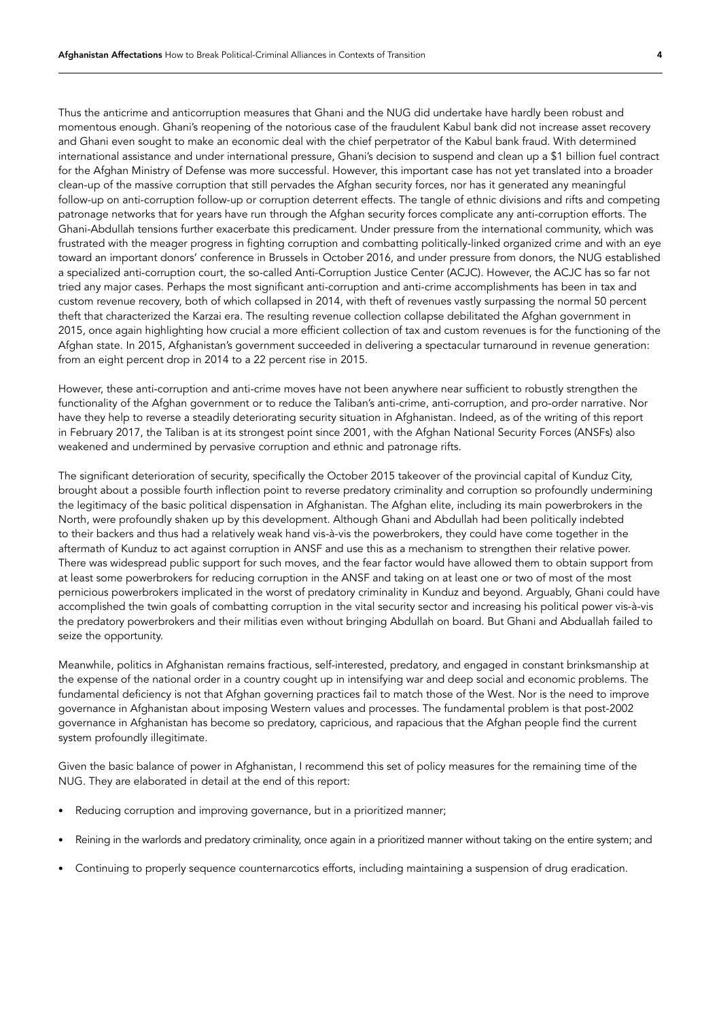Thus the anticrime and anticorruption measures that Ghani and the NUG did undertake have hardly been robust and momentous enough. Ghani's reopening of the notorious case of the fraudulent Kabul bank did not increase asset recovery and Ghani even sought to make an economic deal with the chief perpetrator of the Kabul bank fraud. With determined international assistance and under international pressure, Ghani's decision to suspend and clean up a \$1 billion fuel contract for the Afghan Ministry of Defense was more successful. However, this important case has not yet translated into a broader clean-up of the massive corruption that still pervades the Afghan security forces, nor has it generated any meaningful follow-up on anti-corruption follow-up or corruption deterrent effects. The tangle of ethnic divisions and rifts and competing patronage networks that for years have run through the Afghan security forces complicate any anti-corruption efforts. The Ghani-Abdullah tensions further exacerbate this predicament. Under pressure from the international community, which was frustrated with the meager progress in fighting corruption and combatting politically-linked organized crime and with an eye toward an important donors' conference in Brussels in October 2016, and under pressure from donors, the NUG established a specialized anti-corruption court, the so-called Anti-Corruption Justice Center (ACJC). However, the ACJC has so far not tried any major cases. Perhaps the most significant anti-corruption and anti-crime accomplishments has been in tax and custom revenue recovery, both of which collapsed in 2014, with theft of revenues vastly surpassing the normal 50 percent theft that characterized the Karzai era. The resulting revenue collection collapse debilitated the Afghan government in 2015, once again highlighting how crucial a more efficient collection of tax and custom revenues is for the functioning of the Afghan state. In 2015, Afghanistan's government succeeded in delivering a spectacular turnaround in revenue generation: from an eight percent drop in 2014 to a 22 percent rise in 2015.

However, these anti-corruption and anti-crime moves have not been anywhere near sufficient to robustly strengthen the functionality of the Afghan government or to reduce the Taliban's anti-crime, anti-corruption, and pro-order narrative. Nor have they help to reverse a steadily deteriorating security situation in Afghanistan. Indeed, as of the writing of this report in February 2017, the Taliban is at its strongest point since 2001, with the Afghan National Security Forces (ANSFs) also weakened and undermined by pervasive corruption and ethnic and patronage rifts.

The significant deterioration of security, specifically the October 2015 takeover of the provincial capital of Kunduz City, brought about a possible fourth inflection point to reverse predatory criminality and corruption so profoundly undermining the legitimacy of the basic political dispensation in Afghanistan. The Afghan elite, including its main powerbrokers in the North, were profoundly shaken up by this development. Although Ghani and Abdullah had been politically indebted to their backers and thus had a relatively weak hand vis-à-vis the powerbrokers, they could have come together in the aftermath of Kunduz to act against corruption in ANSF and use this as a mechanism to strengthen their relative power. There was widespread public support for such moves, and the fear factor would have allowed them to obtain support from at least some powerbrokers for reducing corruption in the ANSF and taking on at least one or two of most of the most pernicious powerbrokers implicated in the worst of predatory criminality in Kunduz and beyond. Arguably, Ghani could have accomplished the twin goals of combatting corruption in the vital security sector and increasing his political power vis-à-vis the predatory powerbrokers and their militias even without bringing Abdullah on board. But Ghani and Abduallah failed to seize the opportunity.

Meanwhile, politics in Afghanistan remains fractious, self-interested, predatory, and engaged in constant brinksmanship at the expense of the national order in a country cought up in intensifying war and deep social and economic problems. The fundamental deficiency is not that Afghan governing practices fail to match those of the West. Nor is the need to improve governance in Afghanistan about imposing Western values and processes. The fundamental problem is that post-2002 governance in Afghanistan has become so predatory, capricious, and rapacious that the Afghan people find the current system profoundly illegitimate.

Given the basic balance of power in Afghanistan, I recommend this set of policy measures for the remaining time of the NUG. They are elaborated in detail at the end of this report:

- Reducing corruption and improving governance, but in a prioritized manner;
- Reining in the warlords and predatory criminality, once again in a prioritized manner without taking on the entire system; and
- Continuing to properly sequence counternarcotics efforts, including maintaining a suspension of drug eradication.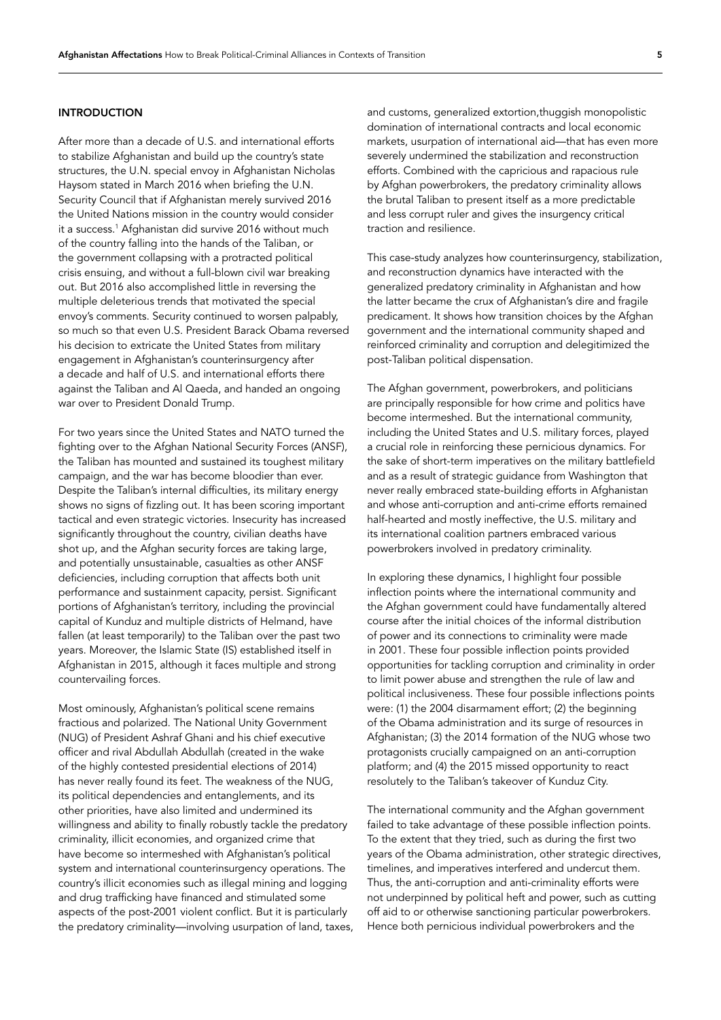## **INTRODUCTION**

After more than a decade of U.S. and international efforts to stabilize Afghanistan and build up the country's state structures, the U.N. special envoy in Afghanistan Nicholas Haysom stated in March 2016 when briefing the U.N. Security Council that if Afghanistan merely survived 2016 the United Nations mission in the country would consider it a success[.1](#page-31-0) Afghanistan did survive 2016 without much of the country falling into the hands of the Taliban, or the government collapsing with a protracted political crisis ensuing, and without a full-blown civil war breaking out. But 2016 also accomplished little in reversing the multiple deleterious trends that motivated the special envoy's comments. Security continued to worsen palpably, so much so that even U.S. President Barack Obama reversed his decision to extricate the United States from military engagement in Afghanistan's counterinsurgency after a decade and half of U.S. and international efforts there against the Taliban and Al Qaeda, and handed an ongoing war over to President Donald Trump.

For two years since the United States and NATO turned the fighting over to the Afghan National Security Forces (ANSF), the Taliban has mounted and sustained its toughest military campaign, and the war has become bloodier than ever. Despite the Taliban's internal difficulties, its military energy shows no signs of fizzling out. It has been scoring important tactical and even strategic victories. Insecurity has increased significantly throughout the country, civilian deaths have shot up, and the Afghan security forces are taking large, and potentially unsustainable, casualties as other ANSF deficiencies, including corruption that affects both unit performance and sustainment capacity, persist. Significant portions of Afghanistan's territory, including the provincial capital of Kunduz and multiple districts of Helmand, have fallen (at least temporarily) to the Taliban over the past two years. Moreover, the Islamic State (IS) established itself in Afghanistan in 2015, although it faces multiple and strong countervailing forces.

Most ominously, Afghanistan's political scene remains fractious and polarized. The National Unity Government (NUG) of President Ashraf Ghani and his chief executive officer and rival Abdullah Abdullah (created in the wake of the highly contested presidential elections of 2014) has never really found its feet. The weakness of the NUG, its political dependencies and entanglements, and its other priorities, have also limited and undermined its willingness and ability to finally robustly tackle the predatory criminality, illicit economies, and organized crime that have become so intermeshed with Afghanistan's political system and international counterinsurgency operations. The country's illicit economies such as illegal mining and logging and drug trafficking have financed and stimulated some aspects of the post-2001 violent conflict. But it is particularly the predatory criminality—involving usurpation of land, taxes, and customs, generalized extortion,thuggish monopolistic domination of international contracts and local economic markets, usurpation of international aid—that has even more severely undermined the stabilization and reconstruction efforts. Combined with the capricious and rapacious rule by Afghan powerbrokers, the predatory criminality allows the brutal Taliban to present itself as a more predictable and less corrupt ruler and gives the insurgency critical traction and resilience.

This case-study analyzes how counterinsurgency, stabilization, and reconstruction dynamics have interacted with the generalized predatory criminality in Afghanistan and how the latter became the crux of Afghanistan's dire and fragile predicament. It shows how transition choices by the Afghan government and the international community shaped and reinforced criminality and corruption and delegitimized the post-Taliban political dispensation.

The Afghan government, powerbrokers, and politicians are principally responsible for how crime and politics have become intermeshed. But the international community, including the United States and U.S. military forces, played a crucial role in reinforcing these pernicious dynamics. For the sake of short-term imperatives on the military battlefield and as a result of strategic guidance from Washington that never really embraced state-building efforts in Afghanistan and whose anti-corruption and anti-crime efforts remained half-hearted and mostly ineffective, the U.S. military and its international coalition partners embraced various powerbrokers involved in predatory criminality.

In exploring these dynamics, I highlight four possible inflection points where the international community and the Afghan government could have fundamentally altered course after the initial choices of the informal distribution of power and its connections to criminality were made in 2001. These four possible inflection points provided opportunities for tackling corruption and criminality in order to limit power abuse and strengthen the rule of law and political inclusiveness. These four possible inflections points were: (1) the 2004 disarmament effort; (2) the beginning of the Obama administration and its surge of resources in Afghanistan; (3) the 2014 formation of the NUG whose two protagonists crucially campaigned on an anti-corruption platform; and (4) the 2015 missed opportunity to react resolutely to the Taliban's takeover of Kunduz City.

The international community and the Afghan government failed to take advantage of these possible inflection points. To the extent that they tried, such as during the first two years of the Obama administration, other strategic directives, timelines, and imperatives interfered and undercut them. Thus, the anti-corruption and anti-criminality efforts were not underpinned by political heft and power, such as cutting off aid to or otherwise sanctioning particular powerbrokers. Hence both pernicious individual powerbrokers and the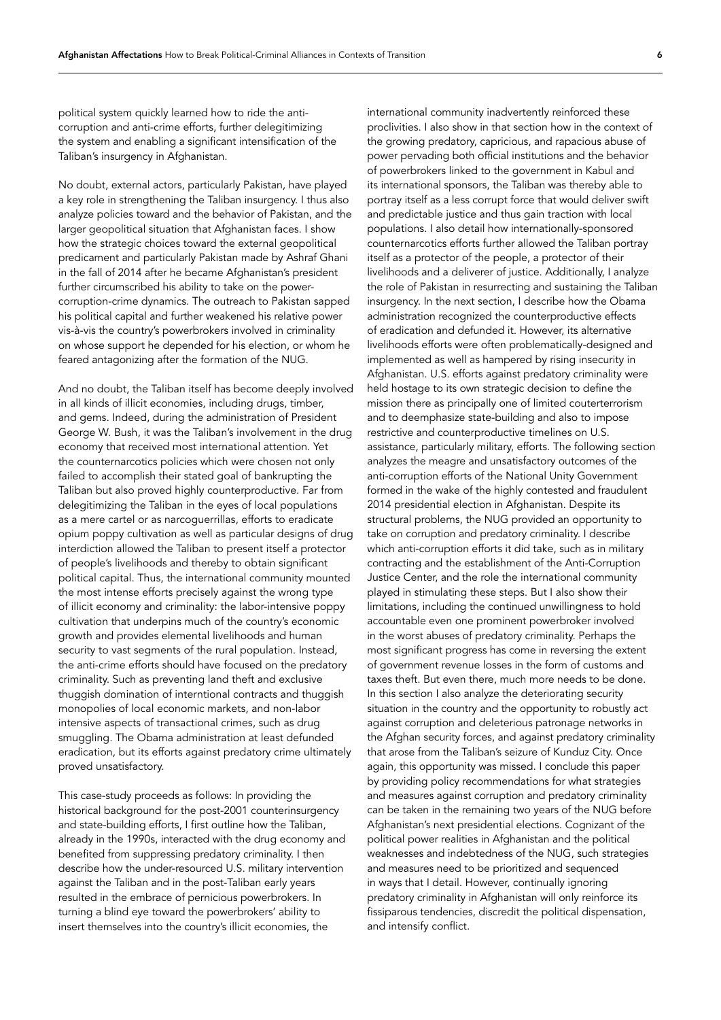political system quickly learned how to ride the anticorruption and anti-crime efforts, further delegitimizing the system and enabling a significant intensification of the Taliban's insurgency in Afghanistan.

No doubt, external actors, particularly Pakistan, have played a key role in strengthening the Taliban insurgency. I thus also analyze policies toward and the behavior of Pakistan, and the larger geopolitical situation that Afghanistan faces. I show how the strategic choices toward the external geopolitical predicament and particularly Pakistan made by Ashraf Ghani in the fall of 2014 after he became Afghanistan's president further circumscribed his ability to take on the powercorruption-crime dynamics. The outreach to Pakistan sapped his political capital and further weakened his relative power vis-à-vis the country's powerbrokers involved in criminality on whose support he depended for his election, or whom he feared antagonizing after the formation of the NUG.

And no doubt, the Taliban itself has become deeply involved in all kinds of illicit economies, including drugs, timber, and gems. Indeed, during the administration of President George W. Bush, it was the Taliban's involvement in the drug economy that received most international attention. Yet the counternarcotics policies which were chosen not only failed to accomplish their stated goal of bankrupting the Taliban but also proved highly counterproductive. Far from delegitimizing the Taliban in the eyes of local populations as a mere cartel or as narcoguerrillas, efforts to eradicate opium poppy cultivation as well as particular designs of drug interdiction allowed the Taliban to present itself a protector of people's livelihoods and thereby to obtain significant political capital. Thus, the international community mounted the most intense efforts precisely against the wrong type of illicit economy and criminality: the labor-intensive poppy cultivation that underpins much of the country's economic growth and provides elemental livelihoods and human security to vast segments of the rural population. Instead, the anti-crime efforts should have focused on the predatory criminality. Such as preventing land theft and exclusive thuggish domination of interntional contracts and thuggish monopolies of local economic markets, and non-labor intensive aspects of transactional crimes, such as drug smuggling. The Obama administration at least defunded eradication, but its efforts against predatory crime ultimately proved unsatisfactory.

This case-study proceeds as follows: In providing the historical background for the post-2001 counterinsurgency and state-building efforts, I first outline how the Taliban, already in the 1990s, interacted with the drug economy and benefited from suppressing predatory criminality. I then describe how the under-resourced U.S. military intervention against the Taliban and in the post-Taliban early years resulted in the embrace of pernicious powerbrokers. In turning a blind eye toward the powerbrokers' ability to insert themselves into the country's illicit economies, the

international community inadvertently reinforced these proclivities. I also show in that section how in the context of the growing predatory, capricious, and rapacious abuse of power pervading both official institutions and the behavior of powerbrokers linked to the government in Kabul and its international sponsors, the Taliban was thereby able to portray itself as a less corrupt force that would deliver swift and predictable justice and thus gain traction with local populations. I also detail how internationally-sponsored counternarcotics efforts further allowed the Taliban portray itself as a protector of the people, a protector of their livelihoods and a deliverer of justice. Additionally, I analyze the role of Pakistan in resurrecting and sustaining the Taliban insurgency. In the next section, I describe how the Obama administration recognized the counterproductive effects of eradication and defunded it. However, its alternative livelihoods efforts were often problematically-designed and implemented as well as hampered by rising insecurity in Afghanistan. U.S. efforts against predatory criminality were held hostage to its own strategic decision to define the mission there as principally one of limited couterterrorism and to deemphasize state-building and also to impose restrictive and counterproductive timelines on U.S. assistance, particularly military, efforts. The following section analyzes the meagre and unsatisfactory outcomes of the anti-corruption efforts of the National Unity Government formed in the wake of the highly contested and fraudulent 2014 presidential election in Afghanistan. Despite its structural problems, the NUG provided an opportunity to take on corruption and predatory criminality. I describe which anti-corruption efforts it did take, such as in military contracting and the establishment of the Anti-Corruption Justice Center, and the role the international community played in stimulating these steps. But I also show their limitations, including the continued unwillingness to hold accountable even one prominent powerbroker involved in the worst abuses of predatory criminality. Perhaps the most significant progress has come in reversing the extent of government revenue losses in the form of customs and taxes theft. But even there, much more needs to be done. In this section I also analyze the deteriorating security situation in the country and the opportunity to robustly act against corruption and deleterious patronage networks in the Afghan security forces, and against predatory criminality that arose from the Taliban's seizure of Kunduz City. Once again, this opportunity was missed. I conclude this paper by providing policy recommendations for what strategies and measures against corruption and predatory criminality can be taken in the remaining two years of the NUG before Afghanistan's next presidential elections. Cognizant of the political power realities in Afghanistan and the political weaknesses and indebtedness of the NUG, such strategies and measures need to be prioritized and sequenced in ways that I detail. However, continually ignoring predatory criminality in Afghanistan will only reinforce its fissiparous tendencies, discredit the political dispensation, and intensify conflict.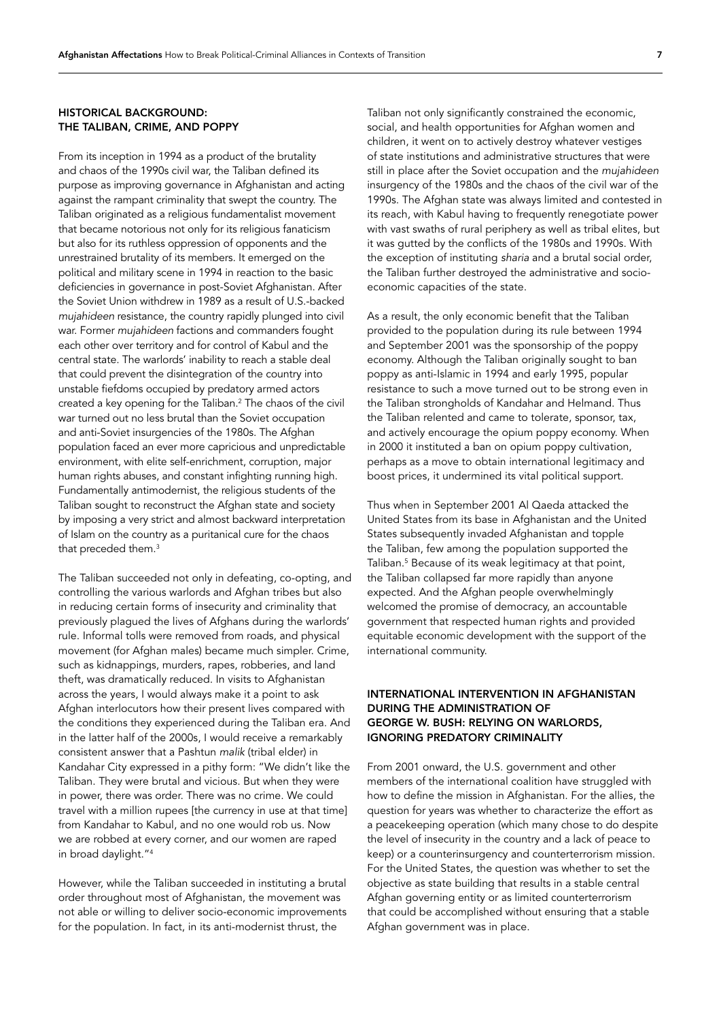# HISTORICAL BACKGROUND: THE TALIBAN, CRIME, AND POPPY

From its inception in 1994 as a product of the brutality and chaos of the 1990s civil war, the Taliban defined its purpose as improving governance in Afghanistan and acting against the rampant criminality that swept the country. The Taliban originated as a religious fundamentalist movement that became notorious not only for its religious fanaticism but also for its ruthless oppression of opponents and the unrestrained brutality of its members. It emerged on the political and military scene in 1994 in reaction to the basic deficiencies in governance in post-Soviet Afghanistan. After the Soviet Union withdrew in 1989 as a result of U.S.-backed *mujahideen* resistance, the country rapidly plunged into civil war. Former *mujahideen* factions and commanders fought each other over territory and for control of Kabul and the central state. The warlords' inability to reach a stable deal that could prevent the disintegration of the country into unstable fiefdoms occupied by predatory armed actors created a key opening for the Taliban.<sup>[2](#page-31-1)</sup> The chaos of the civil war turned out no less brutal than the Soviet occupation and anti-Soviet insurgencies of the 1980s. The Afghan population faced an ever more capricious and unpredictable environment, with elite self-enrichment, corruption, major human rights abuses, and constant infighting running high. Fundamentally antimodernist, the religious students of the Taliban sought to reconstruct the Afghan state and society by imposing a very strict and almost backward interpretation of Islam on the country as a puritanical cure for the chaos that preceded them.<sup>3</sup>

The Taliban succeeded not only in defeating, co-opting, and controlling the various warlords and Afghan tribes but also in reducing certain forms of insecurity and criminality that previously plagued the lives of Afghans during the warlords' rule. Informal tolls were removed from roads, and physical movement (for Afghan males) became much simpler. Crime, such as kidnappings, murders, rapes, robberies, and land theft, was dramatically reduced. In visits to Afghanistan across the years, I would always make it a point to ask Afghan interlocutors how their present lives compared with the conditions they experienced during the Taliban era. And in the latter half of the 2000s, I would receive a remarkably consistent answer that a Pashtun *malik* (tribal elder) in Kandahar City expressed in a pithy form: "We didn't like the Taliban. They were brutal and vicious. But when they were in power, there was order. There was no crime. We could travel with a million rupees [the currency in use at that time] from Kandahar to Kabul, and no one would rob us. Now we are robbed at every corner, and our women are raped in broad daylight."[4](#page-31-3)

However, while the Taliban succeeded in instituting a brutal order throughout most of Afghanistan, the movement was not able or willing to deliver socio-economic improvements for the population. In fact, in its anti-modernist thrust, the

Taliban not only significantly constrained the economic, social, and health opportunities for Afghan women and children, it went on to actively destroy whatever vestiges of state institutions and administrative structures that were still in place after the Soviet occupation and the *mujahideen* insurgency of the 1980s and the chaos of the civil war of the 1990s. The Afghan state was always limited and contested in its reach, with Kabul having to frequently renegotiate power with vast swaths of rural periphery as well as tribal elites, but it was gutted by the conflicts of the 1980s and 1990s. With the exception of instituting *sharia* and a brutal social order, the Taliban further destroyed the administrative and socioeconomic capacities of the state.

As a result, the only economic benefit that the Taliban provided to the population during its rule between 1994 and September 2001 was the sponsorship of the poppy economy. Although the Taliban originally sought to ban poppy as anti-Islamic in 1994 and early 1995, popular resistance to such a move turned out to be strong even in the Taliban strongholds of Kandahar and Helmand. Thus the Taliban relented and came to tolerate, sponsor, tax, and actively encourage the opium poppy economy. When in 2000 it instituted a ban on opium poppy cultivation, perhaps as a move to obtain international legitimacy and boost prices, it undermined its vital political support.

Thus when in September 2001 Al Qaeda attacked the United States from its base in Afghanistan and the United States subsequently invaded Afghanistan and topple the Taliban, few among the population supported the Taliban[.5](#page-31-4) Because of its weak legitimacy at that point, the Taliban collapsed far more rapidly than anyone expected. And the Afghan people overwhelmingly welcomed the promise of democracy, an accountable government that respected human rights and provided equitable economic development with the support of the international community.

# INTERNATIONAL INTERVENTION IN AFGHANISTAN DURING THE ADMINISTRATION OF GEORGE W. BUSH: RELYING ON WARLORDS, IGNORING PREDATORY CRIMINALITY

From 2001 onward, the U.S. government and other members of the international coalition have struggled with how to define the mission in Afghanistan. For the allies, the question for years was whether to characterize the effort as a peacekeeping operation (which many chose to do despite the level of insecurity in the country and a lack of peace to keep) or a counterinsurgency and counterterrorism mission. For the United States, the question was whether to set the objective as state building that results in a stable central Afghan governing entity or as limited counterterrorism that could be accomplished without ensuring that a stable Afghan government was in place.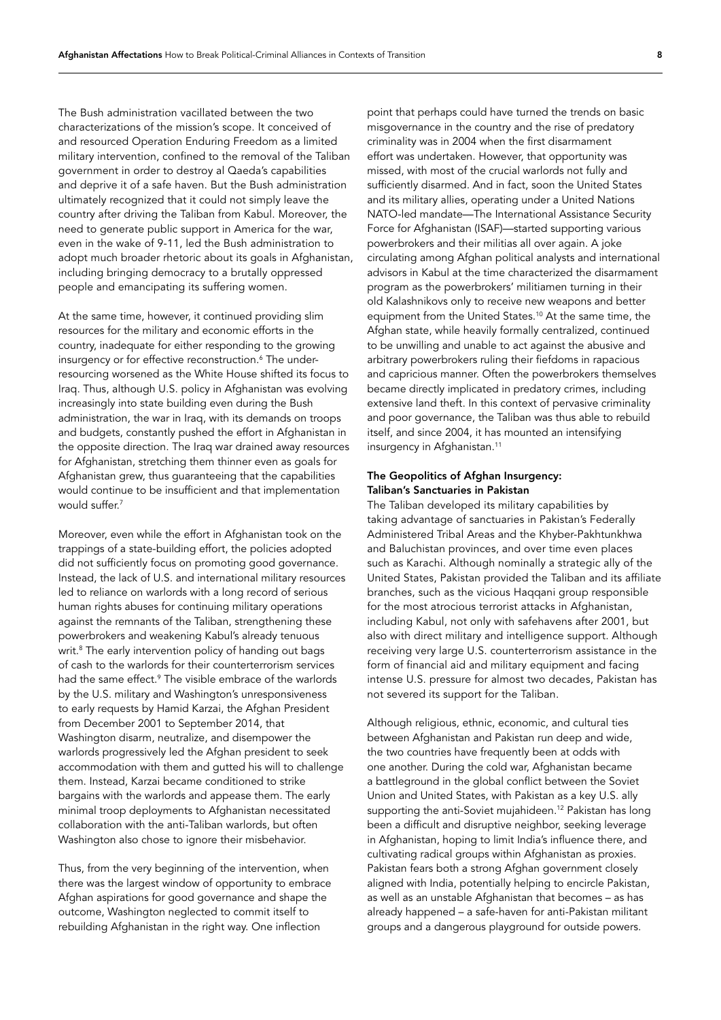The Bush administration vacillated between the two characterizations of the mission's scope. It conceived of and resourced Operation Enduring Freedom as a limited military intervention, confined to the removal of the Taliban government in order to destroy al Qaeda's capabilities and deprive it of a safe haven. But the Bush administration ultimately recognized that it could not simply leave the country after driving the Taliban from Kabul. Moreover, the need to generate public support in America for the war, even in the wake of 9-11, led the Bush administration to adopt much broader rhetoric about its goals in Afghanistan, including bringing democracy to a brutally oppressed people and emancipating its suffering women.

At the same time, however, it continued providing slim resources for the military and economic efforts in the country, inadequate for either responding to the growing insurgency or for effective reconstruction[.6](#page-31-5) The underresourcing worsened as the White House shifted its focus to Iraq. Thus, although U.S. policy in Afghanistan was evolving increasingly into state building even during the Bush administration, the war in Iraq, with its demands on troops and budgets, constantly pushed the effort in Afghanistan in the opposite direction. The Iraq war drained away resources for Afghanistan, stretching them thinner even as goals for Afghanistan grew, thus guaranteeing that the capabilities would continue to be insufficient and that implementation would suffer.<sup>[7](#page-31-6)</sup>

Moreover, even while the effort in Afghanistan took on the trappings of a state-building effort, the policies adopted did not sufficiently focus on promoting good governance. Instead, the lack of U.S. and international military resources led to reliance on warlords with a long record of serious human rights abuses for continuing military operations against the remnants of the Taliban, strengthening these powerbrokers and weakening Kabul's already tenuous writ[.8](#page-31-7) The early intervention policy of handing out bags of cash to the warlords for their counterterrorism services had the same effect.<sup>9</sup> The visible embrace of the warlords by the U.S. military and Washington's unresponsiveness to early requests by Hamid Karzai, the Afghan President from December 2001 to September 2014, that Washington disarm, neutralize, and disempower the warlords progressively led the Afghan president to seek accommodation with them and gutted his will to challenge them. Instead, Karzai became conditioned to strike bargains with the warlords and appease them. The early minimal troop deployments to Afghanistan necessitated collaboration with the anti-Taliban warlords, but often Washington also chose to ignore their misbehavior.

Thus, from the very beginning of the intervention, when there was the largest window of opportunity to embrace Afghan aspirations for good governance and shape the outcome, Washington neglected to commit itself to rebuilding Afghanistan in the right way. One inflection

point that perhaps could have turned the trends on basic misgovernance in the country and the rise of predatory criminality was in 2004 when the first disarmament effort was undertaken. However, that opportunity was missed, with most of the crucial warlords not fully and sufficiently disarmed. And in fact, soon the United States and its military allies, operating under a United Nations NATO-led mandate—The International Assistance Security Force for Afghanistan (ISAF)—started supporting various powerbrokers and their militias all over again. A joke circulating among Afghan political analysts and international advisors in Kabul at the time characterized the disarmament program as the powerbrokers' militiamen turning in their old Kalashnikovs only to receive new weapons and better equipment from the United States.<sup>10</sup> At the same time, the Afghan state, while heavily formally centralized, continued to be unwilling and unable to act against the abusive and arbitrary powerbrokers ruling their fiefdoms in rapacious and capricious manner. Often the powerbrokers themselves became directly implicated in predatory crimes, including extensive land theft. In this context of pervasive criminality and poor governance, the Taliban was thus able to rebuild itself, and since 2004, it has mounted an intensifying insurgency in Afghanistan.<sup>[11](#page-31-10)</sup>

## The Geopolitics of Afghan Insurgency: Taliban's Sanctuaries in Pakistan

The Taliban developed its military capabilities by taking advantage of sanctuaries in Pakistan's Federally Administered Tribal Areas and the Khyber-Pakhtunkhwa and Baluchistan provinces, and over time even places such as Karachi. Although nominally a strategic ally of the United States, Pakistan provided the Taliban and its affiliate branches, such as the vicious Haqqani group responsible for the most atrocious terrorist attacks in Afghanistan, including Kabul, not only with safehavens after 2001, but also with direct military and intelligence support. Although receiving very large U.S. counterterrorism assistance in the form of financial aid and military equipment and facing intense U.S. pressure for almost two decades, Pakistan has not severed its support for the Taliban.

Although religious, ethnic, economic, and cultural ties between Afghanistan and Pakistan run deep and wide, the two countries have frequently been at odds with one another. During the cold war, Afghanistan became a battleground in the global conflict between the Soviet Union and United States, with Pakistan as a key U.S. ally supporting the anti-Soviet mujahideen.<sup>12</sup> Pakistan has long been a difficult and disruptive neighbor, seeking leverage in Afghanistan, hoping to limit India's influence there, and cultivating radical groups within Afghanistan as proxies. Pakistan fears both a strong Afghan government closely aligned with India, potentially helping to encircle Pakistan, as well as an unstable Afghanistan that becomes - as has already happened – a safe-haven for anti-Pakistan militant groups and a dangerous playground for outside powers.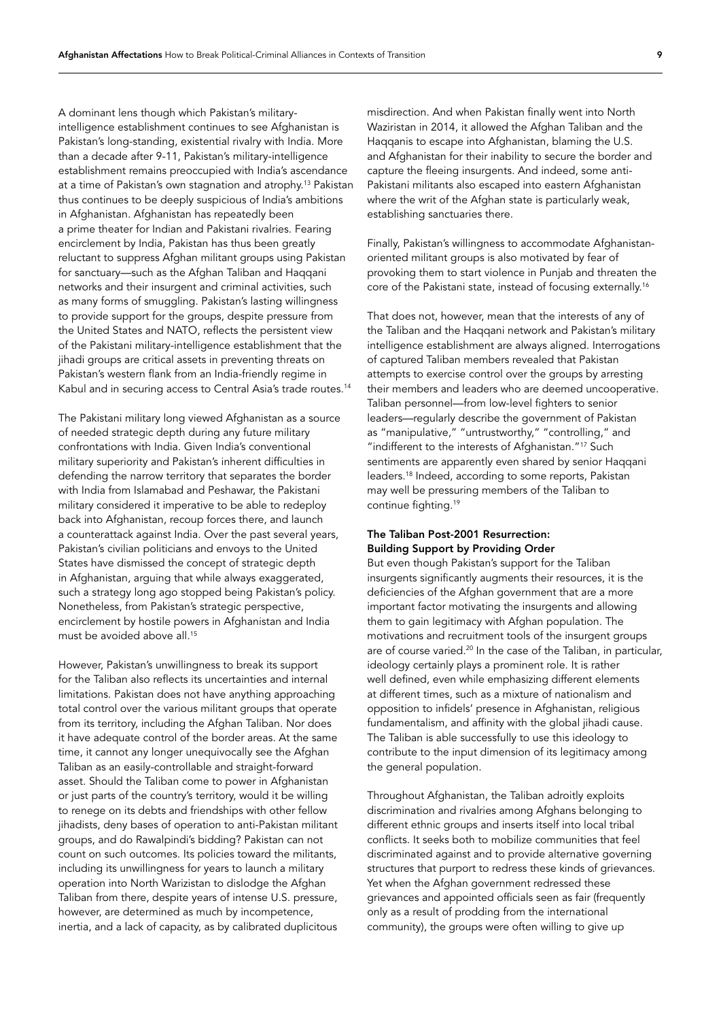A dominant lens though which Pakistan's militaryintelligence establishment continues to see Afghanistan is Pakistan's long-standing, existential rivalry with India. More than a decade after 9-11, Pakistan's military-intelligence establishment remains preoccupied with India's ascendance at a time of Pakistan's own stagnation and atrophy.[13](#page-31-12) Pakistan thus continues to be deeply suspicious of India's ambitions in Afghanistan. Afghanistan has repeatedly been a prime theater for Indian and Pakistani rivalries. Fearing encirclement by India, Pakistan has thus been greatly reluctant to suppress Afghan militant groups using Pakistan for sanctuary—such as the Afghan Taliban and Haqqani networks and their insurgent and criminal activities, such as many forms of smuggling. Pakistan's lasting willingness to provide support for the groups, despite pressure from the United States and NATO, reflects the persistent view of the Pakistani military-intelligence establishment that the jihadi groups are critical assets in preventing threats on Pakistan's western flank from an India-friendly regime in Kabul and in securing access to Central Asia's trade routes[.14](#page-31-13)

The Pakistani military long viewed Afghanistan as a source of needed strategic depth during any future military confrontations with India. Given India's conventional military superiority and Pakistan's inherent difficulties in defending the narrow territory that separates the border with India from Islamabad and Peshawar, the Pakistani military considered it imperative to be able to redeploy back into Afghanistan, recoup forces there, and launch a counterattack against India. Over the past several years, Pakistan's civilian politicians and envoys to the United States have dismissed the concept of strategic depth in Afghanistan, arguing that while always exaggerated, such a strategy long ago stopped being Pakistan's policy. Nonetheless, from Pakistan's strategic perspective, encirclement by hostile powers in Afghanistan and India must be avoided above all[.15](#page-31-14)

However, Pakistan's unwillingness to break its support for the Taliban also reflects its uncertainties and internal limitations. Pakistan does not have anything approaching total control over the various militant groups that operate from its territory, including the Afghan Taliban. Nor does it have adequate control of the border areas. At the same time, it cannot any longer unequivocally see the Afghan Taliban as an easily-controllable and straight-forward asset. Should the Taliban come to power in Afghanistan or just parts of the country's territory, would it be willing to renege on its debts and friendships with other fellow jihadists, deny bases of operation to anti-Pakistan militant groups, and do Rawalpindi's bidding? Pakistan can not count on such outcomes. Its policies toward the militants, including its unwillingness for years to launch a military operation into North Warizistan to dislodge the Afghan Taliban from there, despite years of intense U.S. pressure, however, are determined as much by incompetence, inertia, and a lack of capacity, as by calibrated duplicitous

misdirection. And when Pakistan finally went into North Waziristan in 2014, it allowed the Afghan Taliban and the Haqqanis to escape into Afghanistan, blaming the U.S. and Afghanistan for their inability to secure the border and capture the fleeing insurgents. And indeed, some anti-Pakistani militants also escaped into eastern Afghanistan where the writ of the Afghan state is particularly weak, establishing sanctuaries there.

Finally, Pakistan's willingness to accommodate Afghanistanoriented militant groups is also motivated by fear of provoking them to start violence in Punjab and threaten the core of the Pakistani state, instead of focusing externally.<sup>16</sup>

That does not, however, mean that the interests of any of the Taliban and the Haqqani network and Pakistan's military intelligence establishment are always aligned. Interrogations of captured Taliban members revealed that Pakistan attempts to exercise control over the groups by arresting their members and leaders who are deemed uncooperative. Taliban personnel—from low-level fighters to senior leaders—regularly describe the government of Pakistan as "manipulative," "untrustworthy," "controlling," and "indifferent to the interests of Afghanistan."<sup>17</sup> Such sentiments are apparently even shared by senior Haqqani leaders.[18](#page-31-17) Indeed, according to some reports, Pakistan may well be pressuring members of the Taliban to continue fighting[.19](#page-31-18)

# The Taliban Post-2001 Resurrection: Building Support by Providing Order

But even though Pakistan's support for the Taliban insurgents significantly augments their resources, it is the deficiencies of the Afghan government that are a more important factor motivating the insurgents and allowing them to gain legitimacy with Afghan population. The motivations and recruitment tools of the insurgent groups are of course varied.<sup>20</sup> In the case of the Taliban, in particular, ideology certainly plays a prominent role. It is rather well defined, even while emphasizing different elements at different times, such as a mixture of nationalism and opposition to infidels' presence in Afghanistan, religious fundamentalism, and affinity with the global jihadi cause. The Taliban is able successfully to use this ideology to contribute to the input dimension of its legitimacy among the general population.

Throughout Afghanistan, the Taliban adroitly exploits discrimination and rivalries among Afghans belonging to different ethnic groups and inserts itself into local tribal conflicts. It seeks both to mobilize communities that feel discriminated against and to provide alternative governing structures that purport to redress these kinds of grievances. Yet when the Afghan government redressed these grievances and appointed officials seen as fair (frequently only as a result of prodding from the international community), the groups were often willing to give up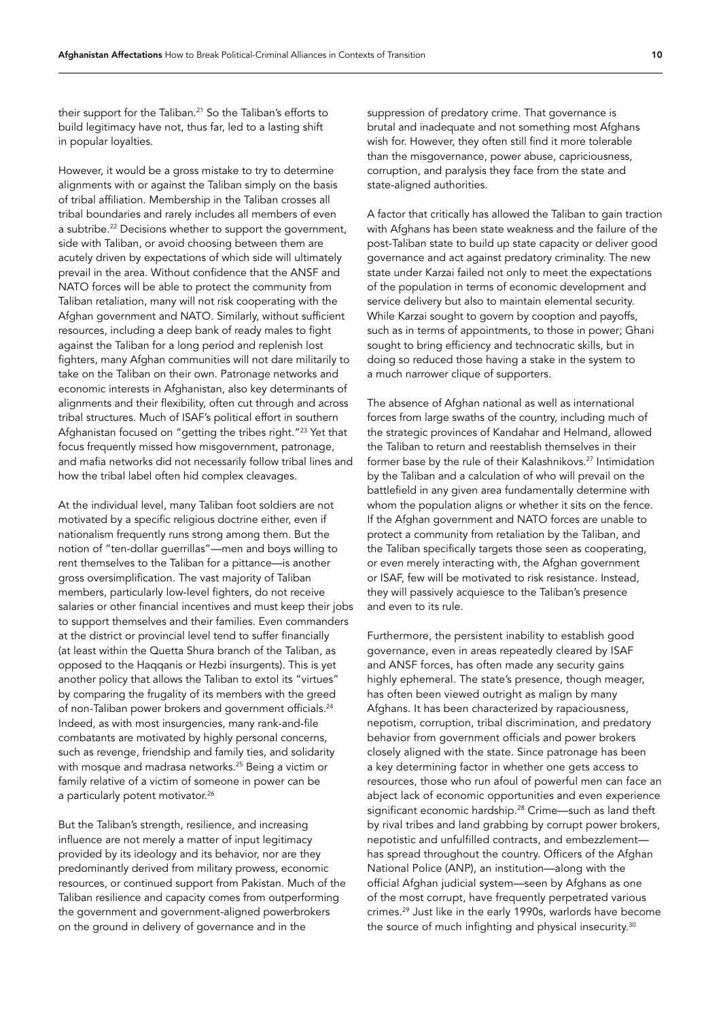their support for the Taliban[.21](#page-31-20) So the Taliban's efforts to build legitimacy have not, thus far, led to a lasting shift in popular loyalties.

However, it would be a gross mistake to try to determine alignments with or against the Taliban simply on the basis of tribal affiliation. Membership in the Taliban crosses all tribal boundaries and rarely includes all members of even a subtribe.[22](#page-31-21) Decisions whether to support the government, side with Taliban, or avoid choosing between them are acutely driven by expectations of which side will ultimately prevail in the area. Without confidence that the ANSF and NATO forces will be able to protect the community from Taliban retaliation, many will not risk cooperating with the Afghan government and NATO. Similarly, without sufficient resources, including a deep bank of ready males to fight against the Taliban for a long period and replenish lost fighters, many Afghan communities will not dare militarily to take on the Taliban on their own. Patronage networks and economic interests in Afghanistan, also key determinants of alignments and their flexibility, often cut through and across tribal structures. Much of ISAF's political effort in southern Afghanistan focused on "getting the tribes right."[23](#page-31-22) Yet that focus frequently missed how misgovernment, patronage, and mafia networks did not necessarily follow tribal lines and how the tribal label often hid complex cleavages.

At the individual level, many Taliban foot soldiers are not motivated by a specific religious doctrine either, even if nationalism frequently runs strong among them. But the notion of "ten-dollar guerrillas"—men and boys willing to rent themselves to the Taliban for a pittance—is another gross oversimplification. The vast majority of Taliban members, particularly low-level fighters, do not receive salaries or other financial incentives and must keep their jobs to support themselves and their families. Even commanders at the district or provincial level tend to suffer financially (at least within the Quetta Shura branch of the Taliban, as opposed to the Haqqanis or Hezbi insurgents). This is yet another policy that allows the Taliban to extol its "virtues" by comparing the frugality of its members with the greed of non-Taliban power brokers and government officials.<sup>[24](#page-31-23)</sup> Indeed, as with most insurgencies, many rank-and-file combatants are motivated by highly personal concerns, such as revenge, friendship and family ties, and solidarity with mosque and madrasa networks.<sup>25</sup> Being a victim or family relative of a victim of someone in power can be a particularly potent motivator.<sup>26</sup>

But the Taliban's strength, resilience, and increasing influence are not merely a matter of input legitimacy provided by its ideology and its behavior, nor are they predominantly derived from military prowess, economic resources, or continued support from Pakistan. Much of the Taliban resilience and capacity comes from outperforming the government and government-aligned powerbrokers on the ground in delivery of governance and in the

suppression of predatory crime. That governance is brutal and inadequate and not something most Afghans wish for. However, they often still find it more tolerable than the misgovernance, power abuse, capriciousness, corruption, and paralysis they face from the state and state-aligned authorities.

A factor that critically has allowed the Taliban to gain traction with Afghans has been state weakness and the failure of the post-Taliban state to build up state capacity or deliver good governance and act against predatory criminality. The new state under Karzai failed not only to meet the expectations of the population in terms of economic development and service delivery but also to maintain elemental security. While Karzai sought to govern by cooption and payoffs, such as in terms of appointments, to those in power; Ghani sought to bring efficiency and technocratic skills, but in doing so reduced those having a stake in the system to a much narrower clique of supporters.

The absence of Afghan national as well as international forces from large swaths of the country, including much of the strategic provinces of Kandahar and Helmand, allowed the Taliban to return and reestablish themselves in their former base by the rule of their Kalashnikovs.<sup>27</sup> Intimidation by the Taliban and a calculation of who will prevail on the battlefield in any given area fundamentally determine with whom the population aligns or whether it sits on the fence. If the Afghan government and NATO forces are unable to protect a community from retaliation by the Taliban, and the Taliban specifically targets those seen as cooperating, or even merely interacting with, the Afghan government or ISAF, few will be motivated to risk resistance. Instead, they will passively acquiesce to the Taliban's presence and even to its rule.

Furthermore, the persistent inability to establish good governance, even in areas repeatedly cleared by ISAF and ANSF forces, has often made any security gains highly ephemeral. The state's presence, though meager, has often been viewed outright as malign by many Afghans. It has been characterized by rapaciousness, nepotism, corruption, tribal discrimination, and predatory behavior from government officials and power brokers closely aligned with the state. Since patronage has been a key determining factor in whether one gets access to resources, those who run afoul of powerful men can face an abject lack of economic opportunities and even experience significant economic hardship.<sup>28</sup> Crime—such as land theft by rival tribes and land grabbing by corrupt power brokers, nepotistic and unfulfilled contracts, and embezzlement has spread throughout the country. Officers of the Afghan National Police (ANP), an institution—along with the official Afghan judicial system—seen by Afghans as one of the most corrupt, have frequently perpetrated various crimes[.29](#page-32-3) Just like in the early 1990s, warlords have become the source of much infighting and physical insecurity.<sup>30</sup>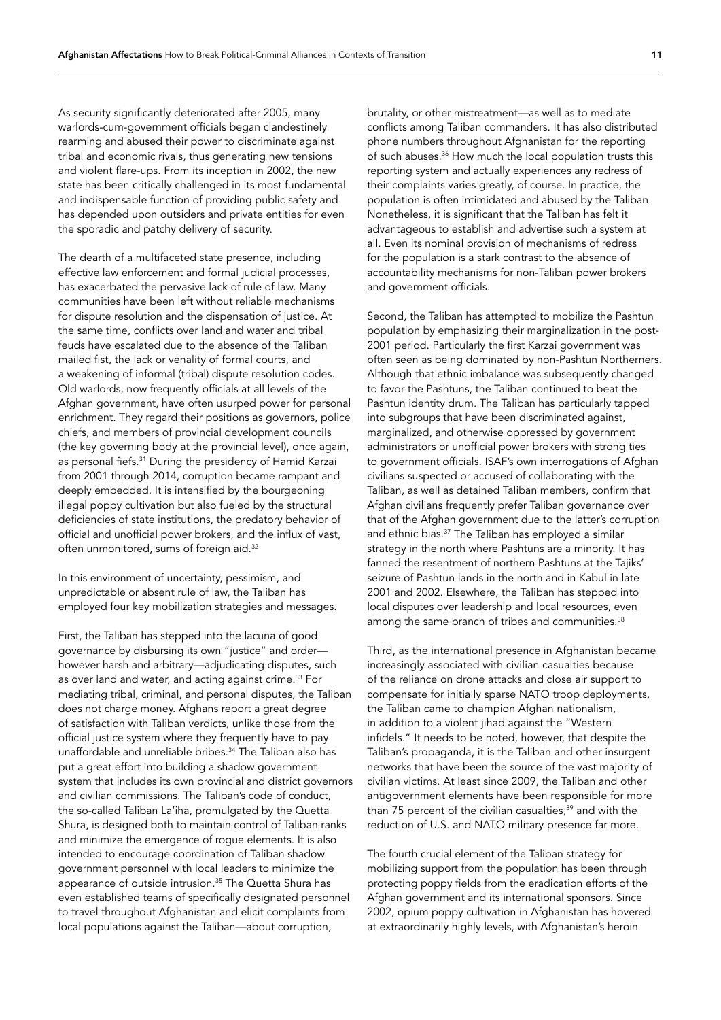As security significantly deteriorated after 2005, many warlords-cum-government officials began clandestinely rearming and abused their power to discriminate against tribal and economic rivals, thus generating new tensions and violent flare-ups. From its inception in 2002, the new state has been critically challenged in its most fundamental and indispensable function of providing public safety and has depended upon outsiders and private entities for even the sporadic and patchy delivery of security.

The dearth of a multifaceted state presence, including effective law enforcement and formal judicial processes, has exacerbated the pervasive lack of rule of law. Many communities have been left without reliable mechanisms for dispute resolution and the dispensation of justice. At the same time, conflicts over land and water and tribal feuds have escalated due to the absence of the Taliban mailed fist, the lack or venality of formal courts, and a weakening of informal (tribal) dispute resolution codes. Old warlords, now frequently officials at all levels of the Afghan government, have often usurped power for personal enrichment. They regard their positions as governors, police chiefs, and members of provincial development councils (the key governing body at the provincial level), once again, as personal fiefs[.31](#page-32-5) During the presidency of Hamid Karzai from 2001 through 2014, corruption became rampant and deeply embedded. It is intensified by the bourgeoning illegal poppy cultivation but also fueled by the structural deficiencies of state institutions, the predatory behavior of official and unofficial power brokers, and the influx of vast, often unmonitored, sums of foreign aid.[32](#page-32-6)

In this environment of uncertainty, pessimism, and unpredictable or absent rule of law, the Taliban has employed four key mobilization strategies and messages.

First, the Taliban has stepped into the lacuna of good governance by disbursing its own "justice" and order however harsh and arbitrary—adjudicating disputes, such as over land and water, and acting against crime.<sup>33</sup> For mediating tribal, criminal, and personal disputes, the Taliban does not charge money. Afghans report a great degree of satisfaction with Taliban verdicts, unlike those from the official justice system where they frequently have to pay unaffordable and unreliable bribes.[34](#page-32-8) The Taliban also has put a great effort into building a shadow government system that includes its own provincial and district governors and civilian commissions. The Taliban's code of conduct, the so-called Taliban La'iha, promulgated by the Quetta Shura, is designed both to maintain control of Taliban ranks and minimize the emergence of rogue elements. It is also intended to encourage coordination of Taliban shadow government personnel with local leaders to minimize the appearance of outside intrusion.[35](#page-32-9) The Quetta Shura has even established teams of specifically designated personnel to travel throughout Afghanistan and elicit complaints from local populations against the Taliban—about corruption,

brutality, or other mistreatment—as well as to mediate conflicts among Taliban commanders. It has also distributed phone numbers throughout Afghanistan for the reporting of such abuses.<sup>36</sup> How much the local population trusts this reporting system and actually experiences any redress of their complaints varies greatly, of course. In practice, the population is often intimidated and abused by the Taliban. Nonetheless, it is significant that the Taliban has felt it advantageous to establish and advertise such a system at all. Even its nominal provision of mechanisms of redress for the population is a stark contrast to the absence of accountability mechanisms for non-Taliban power brokers and government officials.

Second, the Taliban has attempted to mobilize the Pashtun population by emphasizing their marginalization in the post-2001 period. Particularly the first Karzai government was often seen as being dominated by non-Pashtun Northerners. Although that ethnic imbalance was subsequently changed to favor the Pashtuns, the Taliban continued to beat the Pashtun identity drum. The Taliban has particularly tapped into subgroups that have been discriminated against, marginalized, and otherwise oppressed by government administrators or unofficial power brokers with strong ties to government officials. ISAF's own interrogations of Afghan civilians suspected or accused of collaborating with the Taliban, as well as detained Taliban members, confirm that Afghan civilians frequently prefer Taliban governance over that of the Afghan government due to the latter's corruption and ethnic bias.[37](#page-32-11) The Taliban has employed a similar strategy in the north where Pashtuns are a minority. It has fanned the resentment of northern Pashtuns at the Tajiks' seizure of Pashtun lands in the north and in Kabul in late 2001 and 2002. Elsewhere, the Taliban has stepped into local disputes over leadership and local resources, even among the same branch of tribes and communities.<sup>[38](#page-32-12)</sup>

Third, as the international presence in Afghanistan became increasingly associated with civilian casualties because of the reliance on drone attacks and close air support to compensate for initially sparse NATO troop deployments, the Taliban came to champion Afghan nationalism, in addition to a violent jihad against the "Western infidels." It needs to be noted, however, that despite the Taliban's propaganda, it is the Taliban and other insurgent networks that have been the source of the vast majority of civilian victims. At least since 2009, the Taliban and other antigovernment elements have been responsible for more than 75 percent of the civilian casualties,<sup>39</sup> and with the reduction of U.S. and NATO military presence far more.

The fourth crucial element of the Taliban strategy for mobilizing support from the population has been through protecting poppy fields from the eradication efforts of the Afghan government and its international sponsors. Since 2002, opium poppy cultivation in Afghanistan has hovered at extraordinarily highly levels, with Afghanistan's heroin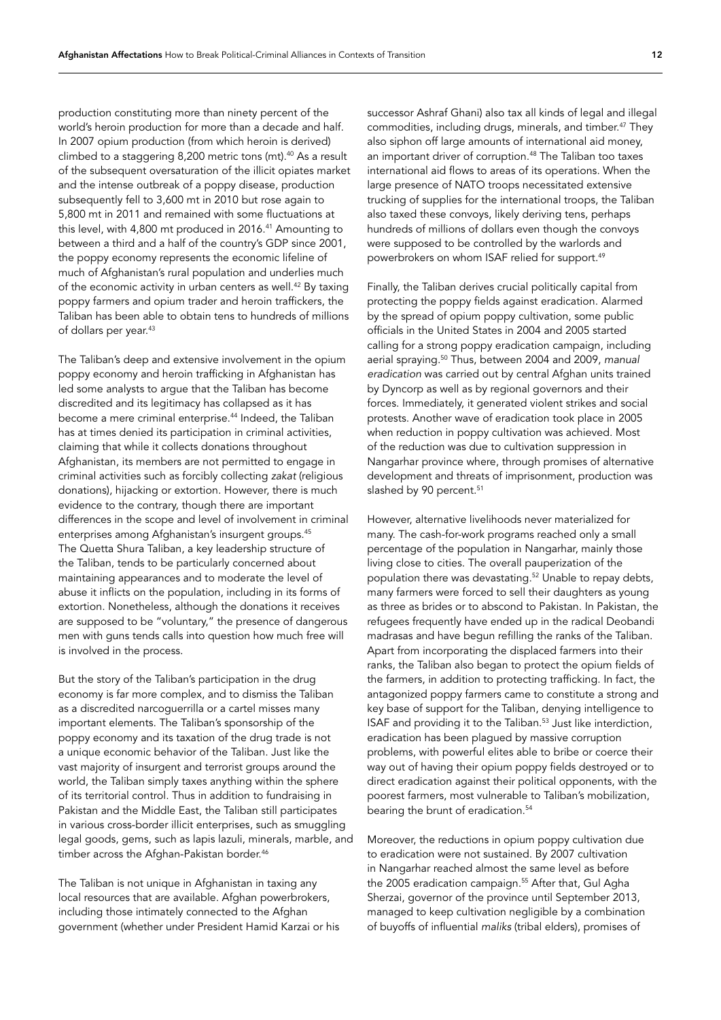production constituting more than ninety percent of the world's heroin production for more than a decade and half. In 2007 opium production (from which heroin is derived) climbed to a staggering 8,200 metric tons (mt).[40](#page-32-14) As a result of the subsequent oversaturation of the illicit opiates market and the intense outbreak of a poppy disease, production subsequently fell to 3,600 mt in 2010 but rose again to 5,800 mt in 2011 and remained with some fluctuations at this level, with 4,800 mt produced in 2016.<sup>41</sup> Amounting to between a third and a half of the country's GDP since 2001, the poppy economy represents the economic lifeline of much of Afghanistan's rural population and underlies much of the economic activity in urban centers as well.<sup>42</sup> By taxing poppy farmers and opium trader and heroin traffickers, the Taliban has been able to obtain tens to hundreds of millions of dollars per year.<sup>[43](#page-32-17)</sup>

The Taliban's deep and extensive involvement in the opium poppy economy and heroin trafficking in Afghanistan has led some analysts to argue that the Taliban has become discredited and its legitimacy has collapsed as it has become a mere criminal enterprise.<sup>44</sup> Indeed, the Taliban has at times denied its participation in criminal activities, claiming that while it collects donations throughout Afghanistan, its members are not permitted to engage in criminal activities such as forcibly collecting *zakat* (religious donations), hijacking or extortion. However, there is much evidence to the contrary, though there are important differences in the scope and level of involvement in criminal enterprises among Afghanistan's insurgent groups[.45](#page-32-19) The Quetta Shura Taliban, a key leadership structure of the Taliban, tends to be particularly concerned about maintaining appearances and to moderate the level of abuse it inflicts on the population, including in its forms of extortion. Nonetheless, although the donations it receives are supposed to be "voluntary," the presence of dangerous men with guns tends calls into question how much free will is involved in the process.

But the story of the Taliban's participation in the drug economy is far more complex, and to dismiss the Taliban as a discredited narcoguerrilla or a cartel misses many important elements. The Taliban's sponsorship of the poppy economy and its taxation of the drug trade is not a unique economic behavior of the Taliban. Just like the vast majority of insurgent and terrorist groups around the world, the Taliban simply taxes anything within the sphere of its territorial control. Thus in addition to fundraising in Pakistan and the Middle East, the Taliban still participates in various cross-border illicit enterprises, such as smuggling legal goods, gems, such as lapis lazuli, minerals, marble, and timber across the Afghan-Pakistan border.<sup>46</sup>

The Taliban is not unique in Afghanistan in taxing any local resources that are available. Afghan powerbrokers, including those intimately connected to the Afghan government (whether under President Hamid Karzai or his successor Ashraf Ghani) also tax all kinds of legal and illegal commodities, including drugs, minerals, and timber.<sup>[47](#page-33-0)</sup> They also siphon off large amounts of international aid money, an important driver of corruption.<sup>48</sup> The Taliban too taxes international aid flows to areas of its operations. When the large presence of NATO troops necessitated extensive trucking of supplies for the international troops, the Taliban also taxed these convoys, likely deriving tens, perhaps hundreds of millions of dollars even though the convoys were supposed to be controlled by the warlords and powerbrokers on whom ISAF relied for support.<sup>49</sup>

Finally, the Taliban derives crucial politically capital from protecting the poppy fields against eradication. Alarmed by the spread of opium poppy cultivation, some public officials in the United States in 2004 and 2005 started calling for a strong poppy eradication campaign, including aerial spraying.[50](#page-33-3) Thus, between 2004 and 2009, *manual eradication* was carried out by central Afghan units trained by Dyncorp as well as by regional governors and their forces. Immediately, it generated violent strikes and social protests. Another wave of eradication took place in 2005 when reduction in poppy cultivation was achieved. Most of the reduction was due to cultivation suppression in Nangarhar province where, through promises of alternative development and threats of imprisonment, production was slashed by 90 percent.<sup>[51](#page-33-4)</sup>

However, alternative livelihoods never materialized for many. The cash-for-work programs reached only a small percentage of the population in Nangarhar, mainly those living close to cities. The overall pauperization of the population there was devastating[.52](#page-33-5) Unable to repay debts, many farmers were forced to sell their daughters as young as three as brides or to abscond to Pakistan. In Pakistan, the refugees frequently have ended up in the radical Deobandi madrasas and have begun refilling the ranks of the Taliban. Apart from incorporating the displaced farmers into their ranks, the Taliban also began to protect the opium fields of the farmers, in addition to protecting trafficking. In fact, the antagonized poppy farmers came to constitute a strong and key base of support for the Taliban, denying intelligence to ISAF and providing it to the Taliban.[53](#page-33-6) Just like interdiction, eradication has been plagued by massive corruption problems, with powerful elites able to bribe or coerce their way out of having their opium poppy fields destroyed or to direct eradication against their political opponents, with the poorest farmers, most vulnerable to Taliban's mobilization, bearing the brunt of eradication.<sup>[54](#page-33-7)</sup>

Moreover, the reductions in opium poppy cultivation due to eradication were not sustained. By 2007 cultivation in Nangarhar reached almost the same level as before the 2005 eradication campaign.<sup>[55](#page-33-8)</sup> After that, Gul Agha Sherzai, governor of the province until September 2013, managed to keep cultivation negligible by a combination of buyoffs of influential *maliks* (tribal elders), promises of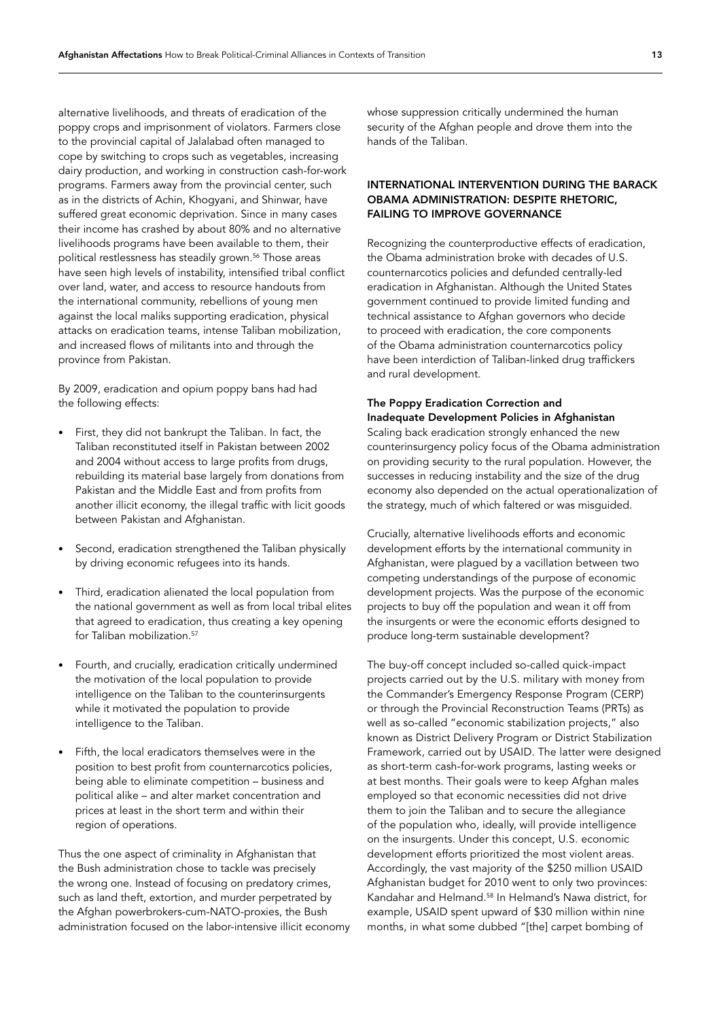alternative livelihoods, and threats of eradication of the poppy crops and imprisonment of violators. Farmers close to the provincial capital of Jalalabad often managed to cope by switching to crops such as vegetables, increasing dairy production, and working in construction cash-for-work programs. Farmers away from the provincial center, such as in the districts of Achin, Khogyani, and Shinwar, have suffered great economic deprivation. Since in many cases their income has crashed by about 80% and no alternative livelihoods programs have been available to them, their political restlessness has steadily grown.<sup>[56](#page-33-9)</sup> Those areas have seen high levels of instability, intensified tribal conflict over land, water, and access to resource handouts from the international community, rebellions of young men against the local maliks supporting eradication, physical attacks on eradication teams, intense Taliban mobilization, and increased flows of militants into and through the province from Pakistan.

By 2009, eradication and opium poppy bans had had the following effects:

- First, they did not bankrupt the Taliban. In fact, the Taliban reconstituted itself in Pakistan between 2002 and 2004 without access to large profits from drugs, rebuilding its material base largely from donations from Pakistan and the Middle East and from profits from another illicit economy, the illegal traffic with licit goods between Pakistan and Afghanistan.
- Second, eradication strengthened the Taliban physically by driving economic refugees into its hands.
- Third, eradication alienated the local population from the national government as well as from local tribal elites that agreed to eradication, thus creating a key opening for Taliban mobilization.<sup>[57](#page-33-10)</sup>
- Fourth, and crucially, eradication critically undermined the motivation of the local population to provide intelligence on the Taliban to the counterinsurgents while it motivated the population to provide intelligence to the Taliban.
- Fifth, the local eradicators themselves were in the position to best profit from counternarcotics policies, being able to eliminate competition – business and political alike – and alter market concentration and prices at least in the short term and within their region of operations.

Thus the one aspect of criminality in Afghanistan that the Bush administration chose to tackle was precisely the wrong one. Instead of focusing on predatory crimes, such as land theft, extortion, and murder perpetrated by the Afghan powerbrokers-cum-NATO-proxies, the Bush administration focused on the labor-intensive illicit economy whose suppression critically undermined the human security of the Afghan people and drove them into the hands of the Taliban.

# INTERNATIONAL INTERVENTION DURING THE BARACK OBAMA ADMINISTRATION: DESPITE RHETORIC, FAILING TO IMPROVE GOVERNANCE

Recognizing the counterproductive effects of eradication, the Obama administration broke with decades of U.S. counternarcotics policies and defunded centrally-led eradication in Afghanistan. Although the United States government continued to provide limited funding and technical assistance to Afghan governors who decide to proceed with eradication, the core components of the Obama administration counternarcotics policy have been interdiction of Taliban-linked drug traffickers and rural development.

## The Poppy Eradication Correction and Inadequate Development Policies in Afghanistan

Scaling back eradication strongly enhanced the new counterinsurgency policy focus of the Obama administration on providing security to the rural population. However, the successes in reducing instability and the size of the drug economy also depended on the actual operationalization of the strategy, much of which faltered or was misguided.

Crucially, alternative livelihoods efforts and economic development efforts by the international community in Afghanistan, were plagued by a vacillation between two competing understandings of the purpose of economic development projects. Was the purpose of the economic projects to buy off the population and wean it off from the insurgents or were the economic efforts designed to produce long-term sustainable development?

The buy-off concept included so-called quick-impact projects carried out by the U.S. military with money from the Commander's Emergency Response Program (CERP) or through the Provincial Reconstruction Teams (PRTs) as well as so-called "economic stabilization projects," also known as District Delivery Program or District Stabilization Framework, carried out by USAID. The latter were designed as short-term cash-for-work programs, lasting weeks or at best months. Their goals were to keep Afghan males employed so that economic necessities did not drive them to join the Taliban and to secure the allegiance of the population who, ideally, will provide intelligence on the insurgents. Under this concept, U.S. economic development efforts prioritized the most violent areas. Accordingly, the vast majority of the \$250 million USAID Afghanistan budget for 2010 went to only two provinces: Kandahar and Helmand.[58](#page-33-11) In Helmand's Nawa district, for example, USAID spent upward of \$30 million within nine months, in what some dubbed "[the] carpet bombing of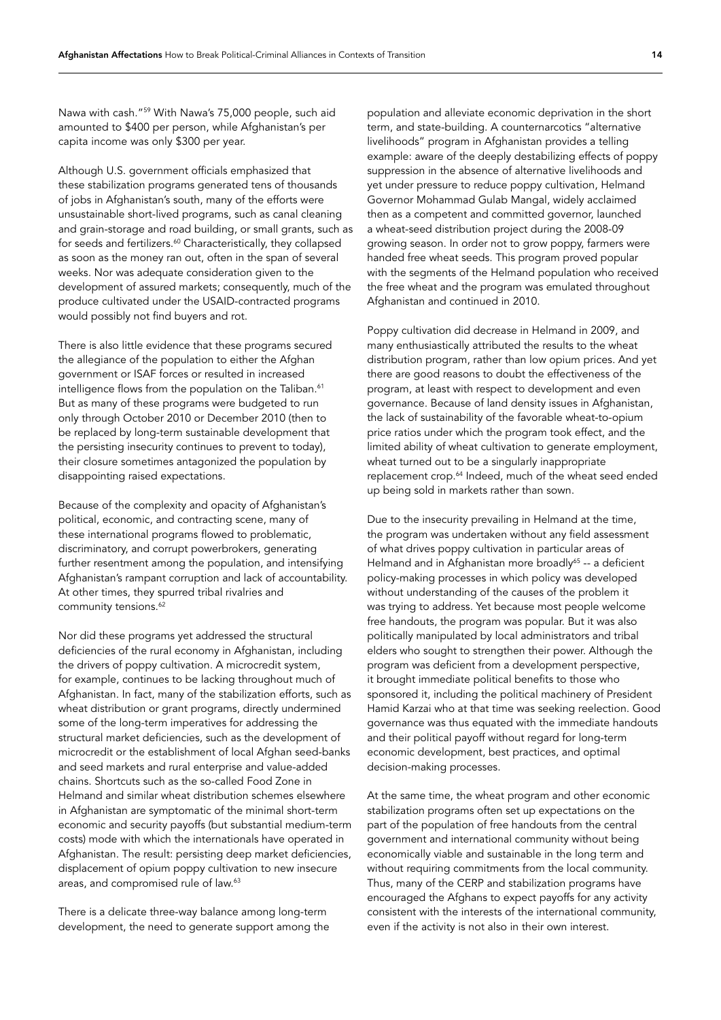Nawa with cash."[59](#page-33-12) With Nawa's 75,000 people, such aid amounted to \$400 per person, while Afghanistan's per capita income was only \$300 per year.

Although U.S. government officials emphasized that these stabilization programs generated tens of thousands of jobs in Afghanistan's south, many of the efforts were unsustainable short-lived programs, such as canal cleaning and grain-storage and road building, or small grants, such as for seeds and fertilizers.<sup>60</sup> Characteristically, they collapsed as soon as the money ran out, often in the span of several weeks. Nor was adequate consideration given to the development of assured markets; consequently, much of the produce cultivated under the USAID-contracted programs would possibly not find buyers and rot.

There is also little evidence that these programs secured the allegiance of the population to either the Afghan government or ISAF forces or resulted in increased intelligence flows from the population on the Taliban.<sup>61</sup> But as many of these programs were budgeted to run only through October 2010 or December 2010 (then to be replaced by long-term sustainable development that the persisting insecurity continues to prevent to today), their closure sometimes antagonized the population by disappointing raised expectations.

Because of the complexity and opacity of Afghanistan's political, economic, and contracting scene, many of these international programs flowed to problematic, discriminatory, and corrupt powerbrokers, generating further resentment among the population, and intensifying Afghanistan's rampant corruption and lack of accountability. At other times, they spurred tribal rivalries and community tensions.<sup>[62](#page-33-15)</sup>

Nor did these programs yet addressed the structural deficiencies of the rural economy in Afghanistan, including the drivers of poppy cultivation. A microcredit system, for example, continues to be lacking throughout much of Afghanistan. In fact, many of the stabilization efforts, such as wheat distribution or grant programs, directly undermined some of the long-term imperatives for addressing the structural market deficiencies, such as the development of microcredit or the establishment of local Afghan seed-banks and seed markets and rural enterprise and value-added chains. Shortcuts such as the so-called Food Zone in Helmand and similar wheat distribution schemes elsewhere in Afghanistan are symptomatic of the minimal short-term economic and security payoffs (but substantial medium-term costs) mode with which the internationals have operated in Afghanistan. The result: persisting deep market deficiencies, displacement of opium poppy cultivation to new insecure areas, and compromised rule of law.<sup>63</sup>

There is a delicate three-way balance among long-term development, the need to generate support among the population and alleviate economic deprivation in the short term, and state-building. A counternarcotics "alternative livelihoods" program in Afghanistan provides a telling example: aware of the deeply destabilizing effects of poppy suppression in the absence of alternative livelihoods and yet under pressure to reduce poppy cultivation, Helmand Governor Mohammad Gulab Mangal, widely acclaimed then as a competent and committed governor, launched a wheat-seed distribution project during the 2008-09 growing season. In order not to grow poppy, farmers were handed free wheat seeds. This program proved popular with the segments of the Helmand population who received the free wheat and the program was emulated throughout Afghanistan and continued in 2010.

Poppy cultivation did decrease in Helmand in 2009, and many enthusiastically attributed the results to the wheat distribution program, rather than low opium prices. And yet there are good reasons to doubt the effectiveness of the program, at least with respect to development and even governance. Because of land density issues in Afghanistan, the lack of sustainability of the favorable wheat-to-opium price ratios under which the program took effect, and the limited ability of wheat cultivation to generate employment, wheat turned out to be a singularly inappropriate replacement crop.<sup>64</sup> Indeed, much of the wheat seed ended up being sold in markets rather than sown.

Due to the insecurity prevailing in Helmand at the time, the program was undertaken without any field assessment of what drives poppy cultivation in particular areas of Helmand and in Afghanistan more broadly<sup>65</sup> -- a deficient policy-making processes in which policy was developed without understanding of the causes of the problem it was trying to address. Yet because most people welcome free handouts, the program was popular. But it was also politically manipulated by local administrators and tribal elders who sought to strengthen their power. Although the program was deficient from a development perspective, it brought immediate political benefits to those who sponsored it, including the political machinery of President Hamid Karzai who at that time was seeking reelection. Good governance was thus equated with the immediate handouts and their political payoff without regard for long-term economic development, best practices, and optimal decision-making processes.

At the same time, the wheat program and other economic stabilization programs often set up expectations on the part of the population of free handouts from the central government and international community without being economically viable and sustainable in the long term and without requiring commitments from the local community. Thus, many of the CERP and stabilization programs have encouraged the Afghans to expect payoffs for any activity consistent with the interests of the international community, even if the activity is not also in their own interest.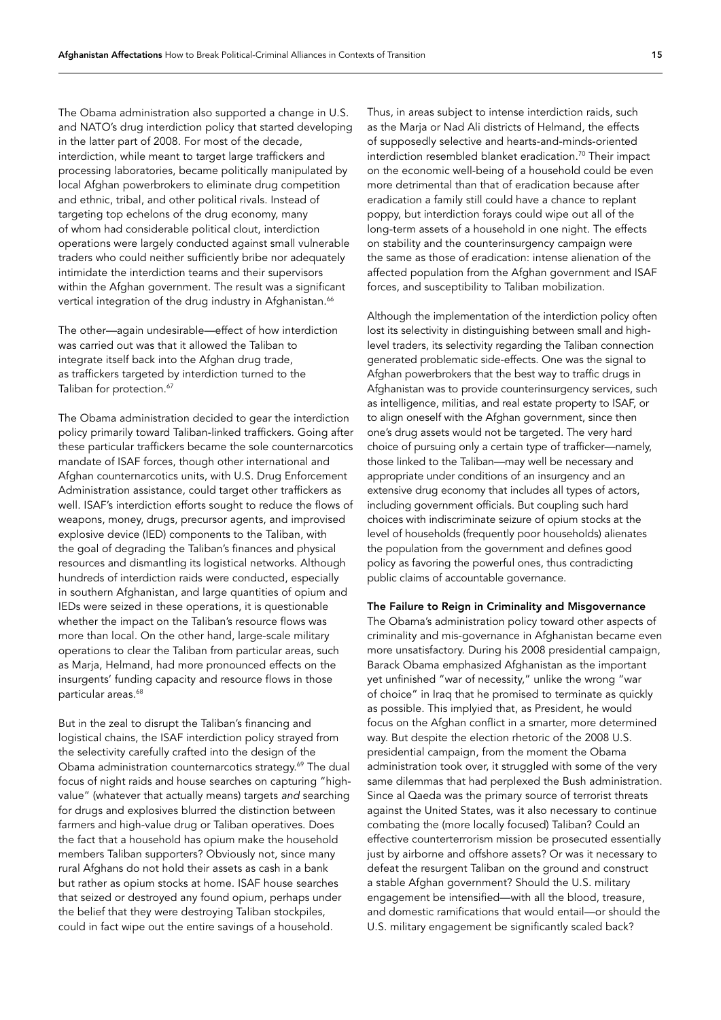The Obama administration also supported a change in U.S. and NATO's drug interdiction policy that started developing in the latter part of 2008. For most of the decade, interdiction, while meant to target large traffickers and processing laboratories, became politically manipulated by local Afghan powerbrokers to eliminate drug competition and ethnic, tribal, and other political rivals. Instead of targeting top echelons of the drug economy, many of whom had considerable political clout, interdiction operations were largely conducted against small vulnerable traders who could neither sufficiently bribe nor adequately intimidate the interdiction teams and their supervisors within the Afghan government. The result was a significant vertical integration of the drug industry in Afghanistan.<sup>[66](#page-33-19)</sup>

The other—again undesirable—effect of how interdiction was carried out was that it allowed the Taliban to integrate itself back into the Afghan drug trade, as traffickers targeted by interdiction turned to the Taliban for protection.<sup>[67](#page-33-20)</sup>

The Obama administration decided to gear the interdiction policy primarily toward Taliban-linked traffickers. Going after these particular traffickers became the sole counternarcotics mandate of ISAF forces, though other international and Afghan counternarcotics units, with U.S. Drug Enforcement Administration assistance, could target other traffickers as well. ISAF's interdiction efforts sought to reduce the flows of weapons, money, drugs, precursor agents, and improvised explosive device (IED) components to the Taliban, with the goal of degrading the Taliban's finances and physical resources and dismantling its logistical networks. Although hundreds of interdiction raids were conducted, especially in southern Afghanistan, and large quantities of opium and IEDs were seized in these operations, it is questionable whether the impact on the Taliban's resource flows was more than local. On the other hand, large-scale military operations to clear the Taliban from particular areas, such as Marja, Helmand, had more pronounced effects on the insurgents' funding capacity and resource flows in those particular areas.<sup>68</sup>

But in the zeal to disrupt the Taliban's financing and logistical chains, the ISAF interdiction policy strayed from the selectivity carefully crafted into the design of the Obama administration counternarcotics strategy[.69](#page-33-22) The dual focus of night raids and house searches on capturing "highvalue" (whatever that actually means) targets *and* searching for drugs and explosives blurred the distinction between farmers and high-value drug or Taliban operatives. Does the fact that a household has opium make the household members Taliban supporters? Obviously not, since many rural Afghans do not hold their assets as cash in a bank but rather as opium stocks at home. ISAF house searches that seized or destroyed any found opium, perhaps under the belief that they were destroying Taliban stockpiles, could in fact wipe out the entire savings of a household.

Thus, in areas subject to intense interdiction raids, such as the Marja or Nad Ali districts of Helmand, the effects of supposedly selective and hearts-and-minds-oriented interdiction resembled blanket eradication.<sup>70</sup> Their impact on the economic well-being of a household could be even more detrimental than that of eradication because after eradication a family still could have a chance to replant poppy, but interdiction forays could wipe out all of the long-term assets of a household in one night. The effects on stability and the counterinsurgency campaign were the same as those of eradication: intense alienation of the affected population from the Afghan government and ISAF forces, and susceptibility to Taliban mobilization.

Although the implementation of the interdiction policy often lost its selectivity in distinguishing between small and highlevel traders, its selectivity regarding the Taliban connection generated problematic side-effects. One was the signal to Afghan powerbrokers that the best way to traffic drugs in Afghanistan was to provide counterinsurgency services, such as intelligence, militias, and real estate property to ISAF, or to align oneself with the Afghan government, since then one's drug assets would not be targeted. The very hard choice of pursuing only a certain type of trafficker—namely, those linked to the Taliban—may well be necessary and appropriate under conditions of an insurgency and an extensive drug economy that includes all types of actors, including government officials. But coupling such hard choices with indiscriminate seizure of opium stocks at the level of households (frequently poor households) alienates the population from the government and defines good policy as favoring the powerful ones, thus contradicting public claims of accountable governance.

#### The Failure to Reign in Criminality and Misgovernance

The Obama's administration policy toward other aspects of criminality and mis-governance in Afghanistan became even more unsatisfactory. During his 2008 presidential campaign, Barack Obama emphasized Afghanistan as the important yet unfinished "war of necessity," unlike the wrong "war of choice" in Iraq that he promised to terminate as quickly as possible. This implyied that, as President, he would focus on the Afghan conflict in a smarter, more determined way. But despite the election rhetoric of the 2008 U.S. presidential campaign, from the moment the Obama administration took over, it struggled with some of the very same dilemmas that had perplexed the Bush administration. Since al Qaeda was the primary source of terrorist threats against the United States, was it also necessary to continue combating the (more locally focused) Taliban? Could an effective counterterrorism mission be prosecuted essentially just by airborne and offshore assets? Or was it necessary to defeat the resurgent Taliban on the ground and construct a stable Afghan government? Should the U.S. military engagement be intensified—with all the blood, treasure, and domestic ramifications that would entail—or should the U.S. military engagement be significantly scaled back?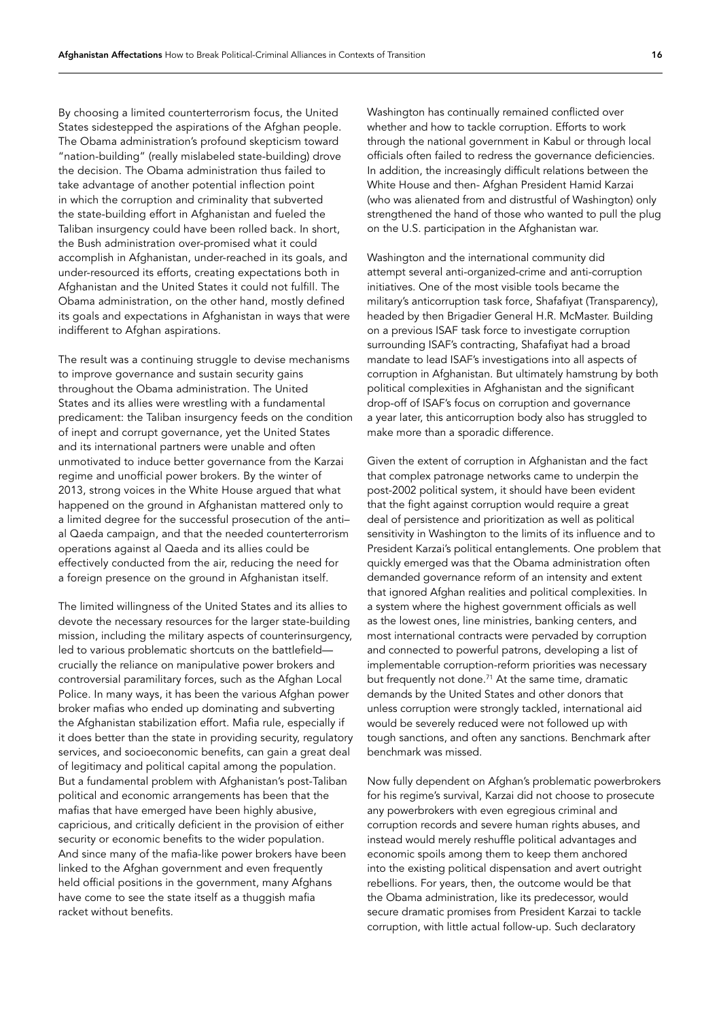By choosing a limited counterterrorism focus, the United States sidestepped the aspirations of the Afghan people. The Obama administration's profound skepticism toward "nation-building" (really mislabeled state-building) drove the decision. The Obama administration thus failed to take advantage of another potential inflection point in which the corruption and criminality that subverted the state-building effort in Afghanistan and fueled the Taliban insurgency could have been rolled back. In short, the Bush administration over-promised what it could accomplish in Afghanistan, under-reached in its goals, and under-resourced its efforts, creating expectations both in Afghanistan and the United States it could not fulfill. The Obama administration, on the other hand, mostly defined its goals and expectations in Afghanistan in ways that were indifferent to Afghan aspirations.

The result was a continuing struggle to devise mechanisms to improve governance and sustain security gains throughout the Obama administration. The United States and its allies were wrestling with a fundamental predicament: the Taliban insurgency feeds on the condition of inept and corrupt governance, yet the United States and its international partners were unable and often unmotivated to induce better governance from the Karzai regime and unofficial power brokers. By the winter of 2013, strong voices in the White House argued that what happened on the ground in Afghanistan mattered only to a limited degree for the successful prosecution of the anti– al Qaeda campaign, and that the needed counterterrorism operations against al Qaeda and its allies could be effectively conducted from the air, reducing the need for a foreign presence on the ground in Afghanistan itself.

The limited willingness of the United States and its allies to devote the necessary resources for the larger state-building mission, including the military aspects of counterinsurgency, led to various problematic shortcuts on the battlefield crucially the reliance on manipulative power brokers and controversial paramilitary forces, such as the Afghan Local Police. In many ways, it has been the various Afghan power broker mafias who ended up dominating and subverting the Afghanistan stabilization effort. Mafia rule, especially if it does better than the state in providing security, regulatory services, and socioeconomic benefits, can gain a great deal of legitimacy and political capital among the population. But a fundamental problem with Afghanistan's post-Taliban political and economic arrangements has been that the mafias that have emerged have been highly abusive, capricious, and critically deficient in the provision of either security or economic benefits to the wider population. And since many of the mafia-like power brokers have been linked to the Afghan government and even frequently held official positions in the government, many Afghans have come to see the state itself as a thuggish mafia racket without benefits.

Washington has continually remained conflicted over whether and how to tackle corruption. Efforts to work through the national government in Kabul or through local officials often failed to redress the governance deficiencies. In addition, the increasingly difficult relations between the White House and then- Afghan President Hamid Karzai (who was alienated from and distrustful of Washington) only strengthened the hand of those who wanted to pull the plug on the U.S. participation in the Afghanistan war.

Washington and the international community did attempt several anti-organized-crime and anti-corruption initiatives. One of the most visible tools became the military's anticorruption task force, Shafafiyat (Transparency), headed by then Brigadier General H.R. McMaster. Building on a previous ISAF task force to investigate corruption surrounding ISAF's contracting, Shafafiyat had a broad mandate to lead ISAF's investigations into all aspects of corruption in Afghanistan. But ultimately hamstrung by both political complexities in Afghanistan and the significant drop-off of ISAF's focus on corruption and governance a year later, this anticorruption body also has struggled to make more than a sporadic difference.

Given the extent of corruption in Afghanistan and the fact that complex patronage networks came to underpin the post-2002 political system, it should have been evident that the fight against corruption would require a great deal of persistence and prioritization as well as political sensitivity in Washington to the limits of its influence and to President Karzai's political entanglements. One problem that quickly emerged was that the Obama administration often demanded governance reform of an intensity and extent that ignored Afghan realities and political complexities. In a system where the highest government officials as well as the lowest ones, line ministries, banking centers, and most international contracts were pervaded by corruption and connected to powerful patrons, developing a list of implementable corruption-reform priorities was necessary but frequently not done.<sup>71</sup> At the same time, dramatic demands by the United States and other donors that unless corruption were strongly tackled, international aid would be severely reduced were not followed up with tough sanctions, and often any sanctions. Benchmark after benchmark was missed.

Now fully dependent on Afghan's problematic powerbrokers for his regime's survival, Karzai did not choose to prosecute any powerbrokers with even egregious criminal and corruption records and severe human rights abuses, and instead would merely reshuffle political advantages and economic spoils among them to keep them anchored into the existing political dispensation and avert outright rebellions. For years, then, the outcome would be that the Obama administration, like its predecessor, would secure dramatic promises from President Karzai to tackle corruption, with little actual follow-up. Such declaratory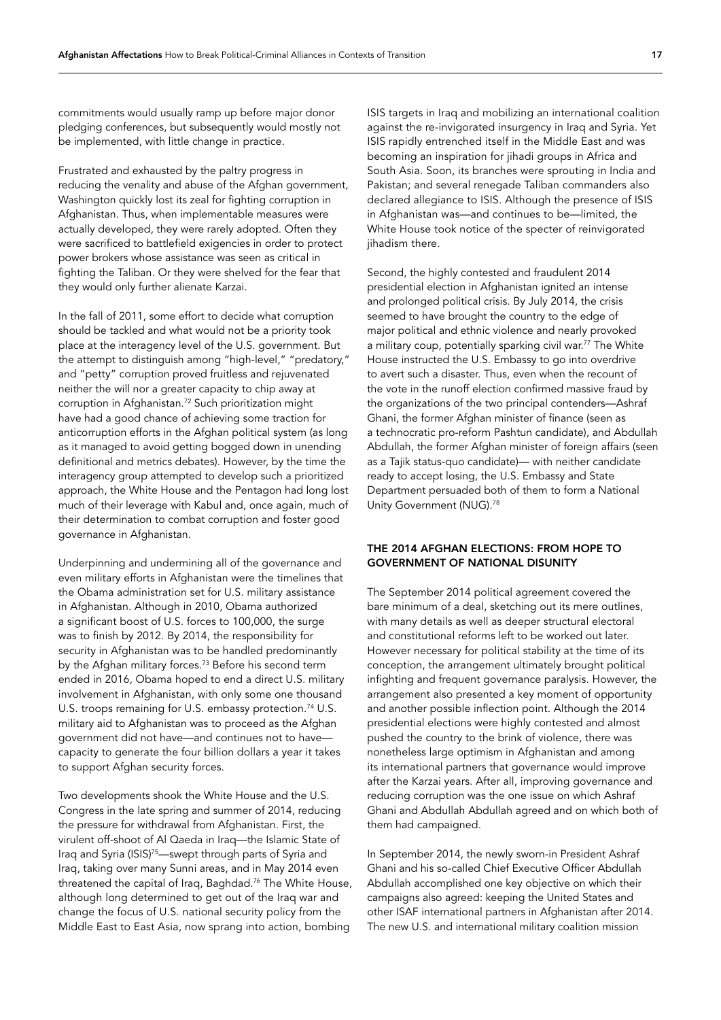commitments would usually ramp up before major donor pledging conferences, but subsequently would mostly not be implemented, with little change in practice.

Frustrated and exhausted by the paltry progress in reducing the venality and abuse of the Afghan government, Washington quickly lost its zeal for fighting corruption in Afghanistan. Thus, when implementable measures were actually developed, they were rarely adopted. Often they were sacrificed to battlefield exigencies in order to protect power brokers whose assistance was seen as critical in fighting the Taliban. Or they were shelved for the fear that they would only further alienate Karzai.

In the fall of 2011, some effort to decide what corruption should be tackled and what would not be a priority took place at the interagency level of the U.S. government. But the attempt to distinguish among "high-level," "predatory," and "petty" corruption proved fruitless and rejuvenated neither the will nor a greater capacity to chip away at corruption in Afghanistan[.72](#page-34-1) Such prioritization might have had a good chance of achieving some traction for anticorruption efforts in the Afghan political system (as long as it managed to avoid getting bogged down in unending definitional and metrics debates). However, by the time the interagency group attempted to develop such a prioritized approach, the White House and the Pentagon had long lost much of their leverage with Kabul and, once again, much of their determination to combat corruption and foster good governance in Afghanistan.

Underpinning and undermining all of the governance and even military efforts in Afghanistan were the timelines that the Obama administration set for U.S. military assistance in Afghanistan. Although in 2010, Obama authorized a significant boost of U.S. forces to 100,000, the surge was to finish by 2012. By 2014, the responsibility for security in Afghanistan was to be handled predominantly by the Afghan military forces.<sup>73</sup> Before his second term ended in 2016, Obama hoped to end a direct U.S. military involvement in Afghanistan, with only some one thousand U.S. troops remaining for U.S. embassy protection.<sup>74</sup> U.S. military aid to Afghanistan was to proceed as the Afghan government did not have—and continues not to have capacity to generate the four billion dollars a year it takes to support Afghan security forces.

Two developments shook the White House and the U.S. Congress in the late spring and summer of 2014, reducing the pressure for withdrawal from Afghanistan. First, the virulent off-shoot of Al Qaeda in Iraq—the Islamic State of Iraq and Syria (ISIS[\)75—](#page-34-4)swept through parts of Syria and Iraq, taking over many Sunni areas, and in May 2014 even threatened the capital of Iraq, Baghdad.<sup>76</sup> The White House, although long determined to get out of the Iraq war and change the focus of U.S. national security policy from the Middle East to East Asia, now sprang into action, bombing

ISIS targets in Iraq and mobilizing an international coalition against the re-invigorated insurgency in Iraq and Syria. Yet ISIS rapidly entrenched itself in the Middle East and was becoming an inspiration for jihadi groups in Africa and South Asia. Soon, its branches were sprouting in India and Pakistan; and several renegade Taliban commanders also declared allegiance to ISIS. Although the presence of ISIS in Afghanistan was—and continues to be—limited, the White House took notice of the specter of reinvigorated jihadism there.

Second, the highly contested and fraudulent 2014 presidential election in Afghanistan ignited an intense and prolonged political crisis. By July 2014, the crisis seemed to have brought the country to the edge of major political and ethnic violence and nearly provoked a military coup, potentially sparking civil war.<sup>77</sup> The White House instructed the U.S. Embassy to go into overdrive to avert such a disaster. Thus, even when the recount of the vote in the runoff election confirmed massive fraud by the organizations of the two principal contenders—Ashraf Ghani, the former Afghan minister of finance (seen as a technocratic pro-reform Pashtun candidate), and Abdullah Abdullah, the former Afghan minister of foreign affairs (seen as a Tajik status-quo candidate)— with neither candidate ready to accept losing, the U.S. Embassy and State Department persuaded both of them to form a National Unity Government (NUG).[78](#page-34-7)

# THE 2014 AFGHAN ELECTIONS: FROM HOPE TO GOVERNMENT OF NATIONAL DISUNITY

The September 2014 political agreement covered the bare minimum of a deal, sketching out its mere outlines, with many details as well as deeper structural electoral and constitutional reforms left to be worked out later. However necessary for political stability at the time of its conception, the arrangement ultimately brought political infighting and frequent governance paralysis. However, the arrangement also presented a key moment of opportunity and another possible inflection point. Although the 2014 presidential elections were highly contested and almost pushed the country to the brink of violence, there was nonetheless large optimism in Afghanistan and among its international partners that governance would improve after the Karzai years. After all, improving governance and reducing corruption was the one issue on which Ashraf Ghani and Abdullah Abdullah agreed and on which both of them had campaigned.

In September 2014, the newly sworn-in President Ashraf Ghani and his so-called Chief Executive Officer Abdullah Abdullah accomplished one key objective on which their campaigns also agreed: keeping the United States and other ISAF international partners in Afghanistan after 2014. The new U.S. and international military coalition mission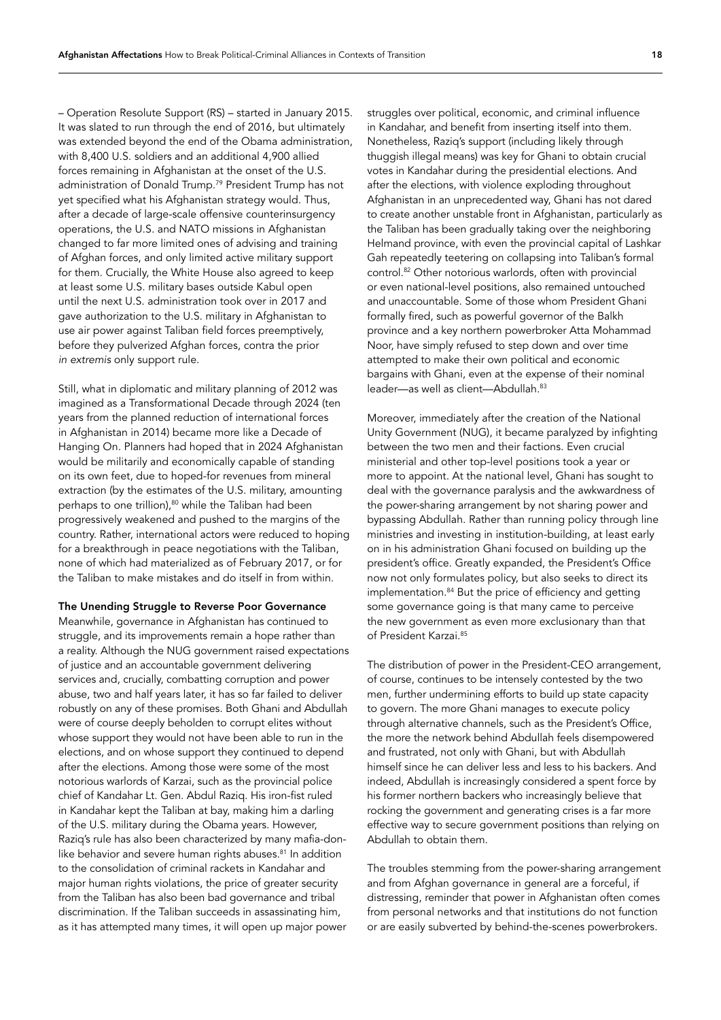– Operation Resolute Support (RS) – started in January 2015. It was slated to run through the end of 2016, but ultimately was extended beyond the end of the Obama administration, with 8,400 U.S. soldiers and an additional 4,900 allied forces remaining in Afghanistan at the onset of the U.S. administration of Donald Trump[.79](#page-34-8) President Trump has not yet specified what his Afghanistan strategy would. Thus, after a decade of large-scale offensive counterinsurgency operations, the U.S. and NATO missions in Afghanistan changed to far more limited ones of advising and training of Afghan forces, and only limited active military support for them. Crucially, the White House also agreed to keep at least some U.S. military bases outside Kabul open until the next U.S. administration took over in 2017 and gave authorization to the U.S. military in Afghanistan to use air power against Taliban field forces preemptively, before they pulverized Afghan forces, contra the prior *in extremis* only support rule.

Still, what in diplomatic and military planning of 2012 was imagined as a Transformational Decade through 2024 (ten years from the planned reduction of international forces in Afghanistan in 2014) became more like a Decade of Hanging On. Planners had hoped that in 2024 Afghanistan would be militarily and economically capable of standing on its own feet, due to hoped-for revenues from mineral extraction (by the estimates of the U.S. military, amounting perhaps to one trillion),<sup>[80](#page-34-9)</sup> while the Taliban had been progressively weakened and pushed to the margins of the country. Rather, international actors were reduced to hoping for a breakthrough in peace negotiations with the Taliban, none of which had materialized as of February 2017, or for the Taliban to make mistakes and do itself in from within.

The Unending Struggle to Reverse Poor Governance

Meanwhile, governance in Afghanistan has continued to struggle, and its improvements remain a hope rather than a reality. Although the NUG government raised expectations of justice and an accountable government delivering services and, crucially, combatting corruption and power abuse, two and half years later, it has so far failed to deliver robustly on any of these promises. Both Ghani and Abdullah were of course deeply beholden to corrupt elites without whose support they would not have been able to run in the elections, and on whose support they continued to depend after the elections. Among those were some of the most notorious warlords of Karzai, such as the provincial police chief of Kandahar Lt. Gen. Abdul Raziq. His iron-fist ruled in Kandahar kept the Taliban at bay, making him a darling of the U.S. military during the Obama years. However, Raziq's rule has also been characterized by many mafia-donlike behavior and severe human rights abuses.<sup>81</sup> In addition to the consolidation of criminal rackets in Kandahar and major human rights violations, the price of greater security from the Taliban has also been bad governance and tribal discrimination. If the Taliban succeeds in assassinating him, as it has attempted many times, it will open up major power

struggles over political, economic, and criminal influence in Kandahar, and benefit from inserting itself into them. Nonetheless, Raziq's support (including likely through thuggish illegal means) was key for Ghani to obtain crucial votes in Kandahar during the presidential elections. And after the elections, with violence exploding throughout Afghanistan in an unprecedented way, Ghani has not dared to create another unstable front in Afghanistan, particularly as the Taliban has been gradually taking over the neighboring Helmand province, with even the provincial capital of Lashkar Gah repeatedly teetering on collapsing into Taliban's formal control[.82](#page-34-11) Other notorious warlords, often with provincial or even national-level positions, also remained untouched and unaccountable. Some of those whom President Ghani formally fired, such as powerful governor of the Balkh province and a key northern powerbroker Atta Mohammad Noor, have simply refused to step down and over time attempted to make their own political and economic bargains with Ghani, even at the expense of their nominal leader-as well as client-Abdullah.<sup>[83](#page-34-12)</sup>

Moreover, immediately after the creation of the National Unity Government (NUG), it became paralyzed by infighting between the two men and their factions. Even crucial ministerial and other top-level positions took a year or more to appoint. At the national level, Ghani has sought to deal with the governance paralysis and the awkwardness of the power-sharing arrangement by not sharing power and bypassing Abdullah. Rather than running policy through line ministries and investing in institution-building, at least early on in his administration Ghani focused on building up the president's office. Greatly expanded, the President's Office now not only formulates policy, but also seeks to direct its implementation[.84](#page-34-13) But the price of efficiency and getting some governance going is that many came to perceive the new government as even more exclusionary than that of President Karzai.<sup>85</sup>

The distribution of power in the President-CEO arrangement, of course, continues to be intensely contested by the two men, further undermining efforts to build up state capacity to govern. The more Ghani manages to execute policy through alternative channels, such as the President's Office, the more the network behind Abdullah feels disempowered and frustrated, not only with Ghani, but with Abdullah himself since he can deliver less and less to his backers. And indeed, Abdullah is increasingly considered a spent force by his former northern backers who increasingly believe that rocking the government and generating crises is a far more effective way to secure government positions than relying on Abdullah to obtain them.

The troubles stemming from the power-sharing arrangement and from Afghan governance in general are a forceful, if distressing, reminder that power in Afghanistan often comes from personal networks and that institutions do not function or are easily subverted by behind-the-scenes powerbrokers.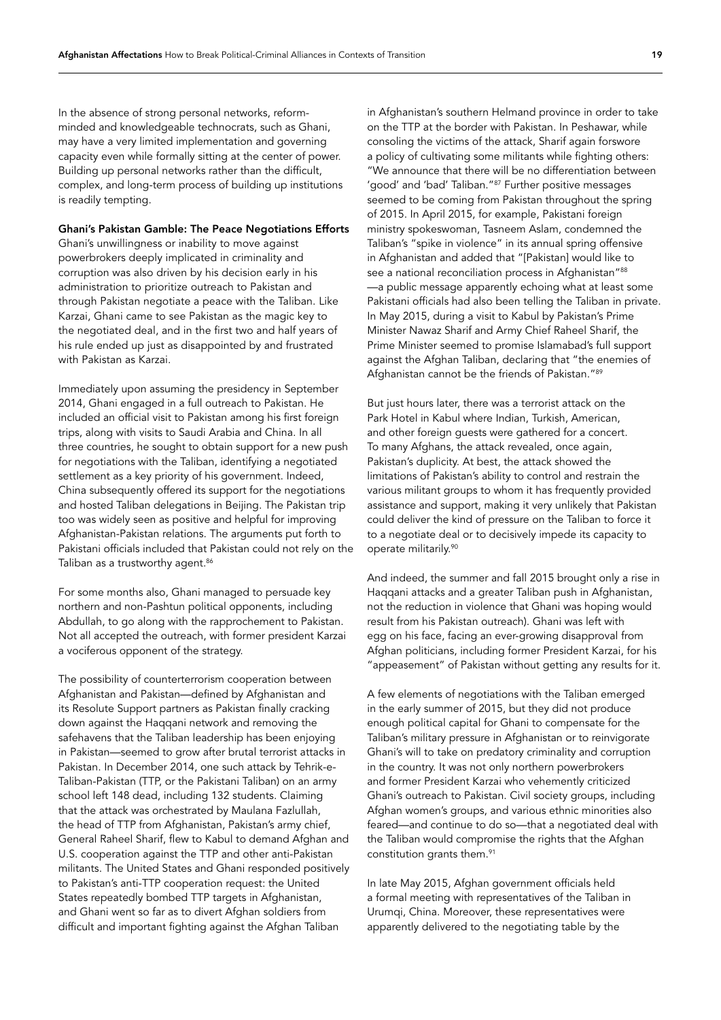In the absence of strong personal networks, reformminded and knowledgeable technocrats, such as Ghani, may have a very limited implementation and governing capacity even while formally sitting at the center of power. Building up personal networks rather than the difficult, complex, and long-term process of building up institutions is readily tempting.

## Ghani's Pakistan Gamble: The Peace Negotiations Efforts

Ghani's unwillingness or inability to move against powerbrokers deeply implicated in criminality and corruption was also driven by his decision early in his administration to prioritize outreach to Pakistan and through Pakistan negotiate a peace with the Taliban. Like Karzai, Ghani came to see Pakistan as the magic key to the negotiated deal, and in the first two and half years of his rule ended up just as disappointed by and frustrated with Pakistan as Karzai.

Immediately upon assuming the presidency in September 2014, Ghani engaged in a full outreach to Pakistan. He included an official visit to Pakistan among his first foreign trips, along with visits to Saudi Arabia and China. In all three countries, he sought to obtain support for a new push for negotiations with the Taliban, identifying a negotiated settlement as a key priority of his government. Indeed, China subsequently offered its support for the negotiations and hosted Taliban delegations in Beijing. The Pakistan trip too was widely seen as positive and helpful for improving Afghanistan-Pakistan relations. The arguments put forth to Pakistani officials included that Pakistan could not rely on the Taliban as a trustworthy agent.<sup>86</sup>

For some months also, Ghani managed to persuade key northern and non-Pashtun political opponents, including Abdullah, to go along with the rapprochement to Pakistan. Not all accepted the outreach, with former president Karzai a vociferous opponent of the strategy.

The possibility of counterterrorism cooperation between Afghanistan and Pakistan—defined by Afghanistan and its Resolute Support partners as Pakistan finally cracking down against the Haqqani network and removing the safehavens that the Taliban leadership has been enjoying in Pakistan—seemed to grow after brutal terrorist attacks in Pakistan. In December 2014, one such attack by Tehrik-e-Taliban-Pakistan (TTP, or the Pakistani Taliban) on an army school left 148 dead, including 132 students. Claiming that the attack was orchestrated by Maulana Fazlullah, the head of TTP from Afghanistan, Pakistan's army chief, General Raheel Sharif, flew to Kabul to demand Afghan and U.S. cooperation against the TTP and other anti-Pakistan militants. The United States and Ghani responded positively to Pakistan's anti-TTP cooperation request: the United States repeatedly bombed TTP targets in Afghanistan, and Ghani went so far as to divert Afghan soldiers from difficult and important fighting against the Afghan Taliban

in Afghanistan's southern Helmand province in order to take on the TTP at the border with Pakistan. In Peshawar, while consoling the victims of the attack, Sharif again forswore a policy of cultivating some militants while fighting others: "We announce that there will be no differentiation between 'good' and 'bad' Taliban.["87](#page-34-16) Further positive messages seemed to be coming from Pakistan throughout the spring of 2015. In April 2015, for example, Pakistani foreign ministry spokeswoman, Tasneem Aslam, condemned the Taliban's "spike in violence" in its annual spring offensive in Afghanistan and added that "[Pakistan] would like to see a national reconciliation process in Afghanistan"<sup>88</sup> —a public message apparently echoing what at least some Pakistani officials had also been telling the Taliban in private. In May 2015, during a visit to Kabul by Pakistan's Prime Minister Nawaz Sharif and Army Chief Raheel Sharif, the Prime Minister seemed to promise Islamabad's full support against the Afghan Taliban, declaring that ["the enemies of](http://www.telegraph.co.uk/news/worldnews/asia/afghanistan/11604323/American-among-foreigners-killed-in-Kabul-hotel-attack.html)  [Afghanistan cannot be the friends of Pakistan."](http://www.telegraph.co.uk/news/worldnews/asia/afghanistan/11604323/American-among-foreigners-killed-in-Kabul-hotel-attack.html)[89](#page-34-18)

But just hours later, there was a terrorist attack on the Park Hotel in Kabul where Indian, Turkish, American, and other foreign guests were gathered for a concert. To many Afghans, the attack revealed, once again, Pakistan's duplicity. At best, the attack showed the limitations of Pakistan's ability to control and restrain the various militant groups to whom it has frequently provided assistance and support, making it very unlikely that Pakistan could deliver the kind of pressure on the Taliban to force it to a negotiate deal or to decisively impede its capacity to operate militarily[.90](#page-34-19)

And indeed, the summer and fall 2015 brought only a rise in Haqqani attacks and a greater Taliban push in Afghanistan, not the reduction in violence that Ghani was hoping would result from his Pakistan outreach). Ghani was left with egg on his face, facing an ever-growing disapproval from Afghan politicians, including former President Karzai, for his "appeasement" of Pakistan without getting any results for it.

A few elements of negotiations with the Taliban emerged in the early summer of 2015, but they did not produce enough political capital for Ghani to compensate for the Taliban's military pressure in Afghanistan or to reinvigorate Ghani's will to take on predatory criminality and corruption in the country. It was not only northern powerbrokers and former President Karzai who vehemently criticized Ghani's outreach to Pakistan. Civil society groups, including Afghan women's groups, and various ethnic minorities also feared—and continue to do so—that a negotiated deal with the Taliban would compromise the rights that the Afghan constitution grants them.<sup>[91](#page-34-20)</sup>

In late May 2015, Afghan government officials held a formal meeting with representatives of the Taliban in Urumqi, China. Moreover, these representatives were apparently delivered to the negotiating table by the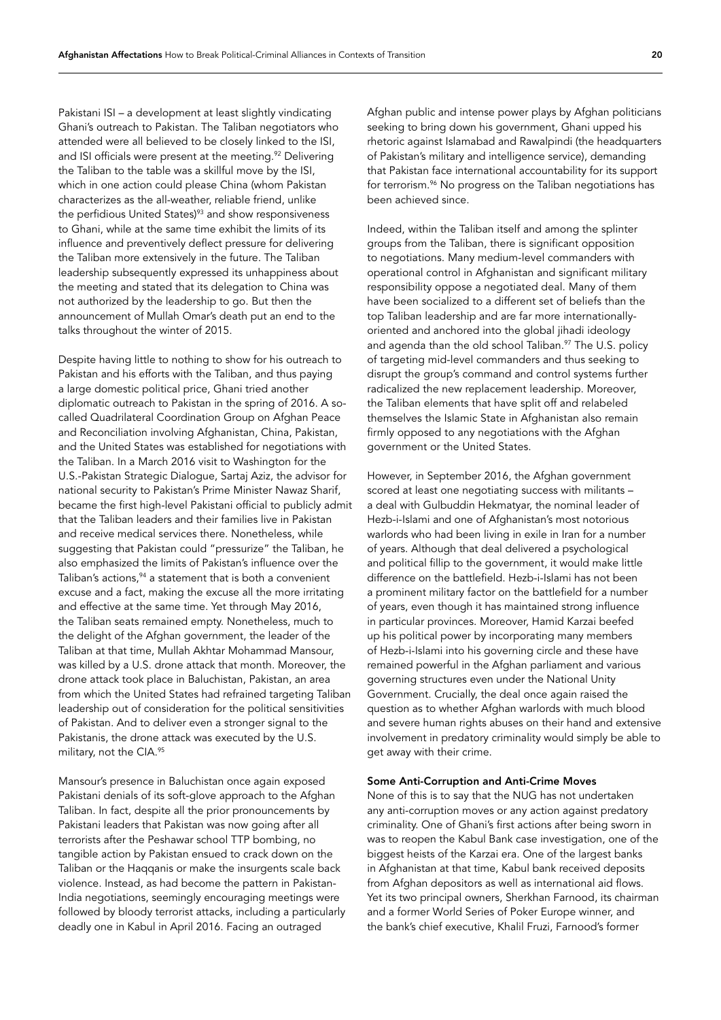Pakistani ISI – a development at least slightly vindicating Ghani's outreach to Pakistan. The Taliban negotiators who attended were all believed to be closely linked to the ISI, and ISI officials were present at the meeting.<sup>92</sup> Delivering the Taliban to the table was a skillful move by the ISI, which in one action could please China (whom Pakistan characterizes as the all-weather, reliable friend, unlike the perfidious United States)<sup>93</sup> and show responsiveness to Ghani, while at the same time exhibit the limits of its influence and preventively deflect pressure for delivering the Taliban more extensively in the future. The Taliban leadership subsequently expressed its unhappiness about the meeting and stated that its delegation to China was not authorized by the leadership to go. But then the announcement of Mullah Omar's death put an end to the talks throughout the winter of 2015.

Despite having little to nothing to show for his outreach to Pakistan and his efforts with the Taliban, and thus paying a large domestic political price, Ghani tried another diplomatic outreach to Pakistan in the spring of 2016. A socalled Quadrilateral Coordination Group on Afghan Peace and Reconciliation involving Afghanistan, China, Pakistan, and the United States was established for negotiations with the Taliban. In a March 2016 visit to Washington for the U.S.-Pakistan Strategic Dialogue, Sartaj Aziz, the advisor for national security to Pakistan's Prime Minister Nawaz Sharif, became the first high-level Pakistani official to publicly admit that the Taliban leaders and their families live in Pakistan and receive medical services there. Nonetheless, while suggesting that Pakistan could "pressurize" the Taliban, he also emphasized the limits of Pakistan's influence over the Taliban's actions,<sup>94</sup> a statement that is both a convenient excuse and a fact, making the excuse all the more irritating and effective at the same time. Yet through May 2016, the Taliban seats remained empty. Nonetheless, much to the delight of the Afghan government, the leader of the Taliban at that time, Mullah Akhtar Mohammad Mansour, was killed by a U.S. drone attack that month. Moreover, the drone attack took place in Baluchistan, Pakistan, an area from which the United States had refrained targeting Taliban leadership out of consideration for the political sensitivities of Pakistan. And to deliver even a stronger signal to the Pakistanis, the drone attack was executed by the U.S. military, not the CIA[.95](#page-34-24)

Mansour's presence in Baluchistan once again exposed Pakistani denials of its soft-glove approach to the Afghan Taliban. In fact, despite all the prior pronouncements by Pakistani leaders that Pakistan was now going after all terrorists after the Peshawar school TTP bombing, no tangible action by Pakistan ensued to crack down on the Taliban or the Haqqanis or make the insurgents scale back violence. Instead, as had become the pattern in Pakistan-India negotiations, seemingly encouraging meetings were followed by bloody terrorist attacks, including a particularly deadly one in Kabul in April 2016. Facing an outraged

Afghan public and intense power plays by Afghan politicians seeking to bring down his government, Ghani upped his rhetoric against Islamabad and Rawalpindi (the headquarters of Pakistan's military and intelligence service), demanding that Pakistan face international accountability for its support for terrorism.<sup>96</sup> No progress on the Taliban negotiations has been achieved since.

Indeed, within the Taliban itself and among the splinter groups from the Taliban, there is significant opposition to negotiations. Many medium-level commanders with operational control in Afghanistan and significant military responsibility oppose a negotiated deal. Many of them have been socialized to a different set of beliefs than the top Taliban leadership and are far more internationallyoriented and anchored into the global jihadi ideology and agenda than the old school Taliban.<sup>97</sup> The U.S. policy of targeting mid-level commanders and thus seeking to disrupt the group's command and control systems further radicalized the new replacement leadership. Moreover, the Taliban elements that have split off and relabeled themselves the Islamic State in Afghanistan also remain firmly opposed to any negotiations with the Afghan government or the United States.

However, in September 2016, the Afghan government scored at least one negotiating success with militants – a deal with Gulbuddin Hekmatyar, the nominal leader of Hezb-i-Islami and one of Afghanistan's most notorious warlords who had been living in exile in Iran for a number of years. Although that deal delivered a psychological and political fillip to the government, it would make little difference on the battlefield. Hezb-i-Islami has not been a prominent military factor on the battlefield for a number of years, even though it has maintained strong influence in particular provinces. Moreover, Hamid Karzai beefed up his political power by incorporating many members of Hezb-i-Islami into his governing circle and these have remained powerful in the Afghan parliament and various governing structures even under the National Unity Government. Crucially, the deal once again raised the question as to whether Afghan warlords with much blood and severe human rights abuses on their hand and extensive involvement in predatory criminality would simply be able to get away with their crime.

#### Some Anti-Corruption and Anti-Crime Moves

None of this is to say that the NUG has not undertaken any anti-corruption moves or any action against predatory criminality. One of Ghani's first actions after being sworn in was to reopen the Kabul Bank case investigation, one of the biggest heists of the Karzai era. One of the largest banks in Afghanistan at that time, Kabul bank received deposits from Afghan depositors as well as international aid flows. Yet its two principal owners, Sherkhan Farnood, its chairman and a former World Series of Poker Europe winner, and the bank's chief executive, Khalil Fruzi, Farnood's former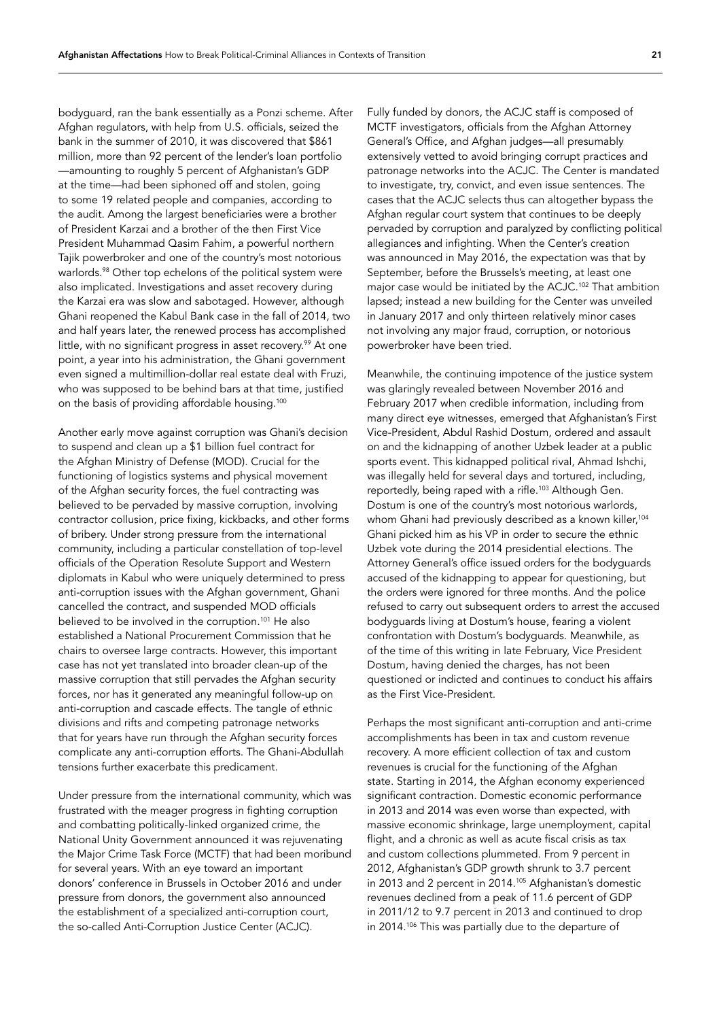bodyguard, ran the bank essentially as a Ponzi scheme. After Afghan regulators, with help from U.S. officials, seized the bank in the summer of 2010, it was discovered that \$861 million, more than 92 percent of the lender's loan portfolio —amounting to roughly 5 percent of Afghanistan's GDP at the time—had been siphoned off and stolen, going to some 19 related people and companies, according to the audit. Among the largest beneficiaries were a brother of President Karzai and a brother of the then First Vice President Muhammad Qasim Fahim, a powerful northern Tajik powerbroker and one of the country's most notorious warlords.<sup>[98](#page-35-0)</sup> Other top echelons of the political system were also implicated. Investigations and asset recovery during the Karzai era was slow and sabotaged. However, although Ghani reopened the Kabul Bank case in the fall of 2014, two and half years later, the renewed process has accomplished little, with no significant progress in asset recovery.<sup>99</sup> At one point, a year into his administration, the Ghani government even signed a multimillion-dollar real estate deal with Fruzi, who was supposed to be behind bars at that time, justified on the basis of providing affordable housing.<sup>100</sup>

Another early move against corruption was Ghani's decision to suspend and clean up a \$1 billion fuel contract for the Afghan Ministry of Defense (MOD). Crucial for the functioning of logistics systems and physical movement of the Afghan security forces, the fuel contracting was believed to be pervaded by massive corruption, involving contractor collusion, price fixing, kickbacks, and other forms of bribery. Under strong pressure from the international community, including a particular constellation of top-level officials of the Operation Resolute Support and Western diplomats in Kabul who were uniquely determined to press anti-corruption issues with the Afghan government, Ghani cancelled the contract, and suspended MOD officials believed to be involved in the corruption.<sup>101</sup> He also established a National Procurement Commission that he chairs to oversee large contracts. However, this important case has not yet translated into broader clean-up of the massive corruption that still pervades the Afghan security forces, nor has it generated any meaningful follow-up on anti-corruption and cascade effects. The tangle of ethnic divisions and rifts and competing patronage networks that for years have run through the Afghan security forces complicate any anti-corruption efforts. The Ghani-Abdullah tensions further exacerbate this predicament.

Under pressure from the international community, which was frustrated with the meager progress in fighting corruption and combatting politically-linked organized crime, the National Unity Government announced it was rejuvenating the Major Crime Task Force (MCTF) that had been moribund for several years. With an eye toward an important donors' conference in Brussels in October 2016 and under pressure from donors, the government also announced the establishment of a specialized anti-corruption court, the so-called Anti-Corruption Justice Center (ACJC).

Fully funded by donors, the ACJC staff is composed of MCTF investigators, officials from the Afghan Attorney General's Office, and Afghan judges—all presumably extensively vetted to avoid bringing corrupt practices and patronage networks into the ACJC. The Center is mandated to investigate, try, convict, and even issue sentences. The cases that the ACJC selects thus can altogether bypass the Afghan regular court system that continues to be deeply pervaded by corruption and paralyzed by conflicting political allegiances and infighting. When the Center's creation was announced in May 2016, the expectation was that by September, before the Brussels's meeting, at least one major case would be initiated by the ACJC.<sup>[102](#page-35-4)</sup> That ambition lapsed; instead a new building for the Center was unveiled in January 2017 and only thirteen relatively minor cases not involving any major fraud, corruption, or notorious powerbroker have been tried.

Meanwhile, the continuing impotence of the justice system was glaringly revealed between November 2016 and February 2017 when credible information, including from many direct eye witnesses, emerged that Afghanistan's First Vice-President, Abdul Rashid Dostum, ordered and assault on and the kidnapping of another Uzbek leader at a public sports event. This kidnapped political rival, Ahmad Ishchi, was illegally held for several days and tortured, including, reportedly, being raped with a rifle.<sup>103</sup> Although Gen. Dostum is one of the country's most notorious warlords, whom Ghani had previously described as a known killer,<sup>104</sup> Ghani picked him as his VP in order to secure the ethnic Uzbek vote during the 2014 presidential elections. The Attorney General's office issued orders for the bodyguards accused of the kidnapping to appear for questioning, but the orders were ignored for three months. And the police refused to carry out subsequent orders to arrest the accused bodyguards living at Dostum's house, fearing a violent confrontation with Dostum's bodyguards. Meanwhile, as of the time of this writing in late February, Vice President Dostum, having denied the charges, has not been questioned or indicted and continues to conduct his affairs as the First Vice-President.

Perhaps the most significant anti-corruption and anti-crime accomplishments has been in tax and custom revenue recovery. A more efficient collection of tax and custom revenues is crucial for the functioning of the Afghan state. Starting in 2014, the Afghan economy experienced significant contraction. Domestic economic performance in 2013 and 2014 was even worse than expected, with massive economic shrinkage, large unemployment, capital flight, and a chronic as well as acute fiscal crisis as tax and custom collections plummeted. From 9 percent in 2012, Afghanistan's GDP growth shrunk to 3.7 percent in 2013 and 2 percent in 2014.<sup>105</sup> Afghanistan's domestic revenues declined from a peak of 11.6 percent of GDP in 2011/12 to 9.7 percent in 2013 and continued to drop in 2014.<sup>106</sup> This was partially due to the departure of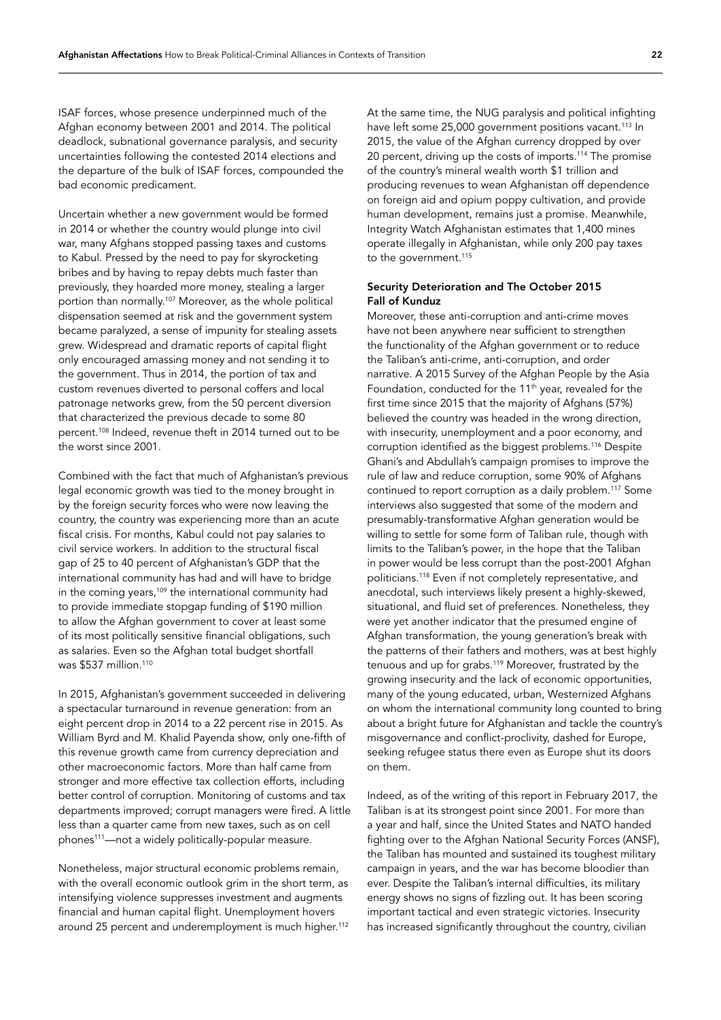ISAF forces, whose presence underpinned much of the Afghan economy between 2001 and 2014. The political deadlock, subnational governance paralysis, and security uncertainties following the contested 2014 elections and the departure of the bulk of ISAF forces, compounded the bad economic predicament.

Uncertain whether a new government would be formed in 2014 or whether the country would plunge into civil war, many Afghans stopped passing taxes and customs to Kabul. Pressed by the need to pay for skyrocketing bribes and by having to repay debts much faster than previously, they hoarded more money, stealing a larger portion than normally[.107](#page-35-9) Moreover, as the whole political dispensation seemed at risk and the government system became paralyzed, a sense of impunity for stealing assets grew. Widespread and dramatic reports of capital flight only encouraged amassing money and not sending it to the government. Thus in 2014, the portion of tax and custom revenues diverted to personal coffers and local patronage networks grew, from the 50 percent diversion that characterized the previous decade to some 80 percent[.108](#page-35-10) Indeed, revenue theft in 2014 turned out to be the worst since 2001.

Combined with the fact that much of Afghanistan's previous legal economic growth was tied to the money brought in by the foreign security forces who were now leaving the country, the country was experiencing more than an acute fiscal crisis. For months, Kabul could not pay salaries to civil service workers. In addition to the structural fiscal gap of 25 to 40 percent of Afghanistan's GDP that the international community has had and will have to bridge in the coming years,<sup>109</sup> the international community had to provide immediate stopgap funding of \$190 million to allow the Afghan government to cover at least some of its most politically sensitive financial obligations, such as salaries. Even so the Afghan total budget shortfall was \$537 million.<sup>110</sup>

In 2015, Afghanistan's government succeeded in delivering a spectacular turnaround in revenue generation: from an eight percent drop in 2014 to a 22 percent rise in 2015. As William Byrd and M. Khalid Payenda show, only one-fifth of this revenue growth came from currency depreciation and other macroeconomic factors. More than half came from stronger and more effective tax collection efforts, including better control of corruption. Monitoring of customs and tax departments improved; corrupt managers were fired. A little less than a quarter came from new taxes, such as on cell phones<sup>111</sup>—not a widely politically-popular measure.

Nonetheless, major structural economic problems remain, with the overall economic outlook grim in the short term, as intensifying violence suppresses investment and augments financial and human capital flight. Unemployment hovers around 25 percent and underemployment is much higher.<sup>112</sup> At the same time, the NUG paralysis and political infighting have left some 25,000 government positions vacant.<sup>113</sup> In 2015, the value of the Afghan currency dropped by over 20 percent, driving up the costs of imports.<sup>114</sup> The promise of the country's mineral wealth worth \$1 trillion and producing revenues to wean Afghanistan off dependence on foreign aid and opium poppy cultivation, and provide human development, remains just a promise. Meanwhile, Integrity Watch Afghanistan estimates that 1,400 mines operate illegally in Afghanistan, while only 200 pay taxes to the government.<sup>115</sup>

# Security Deterioration and The October 2015 Fall of Kunduz

Moreover, these anti-corruption and anti-crime moves have not been anywhere near sufficient to strengthen the functionality of the Afghan government or to reduce the Taliban's anti-crime, anti-corruption, and order narrative. A 2015 Survey of the Afghan People by the Asia Foundation, conducted for the 11<sup>th</sup> year, revealed for the first time since 2015 that the majority of Afghans (57%) believed the country was headed in the wrong direction, with insecurity, unemployment and a poor economy, and corruption identified as the biggest problems.[116](#page-35-18) Despite Ghani's and Abdullah's campaign promises to improve the rule of law and reduce corruption, some 90% of Afghans continued to report corruption as a daily problem[.117](#page-35-19) Some interviews also suggested that some of the modern and presumably-transformative Afghan generation would be willing to settle for some form of Taliban rule, though with limits to the Taliban's power, in the hope that the Taliban in power would be less corrupt than the post-2001 Afghan politicians[.118](#page-35-20) Even if not completely representative, and anecdotal, such interviews likely present a highly-skewed, situational, and fluid set of preferences. Nonetheless, they were yet another indicator that the presumed engine of Afghan transformation, the young generation's break with the patterns of their fathers and mothers, was at best highly tenuous and up for grabs.<sup>119</sup> Moreover, frustrated by the growing insecurity and the lack of economic opportunities, many of the young educated, urban, Westernized Afghans on whom the international community long counted to bring about a bright future for Afghanistan and tackle the country's misgovernance and conflict-proclivity, dashed for Europe, seeking refugee status there even as Europe shut its doors on them.

Indeed, as of the writing of this report in February 2017, the Taliban is at its strongest point since 2001. For more than a year and half, since the United States and NATO handed fighting over to the Afghan National Security Forces (ANSF), the Taliban has mounted and sustained its toughest military campaign in years, and the war has become bloodier than ever. Despite the Taliban's internal difficulties, its military energy shows no signs of fizzling out. It has been scoring important tactical and even strategic victories. Insecurity has increased significantly throughout the country, civilian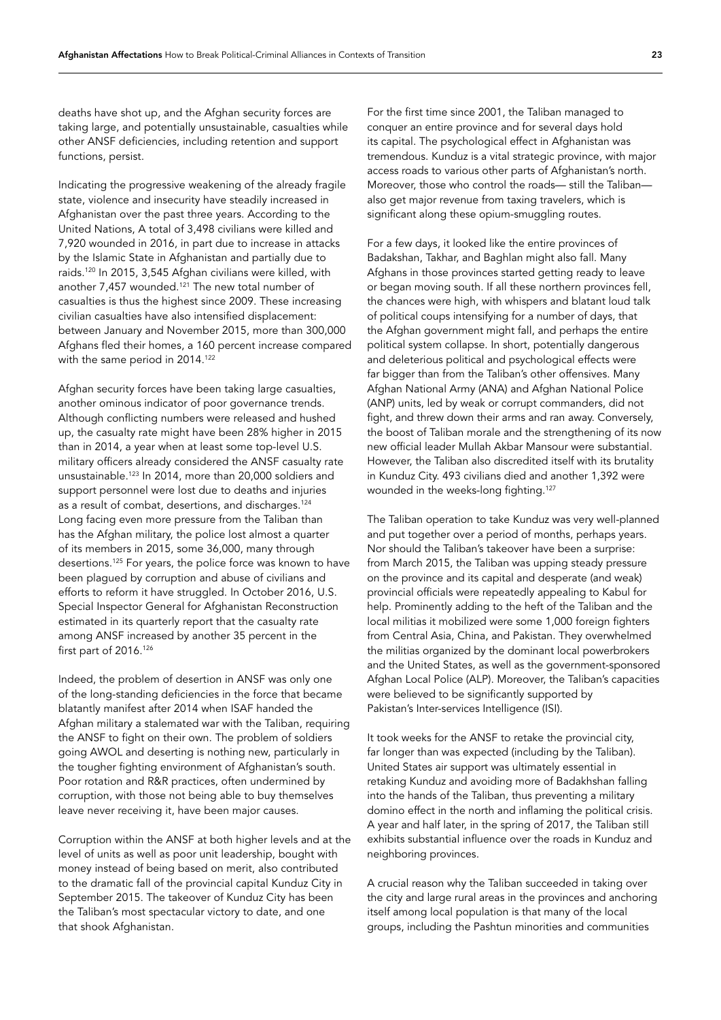deaths have shot up, and the Afghan security forces are taking large, and potentially unsustainable, casualties while other ANSF deficiencies, including retention and support functions, persist.

Indicating the progressive weakening of the already fragile state, violence and insecurity have steadily increased in Afghanistan over the past three years. According to the United Nations, A total of 3,498 civilians were killed and 7,920 wounded in 2016, in part due to increase in attacks by the Islamic State in Afghanistan and partially due to raids[.120](#page-35-22) In 2015, 3,545 Afghan civilians were killed, with another 7,457 wounded.<sup>121</sup> The new total number of casualties is thus the highest since 2009. These increasing civilian casualties have also intensified displacement: between January and November 2015, more than 300,000 Afghans fled their homes, a 160 percent increase compared with the same period in 2014.<sup>[122](#page-35-24)</sup>

Afghan security forces have been taking large casualties, another ominous indicator of poor governance trends. Although conflicting numbers were released and hushed up, the casualty rate might have been 28% higher in 2015 than in 2014, a year when at least some top-level U.S. military officers already considered the ANSF casualty rate unsustainable[.123](#page-35-25) In 2014, more than 20,000 soldiers and support personnel were lost due to deaths and injuries as a result of combat, desertions, and discharges.<sup>124</sup> Long facing even more pressure from the Taliban than has the Afghan military, the police lost almost a quarter of its members in 2015, some 36,000, many through desertions.[125](#page-35-27) For years, the police force was known to have been plagued by corruption and abuse of civilians and efforts to reform it have struggled. In October 2016, U.S. Special Inspector General for Afghanistan Reconstruction estimated in its quarterly report that the casualty rate among ANSF increased by another 35 percent in the first part of 2016.<sup>[126](#page-35-28)</sup>

Indeed, the problem of desertion in ANSF was only one of the long-standing deficiencies in the force that became blatantly manifest after 2014 when ISAF handed the Afghan military a stalemated war with the Taliban, requiring the ANSF to fight on their own. The problem of soldiers going AWOL and deserting is nothing new, particularly in the tougher fighting environment of Afghanistan's south. Poor rotation and R&R practices, often undermined by corruption, with those not being able to buy themselves leave never receiving it, have been major causes.

Corruption within the ANSF at both higher levels and at the level of units as well as poor unit leadership, bought with money instead of being based on merit, also contributed to the dramatic fall of the provincial capital Kunduz City in September 2015. The takeover of Kunduz City has been the Taliban's most spectacular victory to date, and one that shook Afghanistan.

For the first time since 2001, the Taliban managed to conquer an entire province and for several days hold its capital. The psychological effect in Afghanistan was tremendous. Kunduz is a vital strategic province, with major access roads to various other parts of Afghanistan's north. Moreover, those who control the roads— still the Taliban also get major revenue from taxing travelers, which is significant along these opium-smuggling routes.

For a few days, it looked like the entire provinces of Badakshan, Takhar, and Baghlan might also fall. Many Afghans in those provinces started getting ready to leave or began moving south. If all these northern provinces fell, the chances were high, with whispers and blatant loud talk of political coups intensifying for a number of days, that the Afghan government might fall, and perhaps the entire political system collapse. In short, potentially dangerous and deleterious political and psychological effects were far bigger than from the Taliban's other offensives. Many Afghan National Army (ANA) and Afghan National Police (ANP) units, led by weak or corrupt commanders, did not fight, and threw down their arms and ran away. Conversely, the boost of Taliban morale and the strengthening of its now new official leader Mullah Akbar Mansour were substantial. However, the Taliban also discredited itself with its brutality in Kunduz City. 493 civilians died and another 1,392 were wounded in the weeks-long fighting.<sup>127</sup>

The Taliban operation to take Kunduz was very well-planned and put together over a period of months, perhaps years. Nor should the Taliban's takeover have been a surprise: from March 2015, the Taliban was upping steady pressure on the province and its capital and desperate (and weak) provincial officials were repeatedly appealing to Kabul for help. Prominently adding to the heft of the Taliban and the local militias it mobilized were some 1,000 foreign fighters from Central Asia, China, and Pakistan. They overwhelmed the militias organized by the dominant local powerbrokers and the United States, as well as the government-sponsored Afghan Local Police (ALP). Moreover, the Taliban's capacities were believed to be significantly supported by Pakistan's Inter-services Intelligence (ISI).

It took weeks for the ANSF to retake the provincial city, far longer than was expected (including by the Taliban). United States air support was ultimately essential in retaking Kunduz and avoiding more of Badakhshan falling into the hands of the Taliban, thus preventing a military domino effect in the north and inflaming the political crisis. A year and half later, in the spring of 2017, the Taliban still exhibits substantial influence over the roads in Kunduz and neighboring provinces.

A crucial reason why the Taliban succeeded in taking over the city and large rural areas in the provinces and anchoring itself among local population is that many of the local groups, including the Pashtun minorities and communities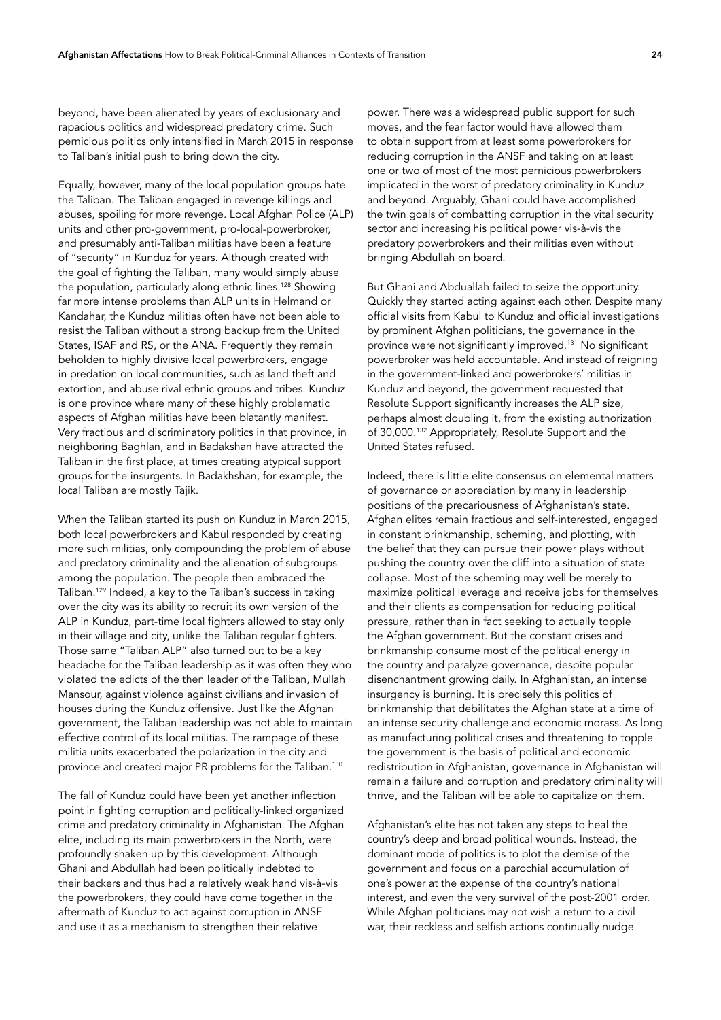beyond, have been alienated by years of exclusionary and rapacious politics and widespread predatory crime. Such pernicious politics only intensified in March 2015 in response to Taliban's initial push to bring down the city.

Equally, however, many of the local population groups hate the Taliban. The Taliban engaged in revenge killings and abuses, spoiling for more revenge. Local Afghan Police (ALP) units and other pro-government, pro-local-powerbroker, and presumably anti-Taliban militias have been a feature of "security" in Kunduz for years. Although created with the goal of fighting the Taliban, many would simply abuse the population, particularly along ethnic lines.<sup>[128](#page-35-30)</sup> Showing far more intense problems than ALP units in Helmand or Kandahar, the Kunduz militias often have not been able to resist the Taliban without a strong backup from the United States, ISAF and RS, or the ANA. Frequently they remain beholden to highly divisive local powerbrokers, engage in predation on local communities, such as land theft and extortion, and abuse rival ethnic groups and tribes. Kunduz is one province where many of these highly problematic aspects of Afghan militias have been blatantly manifest. Very fractious and discriminatory politics in that province, in neighboring Baghlan, and in Badakshan have attracted the Taliban in the first place, at times creating atypical support groups for the insurgents. In Badakhshan, for example, the local Taliban are mostly Tajik.

When the Taliban started its push on Kunduz in March 2015, both local powerbrokers and Kabul responded by creating more such militias, only compounding the problem of abuse and predatory criminality and the alienation of subgroups among the population. The people then embraced the Taliban[.129](#page-35-31) Indeed, a key to the Taliban's success in taking over the city was its ability to recruit its own version of the ALP in Kunduz, part-time local fighters allowed to stay only in their village and city, unlike the Taliban regular fighters. Those same "Taliban ALP" also turned out to be a key headache for the Taliban leadership as it was often they who violated the edicts of the then leader of the Taliban, Mullah Mansour, against violence against civilians and invasion of houses during the Kunduz offensive. Just like the Afghan government, the Taliban leadership was not able to maintain effective control of its local militias. The rampage of these militia units exacerbated the polarization in the city and province and created major PR problems for the Taliban[.130](#page-36-0)

The fall of Kunduz could have been yet another inflection point in fighting corruption and politically-linked organized crime and predatory criminality in Afghanistan. The Afghan elite, including its main powerbrokers in the North, were profoundly shaken up by this development. Although Ghani and Abdullah had been politically indebted to their backers and thus had a relatively weak hand vis-à-vis the powerbrokers, they could have come together in the aftermath of Kunduz to act against corruption in ANSF and use it as a mechanism to strengthen their relative

power. There was a widespread public support for such moves, and the fear factor would have allowed them to obtain support from at least some powerbrokers for reducing corruption in the ANSF and taking on at least one or two of most of the most pernicious powerbrokers implicated in the worst of predatory criminality in Kunduz and beyond. Arguably, Ghani could have accomplished the twin goals of combatting corruption in the vital security sector and increasing his political power vis-à-vis the predatory powerbrokers and their militias even without bringing Abdullah on board.

But Ghani and Abduallah failed to seize the opportunity. Quickly they started acting against each other. Despite many official visits from Kabul to Kunduz and official investigations by prominent Afghan politicians, the governance in the province were not significantly improved[.131](#page-36-1) No significant powerbroker was held accountable. And instead of reigning in the government-linked and powerbrokers' militias in Kunduz and beyond, the government requested that Resolute Support significantly increases the ALP size, perhaps almost doubling it, from the existing authorization of 30,000.[132](#page-36-2) Appropriately, Resolute Support and the United States refused.

Indeed, there is little elite consensus on elemental matters of governance or appreciation by many in leadership positions of the precariousness of Afghanistan's state. Afghan elites remain fractious and self-interested, engaged in constant brinkmanship, scheming, and plotting, with the belief that they can pursue their power plays without pushing the country over the cliff into a situation of state collapse. Most of the scheming may well be merely to maximize political leverage and receive jobs for themselves and their clients as compensation for reducing political pressure, rather than in fact seeking to actually topple the Afghan government. But the constant crises and brinkmanship consume most of the political energy in the country and paralyze governance, despite popular disenchantment growing daily. In Afghanistan, an intense insurgency is burning. It is precisely this politics of brinkmanship that debilitates the Afghan state at a time of an intense security challenge and economic morass. As long as manufacturing political crises and threatening to topple the government is the basis of political and economic redistribution in Afghanistan, governance in Afghanistan will remain a failure and corruption and predatory criminality will thrive, and the Taliban will be able to capitalize on them.

Afghanistan's elite has not taken any steps to heal the country's deep and broad political wounds. Instead, the dominant mode of politics is to plot the demise of the government and focus on a parochial accumulation of one's power at the expense of the country's national interest, and even the very survival of the post-2001 order. While Afghan politicians may not wish a return to a civil war, their reckless and selfish actions continually nudge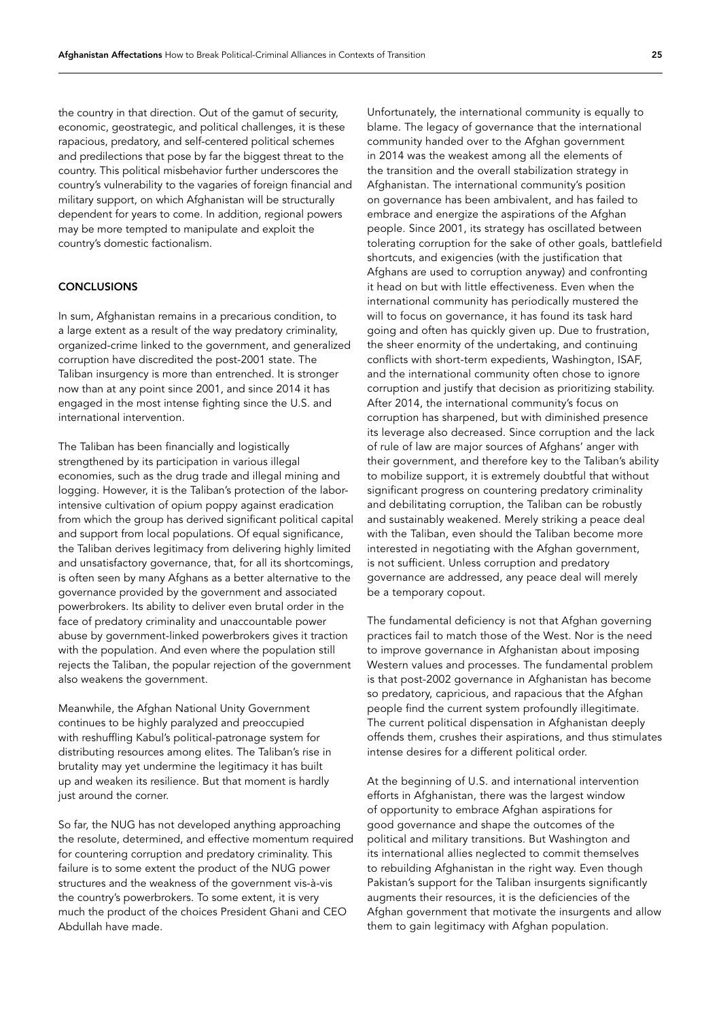the country in that direction. Out of the gamut of security, economic, geostrategic, and political challenges, it is these rapacious, predatory, and self-centered political schemes and predilections that pose by far the biggest threat to the country. This political misbehavior further underscores the country's vulnerability to the vagaries of foreign financial and military support, on which Afghanistan will be structurally dependent for years to come. In addition, regional powers may be more tempted to manipulate and exploit the country's domestic factionalism.

## **CONCLUSIONS**

In sum, Afghanistan remains in a precarious condition, to a large extent as a result of the way predatory criminality, organized-crime linked to the government, and generalized corruption have discredited the post-2001 state. The Taliban insurgency is more than entrenched. It is stronger now than at any point since 2001, and since 2014 it has engaged in the most intense fighting since the U.S. and international intervention.

The Taliban has been financially and logistically strengthened by its participation in various illegal economies, such as the drug trade and illegal mining and logging. However, it is the Taliban's protection of the laborintensive cultivation of opium poppy against eradication from which the group has derived significant political capital and support from local populations. Of equal significance, the Taliban derives legitimacy from delivering highly limited and unsatisfactory governance, that, for all its shortcomings, is often seen by many Afghans as a better alternative to the governance provided by the government and associated powerbrokers. Its ability to deliver even brutal order in the face of predatory criminality and unaccountable power abuse by government-linked powerbrokers gives it traction with the population. And even where the population still rejects the Taliban, the popular rejection of the government also weakens the government.

Meanwhile, the Afghan National Unity Government continues to be highly paralyzed and preoccupied with reshuffling Kabul's political-patronage system for distributing resources among elites. The Taliban's rise in brutality may yet undermine the legitimacy it has built up and weaken its resilience. But that moment is hardly just around the corner.

So far, the NUG has not developed anything approaching the resolute, determined, and effective momentum required for countering corruption and predatory criminality. This failure is to some extent the product of the NUG power structures and the weakness of the government vis-à-vis the country's powerbrokers. To some extent, it is very much the product of the choices President Ghani and CEO Abdullah have made.

Unfortunately, the international community is equally to blame. The legacy of governance that the international community handed over to the Afghan government in 2014 was the weakest among all the elements of the transition and the overall stabilization strategy in Afghanistan. The international community's position on governance has been ambivalent, and has failed to embrace and energize the aspirations of the Afghan people. Since 2001, its strategy has oscillated between tolerating corruption for the sake of other goals, battlefield shortcuts, and exigencies (with the justification that Afghans are used to corruption anyway) and confronting it head on but with little effectiveness. Even when the international community has periodically mustered the will to focus on governance, it has found its task hard going and often has quickly given up. Due to frustration, the sheer enormity of the undertaking, and continuing conflicts with short-term expedients, Washington, ISAF, and the international community often chose to ignore corruption and justify that decision as prioritizing stability. After 2014, the international community's focus on corruption has sharpened, but with diminished presence its leverage also decreased. Since corruption and the lack of rule of law are major sources of Afghans' anger with their government, and therefore key to the Taliban's ability to mobilize support, it is extremely doubtful that without significant progress on countering predatory criminality and debilitating corruption, the Taliban can be robustly and sustainably weakened. Merely striking a peace deal with the Taliban, even should the Taliban become more interested in negotiating with the Afghan government, is not sufficient. Unless corruption and predatory governance are addressed, any peace deal will merely be a temporary copout.

The fundamental deficiency is not that Afghan governing practices fail to match those of the West. Nor is the need to improve governance in Afghanistan about imposing Western values and processes. The fundamental problem is that post-2002 governance in Afghanistan has become so predatory, capricious, and rapacious that the Afghan people find the current system profoundly illegitimate. The current political dispensation in Afghanistan deeply offends them, crushes their aspirations, and thus stimulates intense desires for a different political order.

At the beginning of U.S. and international intervention efforts in Afghanistan, there was the largest window of opportunity to embrace Afghan aspirations for good governance and shape the outcomes of the political and military transitions. But Washington and its international allies neglected to commit themselves to rebuilding Afghanistan in the right way. Even though Pakistan's support for the Taliban insurgents significantly augments their resources, it is the deficiencies of the Afghan government that motivate the insurgents and allow them to gain legitimacy with Afghan population.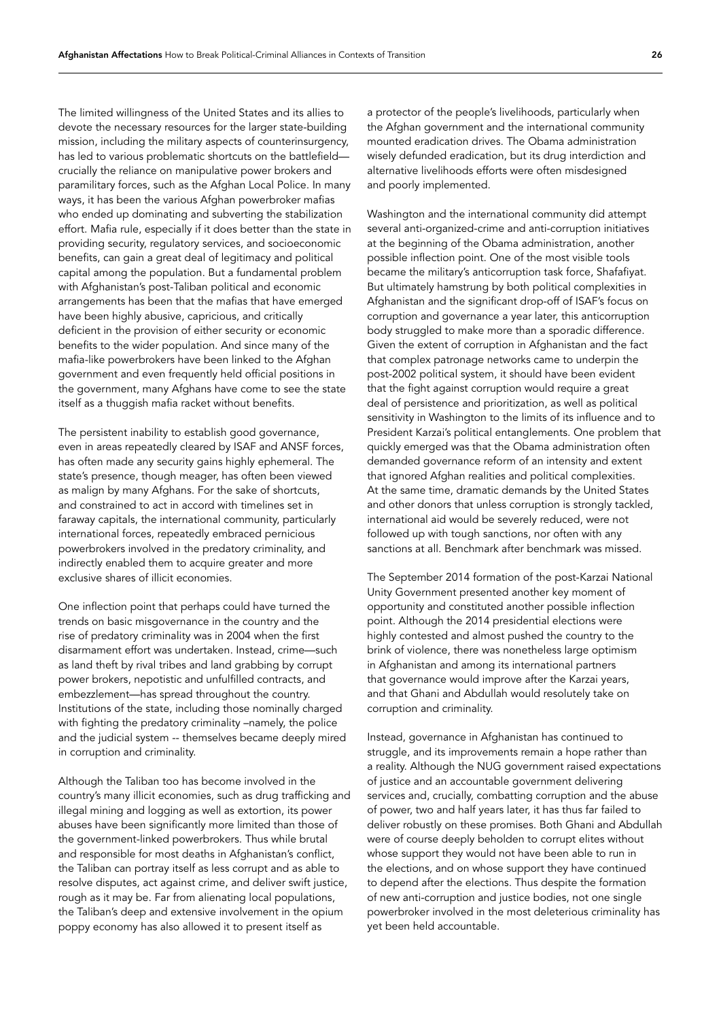The limited willingness of the United States and its allies to devote the necessary resources for the larger state-building mission, including the military aspects of counterinsurgency, has led to various problematic shortcuts on the battlefield crucially the reliance on manipulative power brokers and paramilitary forces, such as the Afghan Local Police. In many ways, it has been the various Afghan powerbroker mafias who ended up dominating and subverting the stabilization effort. Mafia rule, especially if it does better than the state in providing security, regulatory services, and socioeconomic benefits, can gain a great deal of legitimacy and political capital among the population. But a fundamental problem with Afghanistan's post-Taliban political and economic arrangements has been that the mafias that have emerged have been highly abusive, capricious, and critically deficient in the provision of either security or economic benefits to the wider population. And since many of the mafia-like powerbrokers have been linked to the Afghan government and even frequently held official positions in the government, many Afghans have come to see the state itself as a thuggish mafia racket without benefits.

The persistent inability to establish good governance, even in areas repeatedly cleared by ISAF and ANSF forces, has often made any security gains highly ephemeral. The state's presence, though meager, has often been viewed as malign by many Afghans. For the sake of shortcuts, and constrained to act in accord with timelines set in faraway capitals, the international community, particularly international forces, repeatedly embraced pernicious powerbrokers involved in the predatory criminality, and indirectly enabled them to acquire greater and more exclusive shares of illicit economies.

One inflection point that perhaps could have turned the trends on basic misgovernance in the country and the rise of predatory criminality was in 2004 when the first disarmament effort was undertaken. Instead, crime—such as land theft by rival tribes and land grabbing by corrupt power brokers, nepotistic and unfulfilled contracts, and embezzlement—has spread throughout the country. Institutions of the state, including those nominally charged with fighting the predatory criminality –namely, the police and the judicial system -- themselves became deeply mired in corruption and criminality.

Although the Taliban too has become involved in the country's many illicit economies, such as drug trafficking and illegal mining and logging as well as extortion, its power abuses have been significantly more limited than those of the government-linked powerbrokers. Thus while brutal and responsible for most deaths in Afghanistan's conflict, the Taliban can portray itself as less corrupt and as able to resolve disputes, act against crime, and deliver swift justice, rough as it may be. Far from alienating local populations, the Taliban's deep and extensive involvement in the opium poppy economy has also allowed it to present itself as

a protector of the people's livelihoods, particularly when the Afghan government and the international community mounted eradication drives. The Obama administration wisely defunded eradication, but its drug interdiction and alternative livelihoods efforts were often misdesigned and poorly implemented.

Washington and the international community did attempt several anti-organized-crime and anti-corruption initiatives at the beginning of the Obama administration, another possible inflection point. One of the most visible tools became the military's anticorruption task force, Shafafiyat. But ultimately hamstrung by both political complexities in Afghanistan and the significant drop-off of ISAF's focus on corruption and governance a year later, this anticorruption body struggled to make more than a sporadic difference. Given the extent of corruption in Afghanistan and the fact that complex patronage networks came to underpin the post-2002 political system, it should have been evident that the fight against corruption would require a great deal of persistence and prioritization, as well as political sensitivity in Washington to the limits of its influence and to President Karzai's political entanglements. One problem that quickly emerged was that the Obama administration often demanded governance reform of an intensity and extent that ignored Afghan realities and political complexities. At the same time, dramatic demands by the United States and other donors that unless corruption is strongly tackled, international aid would be severely reduced, were not followed up with tough sanctions, nor often with any sanctions at all. Benchmark after benchmark was missed.

The September 2014 formation of the post-Karzai National Unity Government presented another key moment of opportunity and constituted another possible inflection point. Although the 2014 presidential elections were highly contested and almost pushed the country to the brink of violence, there was nonetheless large optimism in Afghanistan and among its international partners that governance would improve after the Karzai years, and that Ghani and Abdullah would resolutely take on corruption and criminality.

Instead, governance in Afghanistan has continued to struggle, and its improvements remain a hope rather than a reality. Although the NUG government raised expectations of justice and an accountable government delivering services and, crucially, combatting corruption and the abuse of power, two and half years later, it has thus far failed to deliver robustly on these promises. Both Ghani and Abdullah were of course deeply beholden to corrupt elites without whose support they would not have been able to run in the elections, and on whose support they have continued to depend after the elections. Thus despite the formation of new anti-corruption and justice bodies, not one single powerbroker involved in the most deleterious criminality has yet been held accountable.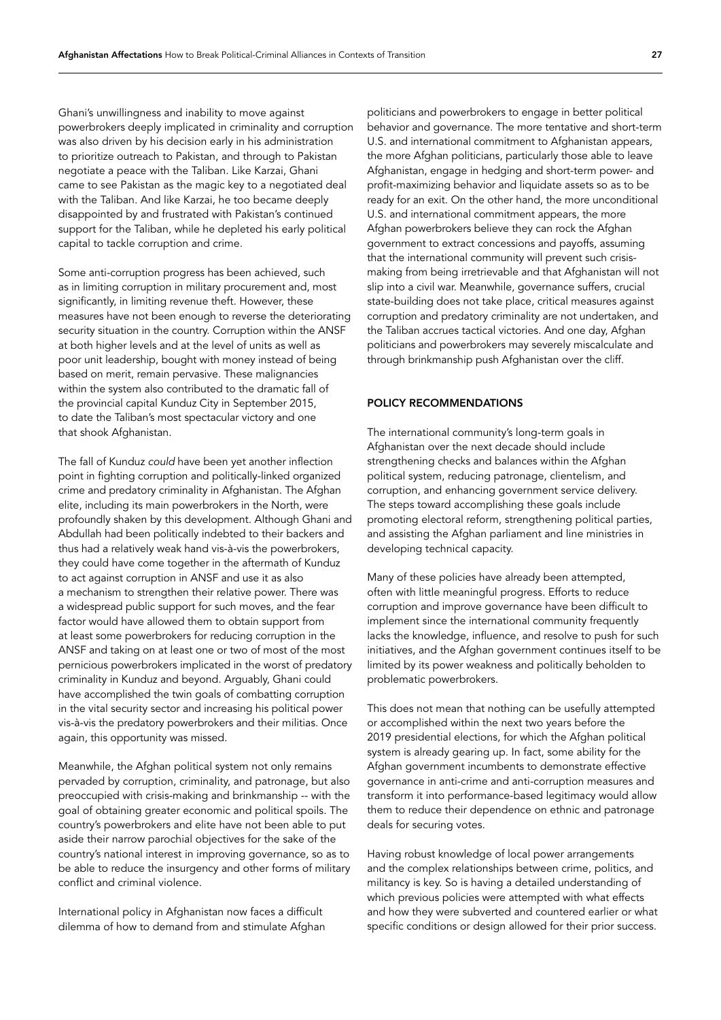Ghani's unwillingness and inability to move against powerbrokers deeply implicated in criminality and corruption was also driven by his decision early in his administration to prioritize outreach to Pakistan, and through to Pakistan negotiate a peace with the Taliban. Like Karzai, Ghani came to see Pakistan as the magic key to a negotiated deal with the Taliban. And like Karzai, he too became deeply disappointed by and frustrated with Pakistan's continued support for the Taliban, while he depleted his early political capital to tackle corruption and crime.

Some anti-corruption progress has been achieved, such as in limiting corruption in military procurement and, most significantly, in limiting revenue theft. However, these measures have not been enough to reverse the deteriorating security situation in the country. Corruption within the ANSF at both higher levels and at the level of units as well as poor unit leadership, bought with money instead of being based on merit, remain pervasive. These malignancies within the system also contributed to the dramatic fall of the provincial capital Kunduz City in September 2015, to date the Taliban's most spectacular victory and one that shook Afghanistan.

The fall of Kunduz *could* have been yet another inflection point in fighting corruption and politically-linked organized crime and predatory criminality in Afghanistan. The Afghan elite, including its main powerbrokers in the North, were profoundly shaken by this development. Although Ghani and Abdullah had been politically indebted to their backers and thus had a relatively weak hand vis-à-vis the powerbrokers, they could have come together in the aftermath of Kunduz to act against corruption in ANSF and use it as also a mechanism to strengthen their relative power. There was a widespread public support for such moves, and the fear factor would have allowed them to obtain support from at least some powerbrokers for reducing corruption in the ANSF and taking on at least one or two of most of the most pernicious powerbrokers implicated in the worst of predatory criminality in Kunduz and beyond. Arguably, Ghani could have accomplished the twin goals of combatting corruption in the vital security sector and increasing his political power vis-à-vis the predatory powerbrokers and their militias. Once again, this opportunity was missed.

Meanwhile, the Afghan political system not only remains pervaded by corruption, criminality, and patronage, but also preoccupied with crisis-making and brinkmanship -- with the goal of obtaining greater economic and political spoils. The country's powerbrokers and elite have not been able to put aside their narrow parochial objectives for the sake of the country's national interest in improving governance, so as to be able to reduce the insurgency and other forms of military conflict and criminal violence.

International policy in Afghanistan now faces a difficult dilemma of how to demand from and stimulate Afghan politicians and powerbrokers to engage in better political behavior and governance. The more tentative and short-term U.S. and international commitment to Afghanistan appears, the more Afghan politicians, particularly those able to leave Afghanistan, engage in hedging and short-term power- and profit-maximizing behavior and liquidate assets so as to be ready for an exit. On the other hand, the more unconditional U.S. and international commitment appears, the more Afghan powerbrokers believe they can rock the Afghan government to extract concessions and payoffs, assuming that the international community will prevent such crisismaking from being irretrievable and that Afghanistan will not slip into a civil war. Meanwhile, governance suffers, crucial state-building does not take place, critical measures against corruption and predatory criminality are not undertaken, and the Taliban accrues tactical victories. And one day, Afghan politicians and powerbrokers may severely miscalculate and through brinkmanship push Afghanistan over the cliff.

## POLICY RECOMMENDATIONS

The international community's long-term goals in Afghanistan over the next decade should include strengthening checks and balances within the Afghan political system, reducing patronage, clientelism, and corruption, and enhancing government service delivery. The steps toward accomplishing these goals include promoting electoral reform, strengthening political parties, and assisting the Afghan parliament and line ministries in developing technical capacity.

Many of these policies have already been attempted, often with little meaningful progress. Efforts to reduce corruption and improve governance have been difficult to implement since the international community frequently lacks the knowledge, influence, and resolve to push for such initiatives, and the Afghan government continues itself to be limited by its power weakness and politically beholden to problematic powerbrokers.

This does not mean that nothing can be usefully attempted or accomplished within the next two years before the 2019 presidential elections, for which the Afghan political system is already gearing up. In fact, some ability for the Afghan government incumbents to demonstrate effective governance in anti-crime and anti-corruption measures and transform it into performance-based legitimacy would allow them to reduce their dependence on ethnic and patronage deals for securing votes.

Having robust knowledge of local power arrangements and the complex relationships between crime, politics, and militancy is key. So is having a detailed understanding of which previous policies were attempted with what effects and how they were subverted and countered earlier or what specific conditions or design allowed for their prior success.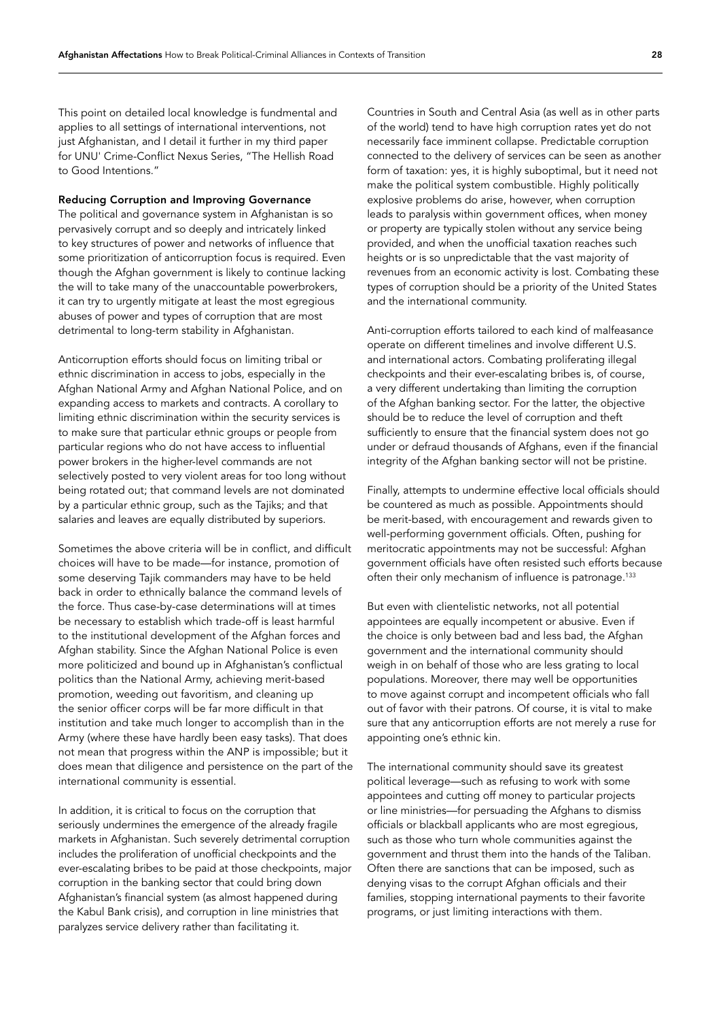This point on detailed local knowledge is fundmental and applies to all settings of international interventions, not just Afghanistan, and I detail it further in my third paper for UNU' Crime-Conflict Nexus Series, "The Hellish Road to Good Intentions."

#### Reducing Corruption and Improving Governance

The political and governance system in Afghanistan is so pervasively corrupt and so deeply and intricately linked to key structures of power and networks of influence that some prioritization of anticorruption focus is required. Even though the Afghan government is likely to continue lacking the will to take many of the unaccountable powerbrokers, it can try to urgently mitigate at least the most egregious abuses of power and types of corruption that are most detrimental to long-term stability in Afghanistan.

Anticorruption efforts should focus on limiting tribal or ethnic discrimination in access to jobs, especially in the Afghan National Army and Afghan National Police, and on expanding access to markets and contracts. A corollary to limiting ethnic discrimination within the security services is to make sure that particular ethnic groups or people from particular regions who do not have access to influential power brokers in the higher-level commands are not selectively posted to very violent areas for too long without being rotated out; that command levels are not dominated by a particular ethnic group, such as the Tajiks; and that salaries and leaves are equally distributed by superiors.

Sometimes the above criteria will be in conflict, and difficult choices will have to be made—for instance, promotion of some deserving Tajik commanders may have to be held back in order to ethnically balance the command levels of the force. Thus case-by-case determinations will at times be necessary to establish which trade-off is least harmful to the institutional development of the Afghan forces and Afghan stability. Since the Afghan National Police is even more politicized and bound up in Afghanistan's conflictual politics than the National Army, achieving merit-based promotion, weeding out favoritism, and cleaning up the senior officer corps will be far more difficult in that institution and take much longer to accomplish than in the Army (where these have hardly been easy tasks). That does not mean that progress within the ANP is impossible; but it does mean that diligence and persistence on the part of the international community is essential.

In addition, it is critical to focus on the corruption that seriously undermines the emergence of the already fragile markets in Afghanistan. Such severely detrimental corruption includes the proliferation of unofficial checkpoints and the ever-escalating bribes to be paid at those checkpoints, major corruption in the banking sector that could bring down Afghanistan's financial system (as almost happened during the Kabul Bank crisis), and corruption in line ministries that paralyzes service delivery rather than facilitating it.

Countries in South and Central Asia (as well as in other parts of the world) tend to have high corruption rates yet do not necessarily face imminent collapse. Predictable corruption connected to the delivery of services can be seen as another form of taxation: yes, it is highly suboptimal, but it need not make the political system combustible. Highly politically explosive problems do arise, however, when corruption leads to paralysis within government offices, when money or property are typically stolen without any service being provided, and when the unofficial taxation reaches such heights or is so unpredictable that the vast majority of revenues from an economic activity is lost. Combating these types of corruption should be a priority of the United States and the international community.

Anti-corruption efforts tailored to each kind of malfeasance operate on different timelines and involve different U.S. and international actors. Combating proliferating illegal checkpoints and their ever-escalating bribes is, of course, a very different undertaking than limiting the corruption of the Afghan banking sector. For the latter, the objective should be to reduce the level of corruption and theft sufficiently to ensure that the financial system does not go under or defraud thousands of Afghans, even if the financial integrity of the Afghan banking sector will not be pristine.

Finally, attempts to undermine effective local officials should be countered as much as possible. Appointments should be merit-based, with encouragement and rewards given to well-performing government officials. Often, pushing for meritocratic appointments may not be successful: Afghan government officials have often resisted such efforts because often their only mechanism of influence is patronage.<sup>133</sup>

But even with clientelistic networks, not all potential appointees are equally incompetent or abusive. Even if the choice is only between bad and less bad, the Afghan government and the international community should weigh in on behalf of those who are less grating to local populations. Moreover, there may well be opportunities to move against corrupt and incompetent officials who fall out of favor with their patrons. Of course, it is vital to make sure that any anticorruption efforts are not merely a ruse for appointing one's ethnic kin.

The international community should save its greatest political leverage—such as refusing to work with some appointees and cutting off money to particular projects or line ministries—for persuading the Afghans to dismiss officials or blackball applicants who are most egregious, such as those who turn whole communities against the government and thrust them into the hands of the Taliban. Often there are sanctions that can be imposed, such as denying visas to the corrupt Afghan officials and their families, stopping international payments to their favorite programs, or just limiting interactions with them.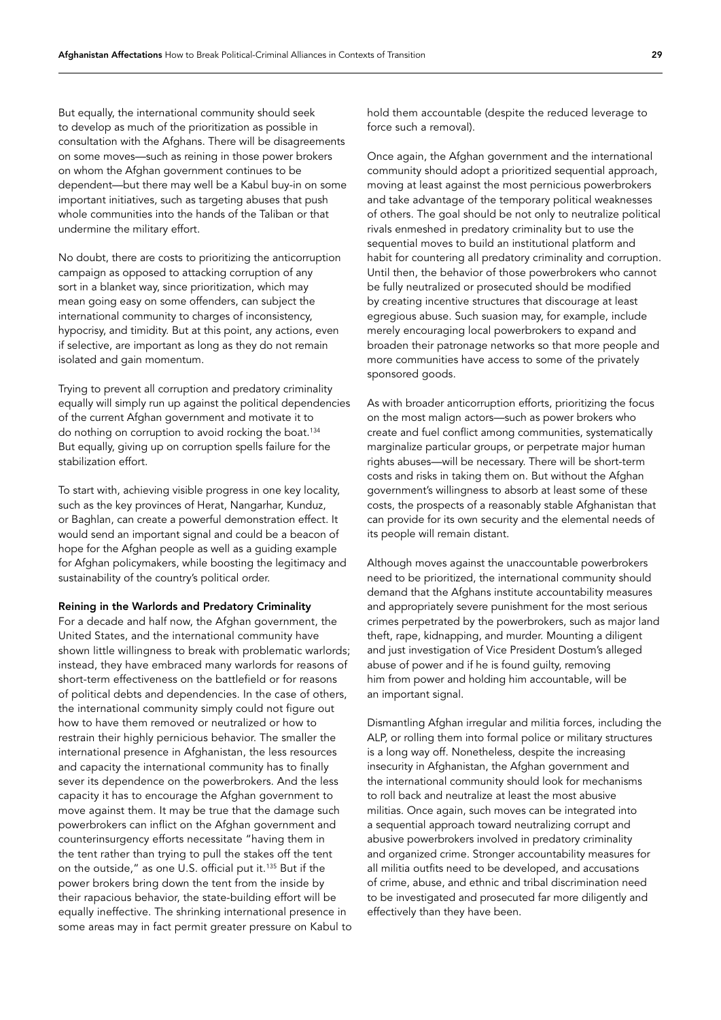But equally, the international community should seek to develop as much of the prioritization as possible in consultation with the Afghans. There will be disagreements on some moves—such as reining in those power brokers on whom the Afghan government continues to be dependent—but there may well be a Kabul buy-in on some important initiatives, such as targeting abuses that push whole communities into the hands of the Taliban or that undermine the military effort.

No doubt, there are costs to prioritizing the anticorruption campaign as opposed to attacking corruption of any sort in a blanket way, since prioritization, which may mean going easy on some offenders, can subject the international community to charges of inconsistency, hypocrisy, and timidity. But at this point, any actions, even if selective, are important as long as they do not remain isolated and gain momentum.

Trying to prevent all corruption and predatory criminality equally will simply run up against the political dependencies of the current Afghan government and motivate it to do nothing on corruption to avoid rocking the boat.<sup>[134](#page-36-4)</sup> But equally, giving up on corruption spells failure for the stabilization effort.

To start with, achieving visible progress in one key locality, such as the key provinces of Herat, Nangarhar, Kunduz, or Baghlan, can create a powerful demonstration effect. It would send an important signal and could be a beacon of hope for the Afghan people as well as a guiding example for Afghan policymakers, while boosting the legitimacy and sustainability of the country's political order.

## Reining in the Warlords and Predatory Criminality

For a decade and half now, the Afghan government, the United States, and the international community have shown little willingness to break with problematic warlords; instead, they have embraced many warlords for reasons of short-term effectiveness on the battlefield or for reasons of political debts and dependencies. In the case of others, the international community simply could not figure out how to have them removed or neutralized or how to restrain their highly pernicious behavior. The smaller the international presence in Afghanistan, the less resources and capacity the international community has to finally sever its dependence on the powerbrokers. And the less capacity it has to encourage the Afghan government to move against them. It may be true that the damage such powerbrokers can inflict on the Afghan government and counterinsurgency efforts necessitate "having them in the tent rather than trying to pull the stakes off the tent on the outside," as one U.S. official put it.[135](#page-36-5) But if the power brokers bring down the tent from the inside by their rapacious behavior, the state-building effort will be equally ineffective. The shrinking international presence in some areas may in fact permit greater pressure on Kabul to hold them accountable (despite the reduced leverage to force such a removal).

Once again, the Afghan government and the international community should adopt a prioritized sequential approach, moving at least against the most pernicious powerbrokers and take advantage of the temporary political weaknesses of others. The goal should be not only to neutralize political rivals enmeshed in predatory criminality but to use the sequential moves to build an institutional platform and habit for countering all predatory criminality and corruption. Until then, the behavior of those powerbrokers who cannot be fully neutralized or prosecuted should be modified by creating incentive structures that discourage at least egregious abuse. Such suasion may, for example, include merely encouraging local powerbrokers to expand and broaden their patronage networks so that more people and more communities have access to some of the privately sponsored goods.

As with broader anticorruption efforts, prioritizing the focus on the most malign actors—such as power brokers who create and fuel conflict among communities, systematically marginalize particular groups, or perpetrate major human rights abuses—will be necessary. There will be short-term costs and risks in taking them on. But without the Afghan government's willingness to absorb at least some of these costs, the prospects of a reasonably stable Afghanistan that can provide for its own security and the elemental needs of its people will remain distant.

Although moves against the unaccountable powerbrokers need to be prioritized, the international community should demand that the Afghans institute accountability measures and appropriately severe punishment for the most serious crimes perpetrated by the powerbrokers, such as major land theft, rape, kidnapping, and murder. Mounting a diligent and just investigation of Vice President Dostum's alleged abuse of power and if he is found guilty, removing him from power and holding him accountable, will be an important signal.

Dismantling Afghan irregular and militia forces, including the ALP, or rolling them into formal police or military structures is a long way off. Nonetheless, despite the increasing insecurity in Afghanistan, the Afghan government and the international community should look for mechanisms to roll back and neutralize at least the most abusive militias. Once again, such moves can be integrated into a sequential approach toward neutralizing corrupt and abusive powerbrokers involved in predatory criminality and organized crime. Stronger accountability measures for all militia outfits need to be developed, and accusations of crime, abuse, and ethnic and tribal discrimination need to be investigated and prosecuted far more diligently and effectively than they have been.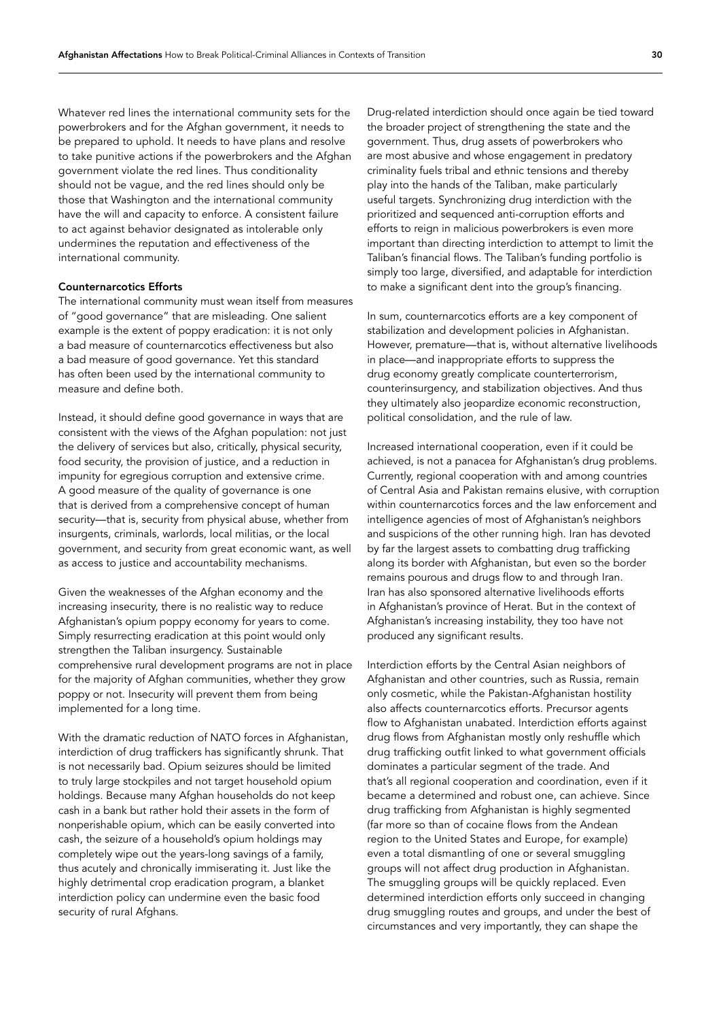Whatever red lines the international community sets for the powerbrokers and for the Afghan government, it needs to be prepared to uphold. It needs to have plans and resolve to take punitive actions if the powerbrokers and the Afghan government violate the red lines. Thus conditionality should not be vague, and the red lines should only be those that Washington and the international community have the will and capacity to enforce. A consistent failure to act against behavior designated as intolerable only undermines the reputation and effectiveness of the international community.

## Counternarcotics Efforts

The international community must wean itself from measures of "good governance" that are misleading. One salient example is the extent of poppy eradication: it is not only a bad measure of counternarcotics effectiveness but also a bad measure of good governance. Yet this standard has often been used by the international community to measure and define both.

Instead, it should define good governance in ways that are consistent with the views of the Afghan population: not just the delivery of services but also, critically, physical security, food security, the provision of justice, and a reduction in impunity for egregious corruption and extensive crime. A good measure of the quality of governance is one that is derived from a comprehensive concept of human security—that is, security from physical abuse, whether from insurgents, criminals, warlords, local militias, or the local government, and security from great economic want, as well as access to justice and accountability mechanisms.

Given the weaknesses of the Afghan economy and the increasing insecurity, there is no realistic way to reduce Afghanistan's opium poppy economy for years to come. Simply resurrecting eradication at this point would only strengthen the Taliban insurgency. Sustainable comprehensive rural development programs are not in place for the majority of Afghan communities, whether they grow poppy or not. Insecurity will prevent them from being implemented for a long time.

With the dramatic reduction of NATO forces in Afghanistan, interdiction of drug traffickers has significantly shrunk. That is not necessarily bad. Opium seizures should be limited to truly large stockpiles and not target household opium holdings. Because many Afghan households do not keep cash in a bank but rather hold their assets in the form of nonperishable opium, which can be easily converted into cash, the seizure of a household's opium holdings may completely wipe out the years-long savings of a family, thus acutely and chronically immiserating it. Just like the highly detrimental crop eradication program, a blanket interdiction policy can undermine even the basic food security of rural Afghans.

Drug-related interdiction should once again be tied toward the broader project of strengthening the state and the government. Thus, drug assets of powerbrokers who are most abusive and whose engagement in predatory criminality fuels tribal and ethnic tensions and thereby play into the hands of the Taliban, make particularly useful targets. Synchronizing drug interdiction with the prioritized and sequenced anti-corruption efforts and efforts to reign in malicious powerbrokers is even more important than directing interdiction to attempt to limit the Taliban's financial flows. The Taliban's funding portfolio is simply too large, diversified, and adaptable for interdiction to make a significant dent into the group's financing.

In sum, counternarcotics efforts are a key component of stabilization and development policies in Afghanistan. However, premature—that is, without alternative livelihoods in place—and inappropriate efforts to suppress the drug economy greatly complicate counterterrorism, counterinsurgency, and stabilization objectives. And thus they ultimately also jeopardize economic reconstruction, political consolidation, and the rule of law.

Increased international cooperation, even if it could be achieved, is not a panacea for Afghanistan's drug problems. Currently, regional cooperation with and among countries of Central Asia and Pakistan remains elusive, with corruption within counternarcotics forces and the law enforcement and intelligence agencies of most of Afghanistan's neighbors and suspicions of the other running high. Iran has devoted by far the largest assets to combatting drug trafficking along its border with Afghanistan, but even so the border remains pourous and drugs flow to and through Iran. Iran has also sponsored alternative livelihoods efforts in Afghanistan's province of Herat. But in the context of Afghanistan's increasing instability, they too have not produced any significant results.

Interdiction efforts by the Central Asian neighbors of Afghanistan and other countries, such as Russia, remain only cosmetic, while the Pakistan-Afghanistan hostility also affects counternarcotics efforts. Precursor agents flow to Afghanistan unabated. Interdiction efforts against drug flows from Afghanistan mostly only reshuffle which drug trafficking outfit linked to what government officials dominates a particular segment of the trade. And that's all regional cooperation and coordination, even if it became a determined and robust one, can achieve. Since drug trafficking from Afghanistan is highly segmented (far more so than of cocaine flows from the Andean region to the United States and Europe, for example) even a total dismantling of one or several smuggling groups will not affect drug production in Afghanistan. The smuggling groups will be quickly replaced. Even determined interdiction efforts only succeed in changing drug smuggling routes and groups, and under the best of circumstances and very importantly, they can shape the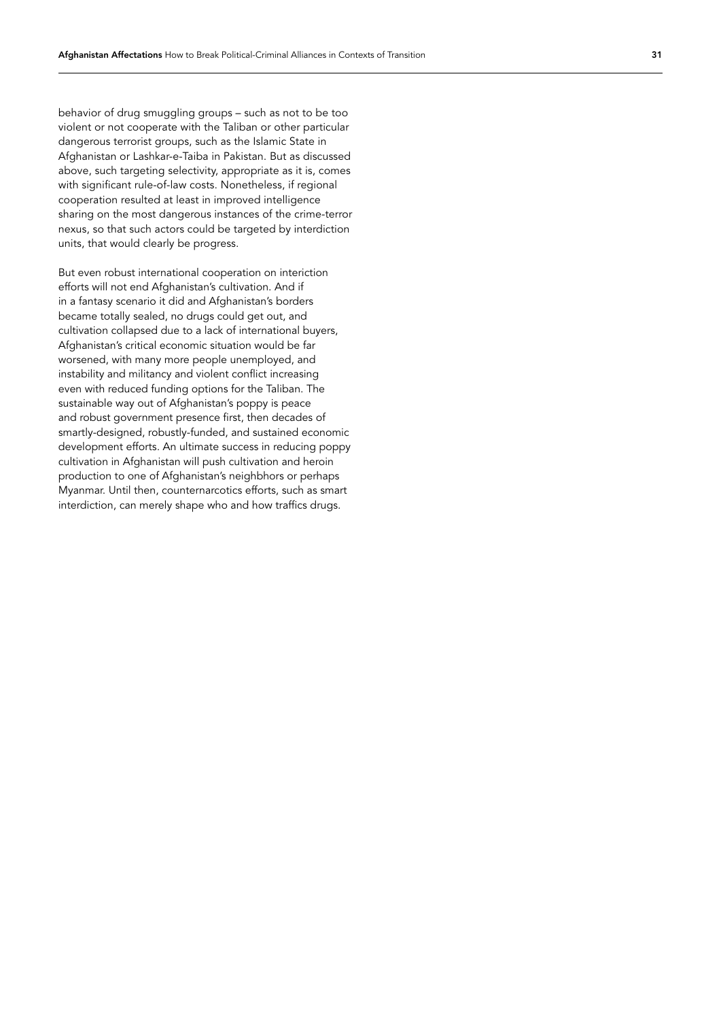behavior of drug smuggling groups – such as not to be too violent or not cooperate with the Taliban or other particular dangerous terrorist groups, such as the Islamic State in Afghanistan or Lashkar-e-Taiba in Pakistan. But as discussed above, such targeting selectivity, appropriate as it is, comes with significant rule-of-law costs. Nonetheless, if regional cooperation resulted at least in improved intelligence sharing on the most dangerous instances of the crime-terror nexus, so that such actors could be targeted by interdiction units, that would clearly be progress.

But even robust international cooperation on interiction efforts will not end Afghanistan's cultivation. And if in a fantasy scenario it did and Afghanistan's borders became totally sealed, no drugs could get out, and cultivation collapsed due to a lack of international buyers, Afghanistan's critical economic situation would be far worsened, with many more people unemployed, and instability and militancy and violent conflict increasing even with reduced funding options for the Taliban. The sustainable way out of Afghanistan's poppy is peace and robust government presence first, then decades of smartly-designed, robustly-funded, and sustained economic development efforts. An ultimate success in reducing poppy cultivation in Afghanistan will push cultivation and heroin production to one of Afghanistan's neighbhors or perhaps Myanmar. Until then, counternarcotics efforts, such as smart interdiction, can merely shape who and how traffics drugs.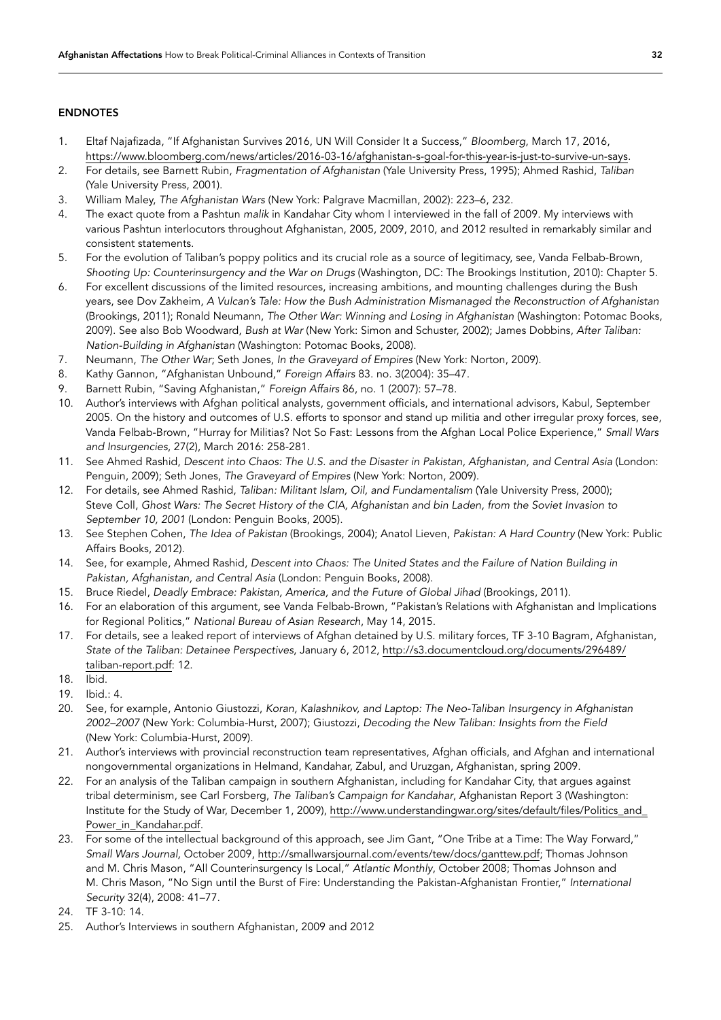## ENDNOTES

- <span id="page-31-0"></span>1. Eltaf Najafizada, "If Afghanistan Survives 2016, UN Will Consider It a Success," *Bloomberg*, March 17, 2016, [https://www.bloomberg.com/news/articles/2016-03-16/afghanistan-s-goal-for-this-year-is-just-to-survive-un-says.](https://www.bloomberg.com/news/articles/2016-03-16/afghanistan-s-goal-for-this-year-is-just-to-survive-un-says)
- <span id="page-31-1"></span>2. For details, see Barnett Rubin, *Fragmentation of Afghanistan* (Yale University Press, 1995); Ahmed Rashid, *Taliban* (Yale University Press, 2001).
- <span id="page-31-2"></span>3. William Maley, *The Afghanistan Wars* (New York: Palgrave Macmillan, 2002): 223–6, 232.
- <span id="page-31-3"></span>4. The exact quote from a Pashtun *malik* in Kandahar City whom I interviewed in the fall of 2009. My interviews with various Pashtun interlocutors throughout Afghanistan, 2005, 2009, 2010, and 2012 resulted in remarkably similar and consistent statements.
- <span id="page-31-4"></span>5. For the evolution of Taliban's poppy politics and its crucial role as a source of legitimacy, see, Vanda Felbab-Brown, *Shooting Up: Counterinsurgency and the War on Drugs* (Washington, DC: The Brookings Institution, 2010): Chapter 5.
- <span id="page-31-5"></span>6. For excellent discussions of the limited resources, increasing ambitions, and mounting challenges during the Bush years, see Dov Zakheim, *A Vulcan's Tale: How the Bush Administration Mismanaged the Reconstruction of Afghanistan*  (Brookings, 2011); Ronald Neumann, *The Other War: Winning and Losing in Afghanistan* (Washington: Potomac Books, 2009). See also Bob Woodward, *Bush at War* (New York: Simon and Schuster, 2002); James Dobbins, *After Taliban: Nation-Building in Afghanistan* (Washington: Potomac Books, 2008).
- <span id="page-31-6"></span>7. Neumann, *The Other War*; Seth Jones, *In the Graveyard of Empires* (New York: Norton, 2009).
- <span id="page-31-7"></span>8. Kathy Gannon, "Afghanistan Unbound," *Foreign Affairs* 83. no. 3(2004): 35–47.
- <span id="page-31-8"></span>9. Barnett Rubin, "Saving Afghanistan," *Foreign Affairs* 86, no. 1 (2007): 57–78.
- <span id="page-31-9"></span>10. Author's interviews with Afghan political analysts, government officials, and international advisors, Kabul, September 2005. On the history and outcomes of U.S. efforts to sponsor and stand up militia and other irregular proxy forces, see, Vanda Felbab-Brown, "Hurray for Militias? Not So Fast: Lessons from the Afghan Local Police Experience," *Small Wars and Insurgencies*, 27(2), March 2016: 258-281.
- <span id="page-31-10"></span>11. See Ahmed Rashid, *Descent into Chaos: The U.S. and the Disaster in Pakistan, Afghanistan, and Central Asia* (London: Penguin, 2009); Seth Jones, *The Graveyard of Empires* (New York: Norton, 2009).
- <span id="page-31-11"></span>12. For details, see Ahmed Rashid, *Taliban: Militant Islam, Oil, and Fundamentalism* (Yale University Press, 2000); Steve Coll, *Ghost Wars: The Secret History of the CIA, Afghanistan and bin Laden, from the Soviet Invasion to September 10, 2001* (London: Penguin Books, 2005).
- <span id="page-31-12"></span>13. See Stephen Cohen, *The Idea of Pakistan* (Brookings, 2004); Anatol Lieven, *Pakistan: A Hard Country* (New York: Public Affairs Books, 2012).
- <span id="page-31-13"></span>14. See, for example, Ahmed Rashid, *Descent into Chaos: The United States and the Failure of Nation Building in Pakistan, Afghanistan, and Central Asia* (London: Penguin Books, 2008).
- <span id="page-31-14"></span>15. Bruce Riedel, *Deadly Embrace: Pakistan, America, and the Future of Global Jihad* (Brookings, 2011).
- <span id="page-31-15"></span>16. For an elaboration of this argument, see Vanda Felbab-Brown, "Pakistan's Relations with Afghanistan and Implications for Regional Politics," *National Bureau of Asian Research*, May 14, 2015.
- <span id="page-31-16"></span>17. For details, see a leaked report of interviews of Afghan detained by U.S. military forces, TF 3-10 Bagram, Afghanistan, *State of the Taliban: Detainee Perspectives*, January 6, 2012, [http://s3.documentcloud.org/documents/296489/](http://s3.documentcloud.org/documents/296489/taliban-report.pdf) [taliban-report.pdf:](http://s3.documentcloud.org/documents/296489/taliban-report.pdf) 12.
- <span id="page-31-17"></span>18. Ibid.
- <span id="page-31-18"></span>19. Ibid.: 4.
- <span id="page-31-19"></span>20. See, for example, Antonio Giustozzi, *Koran, Kalashnikov, and Laptop: The Neo-Taliban Insurgency in Afghanistan 2002–2007* (New York: Columbia-Hurst, 2007); Giustozzi, *Decoding the New Taliban: Insights from the Field*  (New York: Columbia-Hurst, 2009).
- <span id="page-31-20"></span>21. Author's interviews with provincial reconstruction team representatives, Afghan officials, and Afghan and international nongovernmental organizations in Helmand, Kandahar, Zabul, and Uruzgan, Afghanistan, spring 2009.
- <span id="page-31-21"></span>22. For an analysis of the Taliban campaign in southern Afghanistan, including for Kandahar City, that argues against tribal determinism, see Carl Forsberg, *The Taliban's Campaign for Kandahar*, Afghanistan Report 3 (Washington: Institute for the Study of War, December 1, 2009), [http://www.understandingwar.org/sites/default/files/Politics\\_and\\_](http://www.understandingwar.org/sites/default/files/Politics_and_Power_in_Kandahar.pdf) [Power\\_in\\_Kandahar.pdf.](http://www.understandingwar.org/sites/default/files/Politics_and_Power_in_Kandahar.pdf)
- <span id="page-31-22"></span>23. For some of the intellectual background of this approach, see Jim Gant, "One Tribe at a Time: The Way Forward," *Small Wars Journal,* October 2009, [http://smallwarsjournal.com/events/tew/docs/ganttew.pdf;](http://smallwarsjournal.com/events/tew/docs/ganttew.pdf) Thomas Johnson and M. Chris Mason, "All Counterinsurgency Is Local," *Atlantic Monthly*, October 2008; Thomas Johnson and M. Chris Mason, "No Sign until the Burst of Fire: Understanding the Pakistan-Afghanistan Frontier," *International Security* 32(4), 2008: 41–77.
- <span id="page-31-23"></span>24. TF 3-10: 14.
- <span id="page-31-24"></span>25. Author's Interviews in southern Afghanistan, 2009 and 2012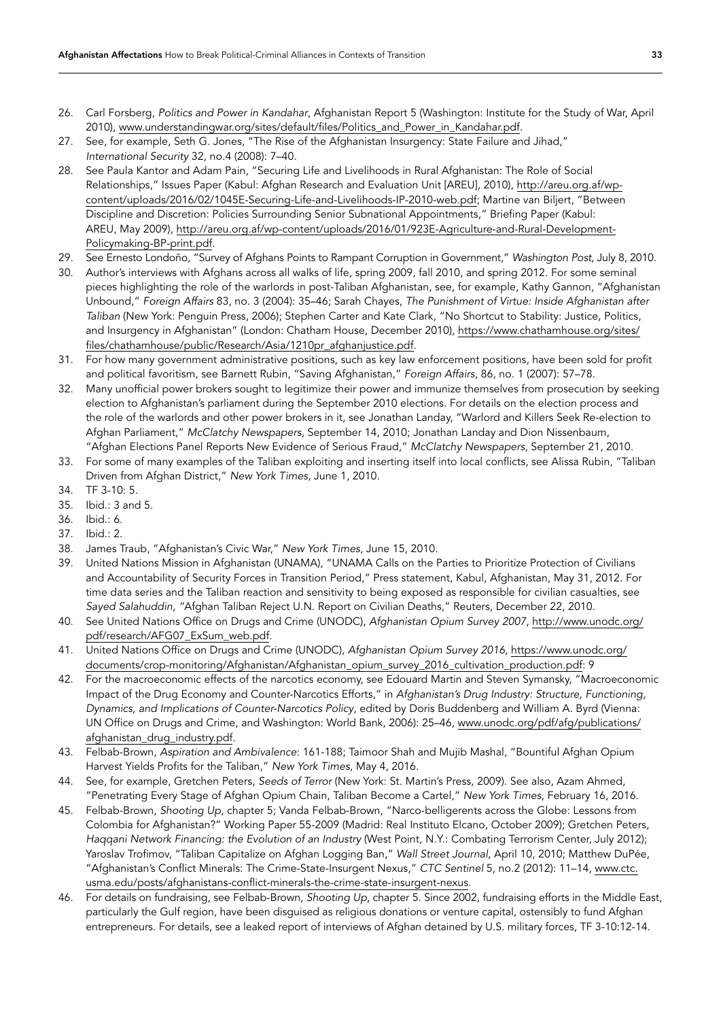- <span id="page-32-0"></span>26. Carl Forsberg, *Politics and Power in Kandahar*, Afghanistan Report 5 (Washington: Institute for the Study of War, April 2010), [www.understandingwar.org/sites/default/files/Politics\\_and\\_Power\\_in\\_Kandahar.pdf](http://www.understandingwar.org/sites/default/files/Politics_and_Power_in_Kandahar.pdf).
- <span id="page-32-1"></span>27. See, for example, Seth G. Jones, "The Rise of the Afghanistan Insurgency: State Failure and Jihad," *International Security* 32, no.4 (2008): 7–40.
- <span id="page-32-2"></span>28. See Paula Kantor and Adam Pain, "Securing Life and Livelihoods in Rural Afghanistan: The Role of Social Relationships," Issues Paper (Kabul: Afghan Research and Evaluation Unit [AREU], 2010), [http://areu.org.af/wp](http://areu.org.af/wp-content/uploads/2016/02/1045E-Securing-Life-and-Livelihoods-IP-2010-web.pdf)[content/uploads/2016/02/1045E-Securing-Life-and-Livelihoods-IP-2010-web.pdf;](http://areu.org.af/wp-content/uploads/2016/02/1045E-Securing-Life-and-Livelihoods-IP-2010-web.pdf) Martine van Biljert, "Between Discipline and Discretion: Policies Surrounding Senior Subnational Appointments," Briefing Paper (Kabul: AREU, May 2009), [http://areu.org.af/wp-content/uploads/2016/01/923E-Agriculture-and-Rural-Development-](http://areu.org.af/wp-content/uploads/2016/01/923E-Agriculture-and-Rural-Development-Policymaking-BP-print.pdf)[Policymaking-BP-print.pdf](http://areu.org.af/wp-content/uploads/2016/01/923E-Agriculture-and-Rural-Development-Policymaking-BP-print.pdf).
- <span id="page-32-3"></span>29. See Ernesto Londoño, "Survey of Afghans Points to Rampant Corruption in Government," *Washington Post*, July 8, 2010.
- <span id="page-32-4"></span>30. Author's interviews with Afghans across all walks of life, spring 2009, fall 2010, and spring 2012. For some seminal pieces highlighting the role of the warlords in post-Taliban Afghanistan, see, for example, Kathy Gannon, "Afghanistan Unbound," *Foreign Affairs* 83, no. 3 (2004): 35–46; Sarah Chayes, *The Punishment of Virtue: Inside Afghanistan after Taliban* (New York: Penguin Press, 2006); Stephen Carter and Kate Clark, "No Shortcut to Stability: Justice, Politics, and Insurgency in Afghanistan" (London: Chatham House, December 2010), [https://www.chathamhouse.org/sites/](https://www.chathamhouse.org/sites/files/chathamhouse/public/Research/Asia/1210pr_afghanjustice.pdf) [files/chathamhouse/public/Research/Asia/1210pr\\_afghanjustice.pdf.](https://www.chathamhouse.org/sites/files/chathamhouse/public/Research/Asia/1210pr_afghanjustice.pdf)
- <span id="page-32-5"></span>31. For how many government administrative positions, such as key law enforcement positions, have been sold for profit and political favoritism, see Barnett Rubin, "Saving Afghanistan," *Foreign Affairs*, 86, no. 1 (2007): 57–78.
- <span id="page-32-6"></span>32. Many unofficial power brokers sought to legitimize their power and immunize themselves from prosecution by seeking election to Afghanistan's parliament during the September 2010 elections. For details on the election process and the role of the warlords and other power brokers in it, see Jonathan Landay, "Warlord and Killers Seek Re-election to Afghan Parliament," *McClatchy Newspapers*, September 14, 2010; Jonathan Landay and Dion Nissenbaum, "Afghan Elections Panel Reports New Evidence of Serious Fraud," *McClatchy Newspapers*, September 21, 2010.
- <span id="page-32-7"></span>33. For some of many examples of the Taliban exploiting and inserting itself into local conflicts, see Alissa Rubin, "Taliban Driven from Afghan District," *New York Times*, June 1, 2010.
- <span id="page-32-8"></span>34. TF 3-10: 5.
- <span id="page-32-9"></span>35. Ibid.: 3 and 5.
- <span id="page-32-10"></span>36. Ibid.: 6.
- <span id="page-32-11"></span>37. Ibid.: 2.
- <span id="page-32-12"></span>38. James Traub, "Afghanistan's Civic War," *New York Times*, June 15, 2010.
- <span id="page-32-13"></span>39. United Nations Mission in Afghanistan (UNAMA), "UNAMA Calls on the Parties to Prioritize Protection of Civilians and Accountability of Security Forces in Transition Period," Press statement, Kabul, Afghanistan, May 31, 2012. For time data series and the Taliban reaction and sensitivity to being exposed as responsible for civilian casualties, see *Sayed Salahuddin, "*Afghan Taliban Reject U.N. Report on Civilian Deaths," Reuters, December 22, 2010.
- <span id="page-32-14"></span>40. See United Nations Office on Drugs and Crime (UNODC), *Afghanistan Opium Survey 2007*, [http://www.unodc.org/](http://www.unodc.org/pdf/research/AFG07_ExSum_web.pdf) [pdf/research/AFG07\\_ExSum\\_web.pdf](http://www.unodc.org/pdf/research/AFG07_ExSum_web.pdf).
- <span id="page-32-15"></span>41. United Nations Office on Drugs and Crime (UNODC), *Afghanistan Opium Survey 2016,* [https://www.unodc.org/](https://www.unodc.org/documents/crop-monitoring/Afghanistan/Afghanistan_opium_survey_2016_cultivation_production.pdf) [documents/crop-monitoring/Afghanistan/Afghanistan\\_opium\\_survey\\_2016\\_cultivation\\_production.pdf](https://www.unodc.org/documents/crop-monitoring/Afghanistan/Afghanistan_opium_survey_2016_cultivation_production.pdf): 9
- <span id="page-32-16"></span>42. For the macroeconomic effects of the narcotics economy, see Edouard Martin and Steven Symansky, "Macroeconomic Impact of the Drug Economy and Counter-Narcotics Efforts," in *Afghanistan's Drug Industry: Structure, Functioning, Dynamics, and Implications of Counter-Narcotics Policy*, edited by Doris Buddenberg and William A. Byrd (Vienna: UN Office on Drugs and Crime, and Washington: World Bank, 2006): 25–46, [www.unodc.org/pdf/afg/publications/](http://www.unodc.org/pdf/afg/publications/afghanistan_drug_industry.pdf) afghanistan drug industry.pdf.
- <span id="page-32-17"></span>43. Felbab-Brown, *Aspiration and Ambivalence*: 161-188; Taimoor Shah and Mujib Mashal, "Bountiful Afghan Opium Harvest Yields Profits for the Taliban," *New York Times*, May 4, 2016.
- <span id="page-32-18"></span>44. See, for example, Gretchen Peters, *Seeds of Terror* (New York: St. Martin's Press, 2009). See also, Azam Ahmed, "Penetrating Every Stage of Afghan Opium Chain, Taliban Become a Cartel," *New York Times*, February 16, 2016.
- <span id="page-32-19"></span>45. Felbab-Brown, *Shooting Up*, chapter 5; Vanda Felbab-Brown, "Narco-belligerents across the Globe: Lessons from Colombia for Afghanistan?" Working Paper 55-2009 (Madrid: Real Instituto Elcano, October 2009); Gretchen Peters, *Haqqani Network Financing: the Evolution of an Industry* (West Point, N.Y.: Combating Terrorism Center, July 2012); Yaroslav Trofimov, "Taliban Capitalize on Afghan Logging Ban," *Wall Street Journal*, April 10, 2010; Matthew DuPée, "Afghanistan's Conflict Minerals: The Crime-State-Insurgent Nexus," *CTC Sentinel* 5, no.2 (2012): 11–14, [www.ctc.](http://www.ctc.usma.edu/posts/afghanistans-conflict-minerals-the-crime-state-insurgent-nexus) [usma.edu/posts/afghanistans-conflict-minerals-the-crime-state-insurgent-nexus.](http://www.ctc.usma.edu/posts/afghanistans-conflict-minerals-the-crime-state-insurgent-nexus)
- <span id="page-32-20"></span>46. For details on fundraising, see Felbab-Brown, *Shooting Up*, chapter 5. Since 2002, fundraising efforts in the Middle East, particularly the Gulf region, have been disguised as religious donations or venture capital, ostensibly to fund Afghan entrepreneurs. For details, see a leaked report of interviews of Afghan detained by U.S. military forces, TF 3-10:12-14.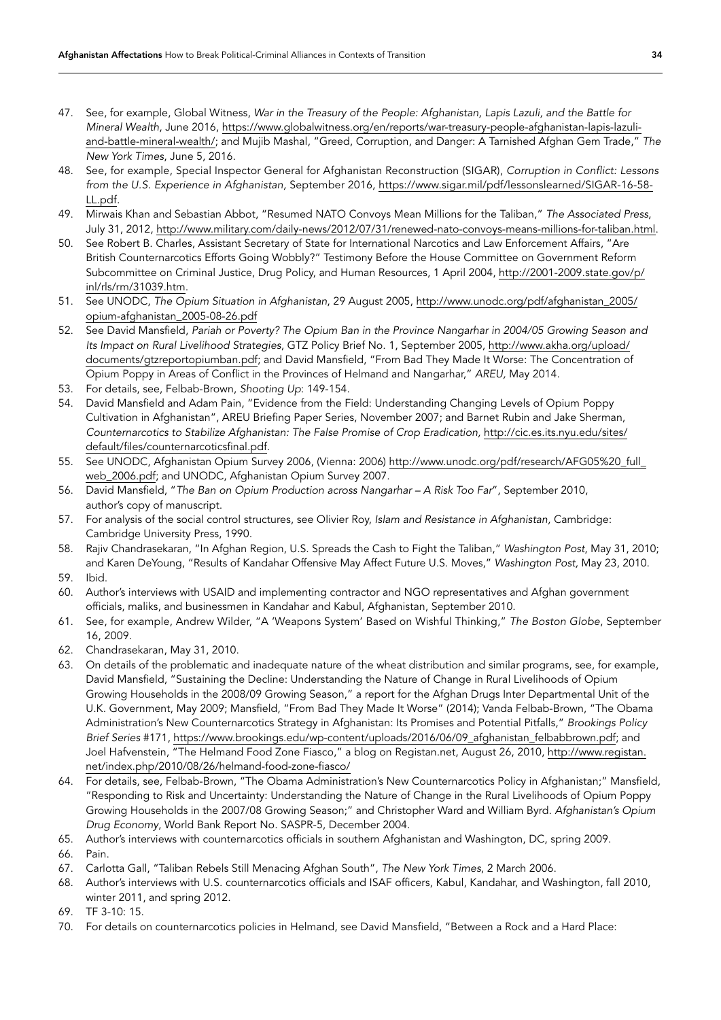- <span id="page-33-0"></span>47. See, for example, Global Witness, *War in the Treasury of the People: Afghanistan, Lapis Lazuli, and the Battle for Mineral Wealth*, June 2016, [https://www.globalwitness.org/en/reports/war-treasury-people-afghanistan-lapis-lazuli](https://www.globalwitness.org/en/reports/war-treasury-people-afghanistan-lapis-lazuli-and-battle-mineral-wealth/)[and-battle-mineral-wealth/;](https://www.globalwitness.org/en/reports/war-treasury-people-afghanistan-lapis-lazuli-and-battle-mineral-wealth/) and Mujib Mashal, "Greed, Corruption, and Danger: A Tarnished Afghan Gem Trade," *The New York Times*, June 5, 2016.
- <span id="page-33-1"></span>48. See, for example, Special Inspector General for Afghanistan Reconstruction (SIGAR), *Corruption in Conflict: Lessons from the U.S. Experience in Afghanistan,* September 2016, [https://www.sigar.mil/pdf/lessonslearned/SIGAR-16-58-](https://www.sigar.mil/pdf/lessonslearned/SIGAR-16-58-LL.pdf) [LL.pdf.](https://www.sigar.mil/pdf/lessonslearned/SIGAR-16-58-LL.pdf)
- <span id="page-33-2"></span>49. Mirwais Khan and Sebastian Abbot, "Resumed NATO Convoys Mean Millions for the Taliban," *The Associated Press*, July 31, 2012,<http://www.military.com/daily-news/2012/07/31/renewed-nato-convoys-means-millions-for-taliban.html>.
- <span id="page-33-3"></span>50. See Robert B. Charles, Assistant Secretary of State for International Narcotics and Law Enforcement Affairs, "Are British Counternarcotics Efforts Going Wobbly?" Testimony Before the House Committee on Government Reform Subcommittee on Criminal Justice, Drug Policy, and Human Resources, 1 April 2004, [http://2001-2009.state.gov/p/](http://2001-2009.state.gov/p/inl/rls/rm/31039.htm) [inl/rls/rm/31039.htm](http://2001-2009.state.gov/p/inl/rls/rm/31039.htm).
- <span id="page-33-4"></span>51. See UNODC, *The Opium Situation in Afghanistan*, 29 August 2005, [http://www.unodc.org/pdf/afghanistan\\_2005/](http://www.unodc.org/pdf/afghanistan_2005/opium-afghanistan_2005-08-26.pdf) [opium-afghanistan\\_2005-08-26.pdf](http://www.unodc.org/pdf/afghanistan_2005/opium-afghanistan_2005-08-26.pdf)
- <span id="page-33-5"></span>52. See David Mansfield, *Pariah or Poverty? The Opium Ban in the Province Nangarhar in 2004/05 Growing Season and Its Impact on Rural Livelihood Strategies*, GTZ Policy Brief No. 1, September 2005, [http://www.akha.org/upload/](http://www.akha.org/upload/documents/gtzreportopiumban.pdf) [documents/gtzreportopiumban.pdf;](http://www.akha.org/upload/documents/gtzreportopiumban.pdf) and David Mansfield, "From Bad They Made It Worse: The Concentration of Opium Poppy in Areas of Conflict in the Provinces of Helmand and Nangarhar," *AREU,* May 2014.
- <span id="page-33-6"></span>53. For details, see, Felbab-Brown, *Shooting Up*: 149-154.
- <span id="page-33-7"></span>54. David Mansfield and Adam Pain, "Evidence from the Field: Understanding Changing Levels of Opium Poppy Cultivation in Afghanistan", AREU Briefing Paper Series, November 2007; and Barnet Rubin and Jake Sherman, *Counternarcotics to Stabilize Afghanistan: The False Promise of Crop Eradication,* [http://cic.es.its.nyu.edu/sites/](http://cic.es.its.nyu.edu/sites/default/files/counternarcoticsfinal.pdf) [default/files/counternarcoticsfinal.pdf](http://cic.es.its.nyu.edu/sites/default/files/counternarcoticsfinal.pdf).
- <span id="page-33-8"></span>55. See UNODC, Afghanistan Opium Survey 2006, (Vienna: 2006) [http://www.unodc.org/pdf/research/AFG05%20\\_full\\_](http://www.unodc.org/pdf/research/AFG05%20_full_web_2006.pdf) [web\\_2006.pdf;](http://www.unodc.org/pdf/research/AFG05%20_full_web_2006.pdf) and UNODC, Afghanistan Opium Survey 2007.
- <span id="page-33-9"></span>56. David Mansfield, "*The Ban on Opium Production across Nangarhar – A Risk Too Far*", September 2010, author's copy of manuscript.
- <span id="page-33-10"></span>57. For analysis of the social control structures, see Olivier Roy, *Islam and Resistance in Afghanistan,* Cambridge: Cambridge University Press, 1990.
- <span id="page-33-11"></span>58. Rajiv Chandrasekaran, "In Afghan Region, U.S. Spreads the Cash to Fight the Taliban," *Washington Post*, May 31, 2010; and Karen DeYoung, "Results of Kandahar Offensive May Affect Future U.S. Moves," *Washington Post,* May 23, 2010.
- <span id="page-33-12"></span>59. Ibid.
- <span id="page-33-13"></span>60. Author's interviews with USAID and implementing contractor and NGO representatives and Afghan government officials, maliks, and businessmen in Kandahar and Kabul, Afghanistan, September 2010.
- <span id="page-33-14"></span>61. See, for example, Andrew Wilder, "A 'Weapons System' Based on Wishful Thinking," *The Boston Globe*, September 16, 2009.
- <span id="page-33-15"></span>62. Chandrasekaran, May 31, 2010.
- <span id="page-33-16"></span>63. On details of the problematic and inadequate nature of the wheat distribution and similar programs, see, for example, David Mansfield, "Sustaining the Decline: Understanding the Nature of Change in Rural Livelihoods of Opium Growing Households in the 2008/09 Growing Season," a report for the Afghan Drugs Inter Departmental Unit of the U.K. Government, May 2009; Mansfield, "From Bad They Made It Worse" (2014); Vanda Felbab-Brown, "The Obama Administration's New Counternarcotics Strategy in Afghanistan: Its Promises and Potential Pitfalls," *Brookings Policy Brief Series* #171, [https://www.brookings.edu/wp-content/uploads/2016/06/09\\_afghanistan\\_felbabbrown.pdf;](https://www.brookings.edu/wp-content/uploads/2016/06/09_afghanistan_felbabbrown.pdf) and Joel Hafvenstein, "The Helmand Food Zone Fiasco," a blog on Registan.net, August 26, 2010, [http://www.registan.](http://www.registan.net/index.php/2010/08/26/helmand-food-zone-fiasco/) [net/index.php/2010/08/26/helmand-food-zone-fiasco/](http://www.registan.net/index.php/2010/08/26/helmand-food-zone-fiasco/)
- <span id="page-33-17"></span>64. For details, see, Felbab-Brown, "The Obama Administration's New Counternarcotics Policy in Afghanistan;" Mansfield, "Responding to Risk and Uncertainty: Understanding the Nature of Change in the Rural Livelihoods of Opium Poppy Growing Households in the 2007/08 Growing Season;" and Christopher Ward and William Byrd. *Afghanistan's Opium Drug Economy*, World Bank Report No. SASPR-5, December 2004.
- <span id="page-33-18"></span>65. Author's interviews with counternarcotics officials in southern Afghanistan and Washington, DC, spring 2009.
- <span id="page-33-19"></span>66. Pain.
- <span id="page-33-20"></span>67. Carlotta Gall, "Taliban Rebels Still Menacing Afghan South", *The New York Times*, 2 March 2006.
- <span id="page-33-21"></span>68. Author's interviews with U.S. counternarcotics officials and ISAF officers, Kabul, Kandahar, and Washington, fall 2010, winter 2011, and spring 2012.
- <span id="page-33-22"></span>69. TF 3-10: 15.
- <span id="page-33-23"></span>70. For details on counternarcotics policies in Helmand, see David Mansfield, "Between a Rock and a Hard Place: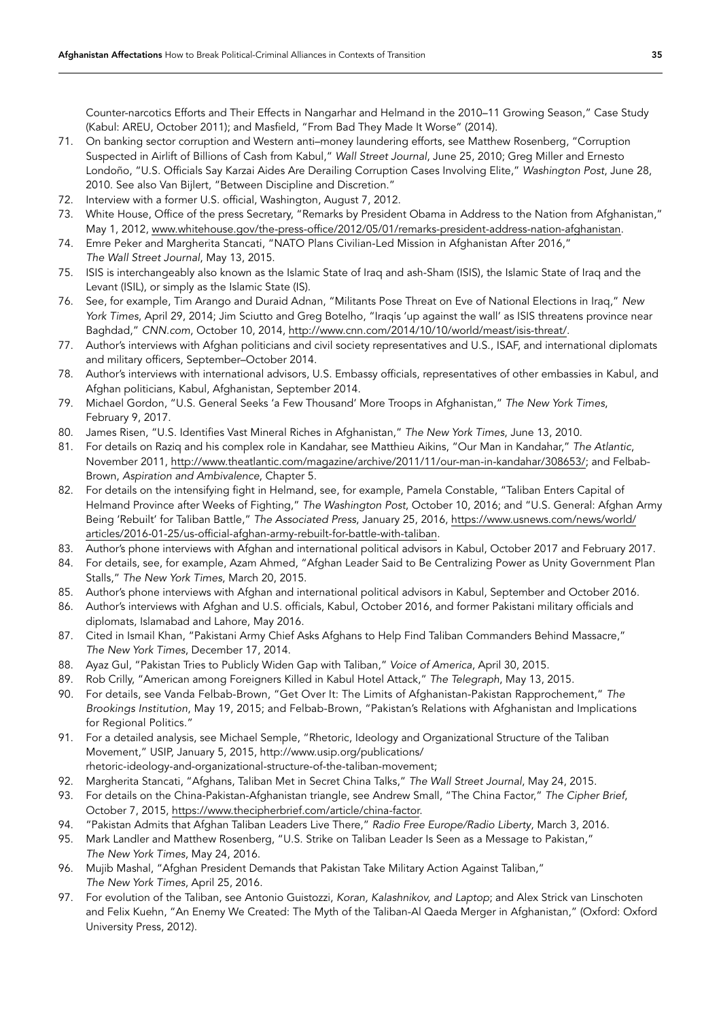<span id="page-34-0"></span>Counter-narcotics Efforts and Their Effects in Nangarhar and Helmand in the 2010–11 Growing Season," Case Study (Kabul: AREU, October 2011); and Masfield, "From Bad They Made It Worse" (2014).

- 71. On banking sector corruption and Western anti–money laundering efforts, see Matthew Rosenberg, "Corruption Suspected in Airlift of Billions of Cash from Kabul," *Wall Street Journal*, June 25, 2010; Greg Miller and Ernesto Londoño, "U.S. Officials Say Karzai Aides Are Derailing Corruption Cases Involving Elite," *Washington Post*, June 28, 2010. See also Van Bijlert, "Between Discipline and Discretion."
- <span id="page-34-1"></span>72. Interview with a former U.S. official, Washington, August 7, 2012.
- <span id="page-34-2"></span>73. White House, Office of the press Secretary, "Remarks by President Obama in Address to the Nation from Afghanistan," May 1, 2012, [www.whitehouse.gov/the-press-office/2012/05/01/remarks-president-address-nation-afghanistan.](http://www.whitehouse.gov/the-press-office/2012/05/01/remarks-president-address-nation-afghanistan)
- <span id="page-34-3"></span>74. Emre Peker and Margherita Stancati, "NATO Plans Civilian-Led Mission in Afghanistan After 2016," *The Wall Street Journal*, May 13, 2015.
- <span id="page-34-4"></span>75. ISIS is interchangeably also known as the Islamic State of Iraq and ash-Sham (ISIS), the Islamic State of Iraq and the Levant (ISIL), or simply as the Islamic State (IS).
- <span id="page-34-5"></span>76. See, for example, Tim Arango and Duraid Adnan, "Militants Pose Threat on Eve of National Elections in Iraq," *New York Times*, April 29, 2014; Jim Sciutto and Greg Botelho, "Iraqis 'up against the wall' as ISIS threatens province near Baghdad," *CNN.com*, October 10, 2014,<http://www.cnn.com/2014/10/10/world/meast/isis-threat/>.
- <span id="page-34-6"></span>77. Author's interviews with Afghan politicians and civil society representatives and U.S., ISAF, and international diplomats and military officers, September–October 2014.
- <span id="page-34-7"></span>78. Author's interviews with international advisors, U.S. Embassy officials, representatives of other embassies in Kabul, and Afghan politicians, Kabul, Afghanistan, September 2014.
- <span id="page-34-8"></span>79. Michael Gordon, "U.S. General Seeks 'a Few Thousand' More Troops in Afghanistan," *The New York Times*, February 9, 2017.
- <span id="page-34-9"></span>80. James Risen, "U.S. Identifies Vast Mineral Riches in Afghanistan," *The New York Times*, June 13, 2010.
- <span id="page-34-10"></span>81. For details on Raziq and his complex role in Kandahar, see Matthieu Aikins, "Our Man in Kandahar," *The Atlantic*, November 2011, [http://www.theatlantic.com/magazine/archive/2011/11/our-man-in-kandahar/308653/;](http://www.theatlantic.com/magazine/archive/2011/11/our-man-in-kandahar/308653/) and Felbab-Brown, *Aspiration and Ambivalence*, Chapter 5.
- <span id="page-34-11"></span>82. For details on the intensifying fight in Helmand, see, for example, Pamela Constable, "Taliban Enters Capital of Helmand Province after Weeks of Fighting," *The Washington Post*, October 10, 2016; and "U.S. General: Afghan Army Being 'Rebuilt' for Taliban Battle," *The Associated Press*, January 25, 2016, [https://www.usnews.com/news/world/](https://www.usnews.com/news/world/articles/2016-01-25/us-official-afghan-army-rebuilt-for-battle-with-taliban) [articles/2016-01-25/us-official-afghan-army-rebuilt-for-battle-with-taliban](https://www.usnews.com/news/world/articles/2016-01-25/us-official-afghan-army-rebuilt-for-battle-with-taliban).
- <span id="page-34-12"></span>83. Author's phone interviews with Afghan and international political advisors in Kabul, October 2017 and February 2017.
- <span id="page-34-13"></span>84. For details, see, for example, Azam Ahmed, "Afghan Leader Said to Be Centralizing Power as Unity Government Plan Stalls," *The New York Times*, March 20, 2015.
- <span id="page-34-14"></span>85. Author's phone interviews with Afghan and international political advisors in Kabul, September and October 2016.
- <span id="page-34-15"></span>86. Author's interviews with Afghan and U.S. officials, Kabul, October 2016, and former Pakistani military officials and diplomats, Islamabad and Lahore, May 2016.
- <span id="page-34-16"></span>87. Cited in Ismail Khan, "Pakistani Army Chief Asks Afghans to Help Find Taliban Commanders Behind Massacre," *The New York Times*, December 17, 2014.
- <span id="page-34-17"></span>88. Ayaz Gul, "Pakistan Tries to Publicly Widen Gap with Taliban," *Voice of America*, April 30, 2015.
- <span id="page-34-18"></span>89. Rob Crilly, "American among Foreigners Killed in Kabul Hotel Attack," *The Telegraph*, May 13, 2015.
- <span id="page-34-19"></span>90. For details, see Vanda Felbab-Brown, "Get Over It: The Limits of Afghanistan-Pakistan Rapprochement," *The Brookings Institution*, May 19, 2015; and Felbab-Brown, "Pakistan's Relations with Afghanistan and Implications for Regional Politics."
- <span id="page-34-20"></span>91. For a detailed analysis, see Michael Semple, "Rhetoric, Ideology and Organizational Structure of the Taliban Movement," USIP, January 5, 2015, [http://www.usip.org/publications/](http://www.usip.org/publications/rhetoric-ideology-and-organizational-structure-of-the-taliban-movement) [rhetoric-ideology-and-organizational-structure-of-the-taliban-movement;](http://www.usip.org/publications/rhetoric-ideology-and-organizational-structure-of-the-taliban-movement)
- <span id="page-34-21"></span>92. Margherita Stancati, "Afghans, Taliban Met in Secret China Talks," *The Wall Street Journal*, May 24, 2015.
- <span id="page-34-22"></span>93. For details on the China-Pakistan-Afghanistan triangle, see Andrew Small, "The China Factor," *The Cipher Brief*, October 7, 2015,<https://www.thecipherbrief.com/article/china-factor>.
- <span id="page-34-23"></span>94. "Pakistan Admits that Afghan Taliban Leaders Live There," *Radio Free Europe/Radio Liberty*, March 3, 2016.
- <span id="page-34-24"></span>95. Mark Landler and Matthew Rosenberg, "U.S. Strike on Taliban Leader Is Seen as a Message to Pakistan," *The New York Times*, May 24, 2016.
- <span id="page-34-25"></span>96. Mujib Mashal, "Afghan President Demands that Pakistan Take Military Action Against Taliban," *The New York Times*, April 25, 2016.
- <span id="page-34-26"></span>97. For evolution of the Taliban, see Antonio Guistozzi, *Koran, Kalashnikov, and Laptop*; and Alex Strick van Linschoten and Felix Kuehn, "An Enemy We Created: The Myth of the Taliban-Al Qaeda Merger in Afghanistan," (Oxford: Oxford University Press, 2012).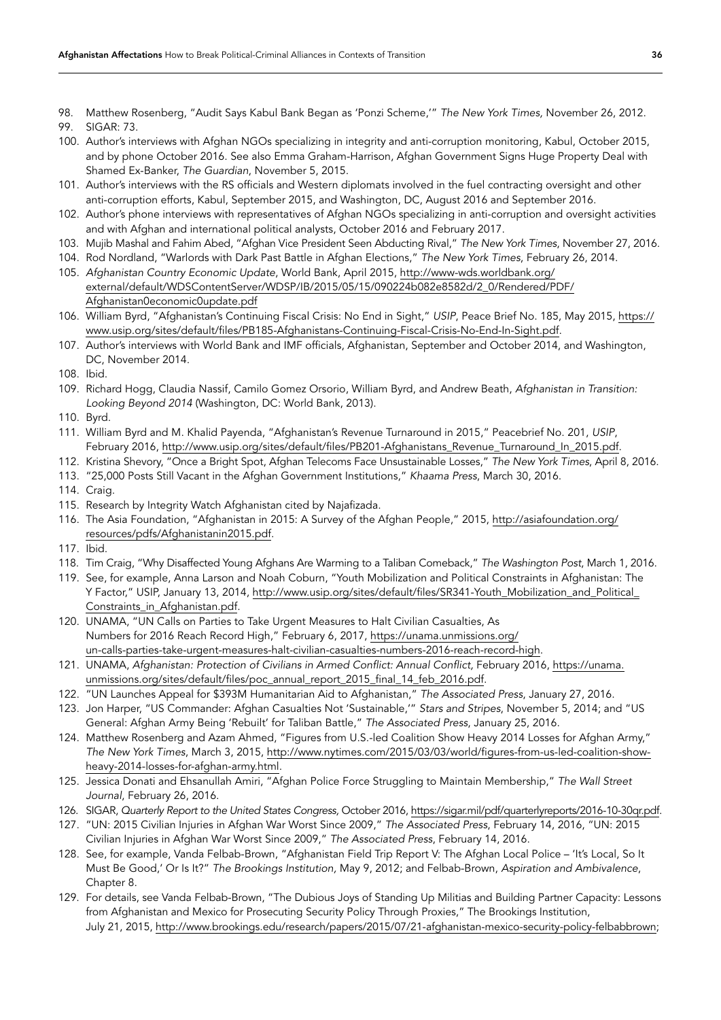- <span id="page-35-1"></span><span id="page-35-0"></span>98. Matthew Rosenberg, "Audit Says Kabul Bank Began as 'Ponzi Scheme,'" *The New York Times,* November 26, 2012. 99. SIGAR: 73.
- <span id="page-35-2"></span>100. Author's interviews with Afghan NGOs specializing in integrity and anti-corruption monitoring, Kabul, October 2015, and by phone October 2016. See also Emma Graham-Harrison, Afghan Government Signs Huge Property Deal with Shamed Ex-Banker, *The Guardian*, November 5, 2015.
- <span id="page-35-3"></span>101. Author's interviews with the RS officials and Western diplomats involved in the fuel contracting oversight and other anti-corruption efforts, Kabul, September 2015, and Washington, DC, August 2016 and September 2016.
- <span id="page-35-4"></span>102. Author's phone interviews with representatives of Afghan NGOs specializing in anti-corruption and oversight activities and with Afghan and international political analysts, October 2016 and February 2017.
- <span id="page-35-5"></span>103. Mujib Mashal and Fahim Abed, "Afghan Vice President Seen Abducting Rival," *The New York Times*, November 27, 2016.
- <span id="page-35-6"></span>104. Rod Nordland, "Warlords with Dark Past Battle in Afghan Elections," *The New York Times*, February 26, 2014.
- <span id="page-35-7"></span>105. *Afghanistan Country Economic Update*, World Bank, April 2015, [http://www-wds.worldbank.org/](http://www-wds.worldbank.org/external/default/WDSContentServer/WDSP/IB/2015/05/15/090224b082e8582d/2_0/Rendered/PDF/Afghanistan0economic0update.pdf) [external/default/WDSContentServer/WDSP/IB/2015/05/15/090224b082e8582d/2\\_0/Rendered/PDF/](http://www-wds.worldbank.org/external/default/WDSContentServer/WDSP/IB/2015/05/15/090224b082e8582d/2_0/Rendered/PDF/Afghanistan0economic0update.pdf) [Afghanistan0economic0update.pdf](http://www-wds.worldbank.org/external/default/WDSContentServer/WDSP/IB/2015/05/15/090224b082e8582d/2_0/Rendered/PDF/Afghanistan0economic0update.pdf)
- <span id="page-35-8"></span>106. William Byrd, "Afghanistan's Continuing Fiscal Crisis: No End in Sight," *USIP*, Peace Brief No. 185, May 2015, [https://](https://www.usip.org/sites/default/files/PB185-Afghanistans-Continuing-Fiscal-Crisis-No-End-In-Sight.pdf) [www.usip.org/sites/default/files/PB185-Afghanistans-Continuing-Fiscal-Crisis-No-End-In-Sight.pdf.](https://www.usip.org/sites/default/files/PB185-Afghanistans-Continuing-Fiscal-Crisis-No-End-In-Sight.pdf)
- <span id="page-35-9"></span>107. Author's interviews with World Bank and IMF officials, Afghanistan, September and October 2014, and Washington, DC, November 2014.
- <span id="page-35-10"></span>108. Ibid.
- <span id="page-35-11"></span>109. Richard Hogg, Claudia Nassif, Camilo Gomez Orsorio, William Byrd, and Andrew Beath, *Afghanistan in Transition: Looking Beyond 2014* (Washington, DC: World Bank, 2013).
- <span id="page-35-12"></span>110. Byrd.
- <span id="page-35-13"></span>111. William Byrd and M. Khalid Payenda, "Afghanistan's Revenue Turnaround in 2015," Peacebrief No. 201, *USIP*, February 2016, [http://www.usip.org/sites/default/files/PB201-Afghanistans\\_Revenue\\_Turnaround\\_In\\_2015.pdf](http://www.usip.org/sites/default/files/PB201-Afghanistans_Revenue_Turnaround_In_2015.pdf).
- <span id="page-35-14"></span>112. Kristina Shevory, "Once a Bright Spot, Afghan Telecoms Face Unsustainable Losses," *The New York Times*, April 8, 2016.
- <span id="page-35-15"></span>113. "25,000 Posts Still Vacant in the Afghan Government Institutions," *Khaama Press*, March 30, 2016.
- <span id="page-35-16"></span>114. Craig.
- <span id="page-35-17"></span>115. Research by Integrity Watch Afghanistan cited by Najafizada.
- <span id="page-35-18"></span>116. The Asia Foundation, "Afghanistan in 2015: A Survey of the Afghan People," 2015, [http://asiafoundation.org/](http://asiafoundation.org/resources/pdfs/Afghanistanin2015.pdf) [resources/pdfs/Afghanistanin2015.pdf](http://asiafoundation.org/resources/pdfs/Afghanistanin2015.pdf).
- <span id="page-35-19"></span>117. Ibid.
- <span id="page-35-20"></span>118. Tim Craig, "Why Disaffected Young Afghans Are Warming to a Taliban Comeback," *The Washington Post*, March 1, 2016.
- <span id="page-35-21"></span>119. See, for example, Anna Larson and Noah Coburn, "Youth Mobilization and Political Constraints in Afghanistan: The Y Factor," USIP, January 13, 2014, [http://www.usip.org/sites/default/files/SR341-Youth\\_Mobilization\\_and\\_Political\\_](http://www.usip.org/sites/default/files/SR341-Youth_Mobilization_and_Political_Constraints_in_Afghanistan.pdf) [Constraints\\_in\\_Afghanistan.pdf](http://www.usip.org/sites/default/files/SR341-Youth_Mobilization_and_Political_Constraints_in_Afghanistan.pdf).
- <span id="page-35-22"></span>120. UNAMA, "UN Calls on Parties to Take Urgent Measures to Halt Civilian Casualties, As Numbers for 2016 Reach Record High," February 6, 2017, [https://unama.unmissions.org/](https://unama.unmissions.org/un-calls-parties-take-urgent-measures-halt-civilian-casualties-numbers-2016-reach-record-high) [un-calls-parties-take-urgent-measures-halt-civilian-casualties-numbers-2016-reach-record-high](https://unama.unmissions.org/un-calls-parties-take-urgent-measures-halt-civilian-casualties-numbers-2016-reach-record-high).
- <span id="page-35-23"></span>121. UNAMA, *Afghanistan: Protection of Civilians in Armed Conflict: Annual Conflict,* February 2016, [https://unama.](https://unama.unmissions.org/sites/default/files/poc_annual_report_2015_final_14_feb_2016.pdf) [unmissions.org/sites/default/files/poc\\_annual\\_report\\_2015\\_final\\_14\\_feb\\_2016.pdf.](https://unama.unmissions.org/sites/default/files/poc_annual_report_2015_final_14_feb_2016.pdf)
- <span id="page-35-24"></span>122. "UN Launches Appeal for \$393M Humanitarian Aid to Afghanistan," *The Associated Press*, January 27, 2016.
- <span id="page-35-25"></span>123. Jon Harper, "US Commander: Afghan Casualties Not 'Sustainable,'" *Stars and Stripes*, November 5, 2014; and "US General: Afghan Army Being 'Rebuilt' for Taliban Battle," *The Associated Press*, January 25, 2016.
- <span id="page-35-26"></span>124. Matthew Rosenberg and Azam Ahmed, "Figures from U.S.-led Coalition Show Heavy 2014 Losses for Afghan Army," *The New York Times*, March 3, 2015, [http://www.nytimes.com/2015/03/03/world/figures-from-us-led-coalition-show](http://www.nytimes.com/2015/03/03/world/figures-from-us-led-coalition-show-heavy-2014-losses-for-afghan-army.html)[heavy-2014-losses-for-afghan-army.html.](http://www.nytimes.com/2015/03/03/world/figures-from-us-led-coalition-show-heavy-2014-losses-for-afghan-army.html)
- <span id="page-35-27"></span>125. Jessica Donati and Ehsanullah Amiri, "Afghan Police Force Struggling to Maintain Membership," *The Wall Street Journal*, February 26, 2016.
- <span id="page-35-28"></span>126. SIGAR, *Quarterly Report to the United States Congress,* October 2016,<https://sigar.mil/pdf/quarterlyreports/2016-10-30qr.pdf>.
- <span id="page-35-29"></span>127. "UN: 2015 Civilian Injuries in Afghan War Worst Since 2009," *The Associated Press*, February 14, 2016, "UN: 2015 Civilian Injuries in Afghan War Worst Since 2009," *The Associated Press*, February 14, 2016.
- <span id="page-35-30"></span>128. See, for example, Vanda Felbab-Brown, "Afghanistan Field Trip Report V: The Afghan Local Police – 'It's Local, So It Must Be Good,' Or Is It?" *The Brookings Institution,* May 9, 2012; and Felbab-Brown, *Aspiration and Ambivalence*, Chapter 8.
- <span id="page-35-31"></span>129. For details, see Vanda Felbab-Brown, "The Dubious Joys of Standing Up Militias and Building Partner Capacity: Lessons from Afghanistan and Mexico for Prosecuting Security Policy Through Proxies," The Brookings Institution, July 21, 2015, [http://www.brookings.edu/research/papers/2015/07/21-afghanistan-mexico-security-policy-felbabbrown;](http://www.brookings.edu/research/papers/2015/07/21-afghanistan-mexico-security-policy-felbabbrown)